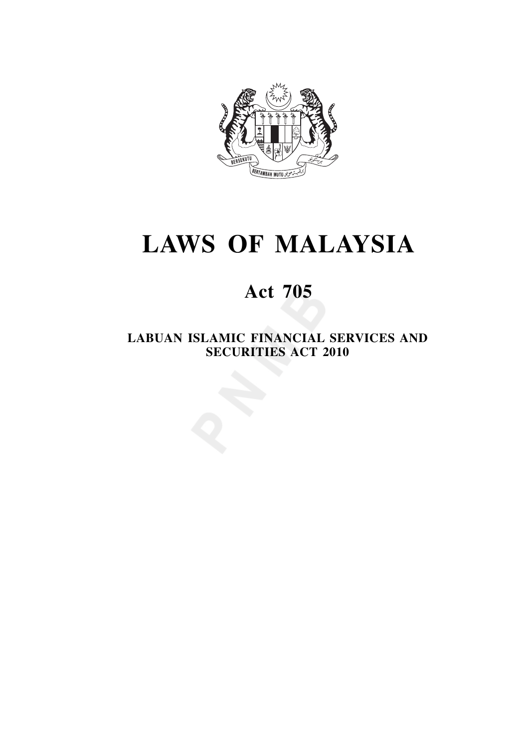

# **LAWS OF MALAYSIA**

## **Act 705**

**LABUAN ISLAMIC FINANCIAL SERVICES AND SECURITIES ACT 2010**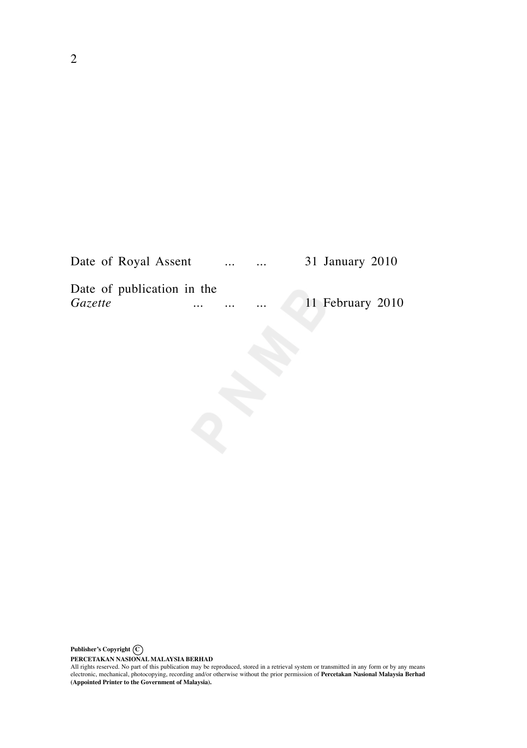| Date of Royal Assent       |          | $\cdots$ | $\cdots$ | 31 January 2010  |
|----------------------------|----------|----------|----------|------------------|
| Date of publication in the |          |          |          |                  |
| <i>Gazette</i>             | $\cdots$ | $\cdots$ | $\cdots$ | 11 February 2010 |

PERCETAKAN NASIONAL MALAYSIA BERHAD<br>All rights reserved. No part of this publication may be reproduced, stored in a retrieval system or transmitted in any form or by any means<br>electronic, mechanical, photocopying, recordin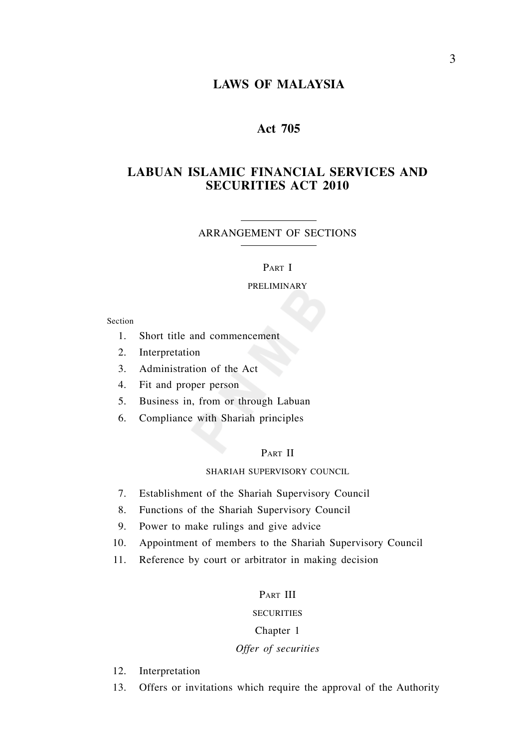## **LAWS OF MALAYSIA**

## **Act 705**

## **LABUAN ISLAMIC FINANCIAL SERVICES AND SECURITIES ACT 2010**

#### ARRANGEMENT OF SECTIONS

#### PART I

#### PRELIMINARY

Section

- 1. Short title and commencement
- 2. Interpretation
- 3. Administration of the Act
- 4. Fit and proper person
- 5. Business in, from or through Labuan
- 6. Compliance with Shariah principles

#### PART II

## SHARIAH SUPERVISORY COUNCIL

- 7. Establishment of the Shariah Supervisory Council
- 8. Functions of the Shariah Supervisory Council
- 9. Power to make rulings and give advice
- 10. Appointment of members to the Shariah Supervisory Council
- 11. Reference by court or arbitrator in making decision

#### PART III

#### **SECURITIES**

#### Chapter 1

#### *Offer of securities*

- 12. Interpretation
- 13. Offers or invitations which require the approval of the Authority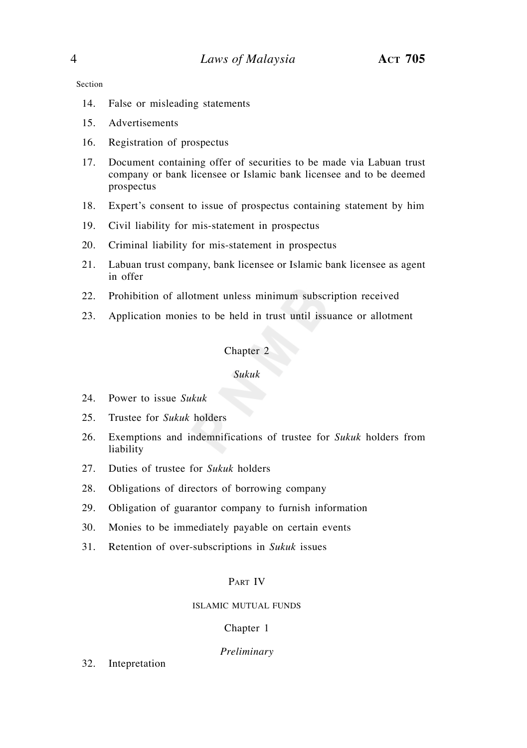Section

- 14. False or misleading statements
- 15. Advertisements
- 16. Registration of prospectus
- 17. Document containing offer of securities to be made via Labuan trust company or bank licensee or Islamic bank licensee and to be deemed prospectus
- 18. Expert's consent to issue of prospectus containing statement by him
- 19. Civil liability for mis-statement in prospectus
- 20. Criminal liability for mis-statement in prospectus
- 21. Labuan trust company, bank licensee or Islamic bank licensee as agent in offer
- 22. Prohibition of allotment unless minimum subscription received
- 23. Application monies to be held in trust until issuance or allotment

## Chapter 2

#### *Sukuk*

- 24. Power to issue *Sukuk*
- 25. Trustee for *Sukuk* holders
- 26. Exemptions and indemnifications of trustee for *Sukuk* holders from liability
- 27. Duties of trustee for *Sukuk* holders
- 28. Obligations of directors of borrowing company
- 29. Obligation of guarantor company to furnish information
- 30. Monies to be immediately payable on certain events
- 31. Retention of over-subscriptions in *Sukuk* issues

#### PART IV

#### ISLAMIC MUTUAL FUNDS

#### Chapter 1

#### *Preliminary*

32. Intepretation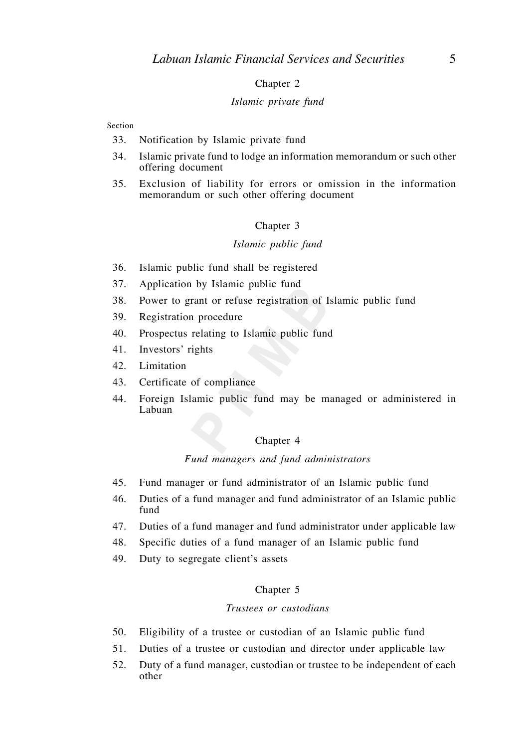#### Chapter 2

#### *Islamic private fund*

#### Section

- 33. Notification by Islamic private fund
- 34. Islamic private fund to lodge an information memorandum or such other offering document
- 35. Exclusion of liability for errors or omission in the information memorandum or such other offering document

#### Chapter 3

#### *Islamic public fund*

- 36. Islamic public fund shall be registered
- 37. Application by Islamic public fund
- 38. Power to grant or refuse registration of Islamic public fund
- 39. Registration procedure
- 40. Prospectus relating to Islamic public fund
- 41. Investors' rights
- 42. Limitation
- 43. Certificate of compliance
- 44. Foreign Islamic public fund may be managed or administered in Labuan

#### Chapter 4

#### *Fund managers and fund administrators*

- 45. Fund manager or fund administrator of an Islamic public fund
- 46. Duties of a fund manager and fund administrator of an Islamic public fund
- 47. Duties of a fund manager and fund administrator under applicable law
- 48. Specific duties of a fund manager of an Islamic public fund
- 49. Duty to segregate client's assets

#### Chapter 5

#### *Trustees or custodians*

- 50. Eligibility of a trustee or custodian of an Islamic public fund
- 51. Duties of a trustee or custodian and director under applicable law
- 52. Duty of a fund manager, custodian or trustee to be independent of each other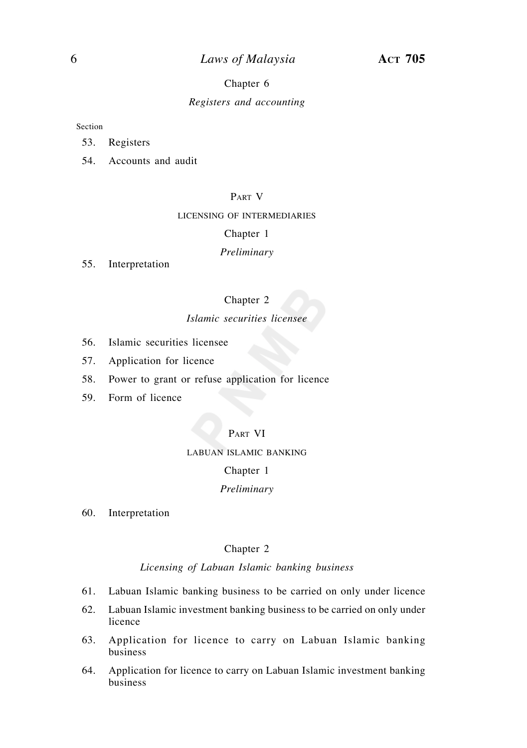## 6 *Laws of Malaysia* **ACT 705**

#### Chapter 6

#### *Registers and accounting*

#### Section

- 53. Registers
- 54. Accounts and audit

## PART V

#### LICENSING OF INTERMEDIARIES

#### Chapter 1

#### *Preliminary*

55. Interpretation

#### Chapter 2

## *Islamic securities licensee*

- 56. Islamic securities licensee
- 57. Application for licence
- 58. Power to grant or refuse application for licence
- 59. Form of licence

#### PART VI

#### LABUAN ISLAMIC BANKING

#### Chapter 1

#### *Preliminary*

60. Interpretation

#### Chapter 2

#### *Licensing of Labuan Islamic banking business*

- 61. Labuan Islamic banking business to be carried on only under licence
- 62. Labuan Islamic investment banking business to be carried on only under licence
- 63. Application for licence to carry on Labuan Islamic banking business
- 64. Application for licence to carry on Labuan Islamic investment banking business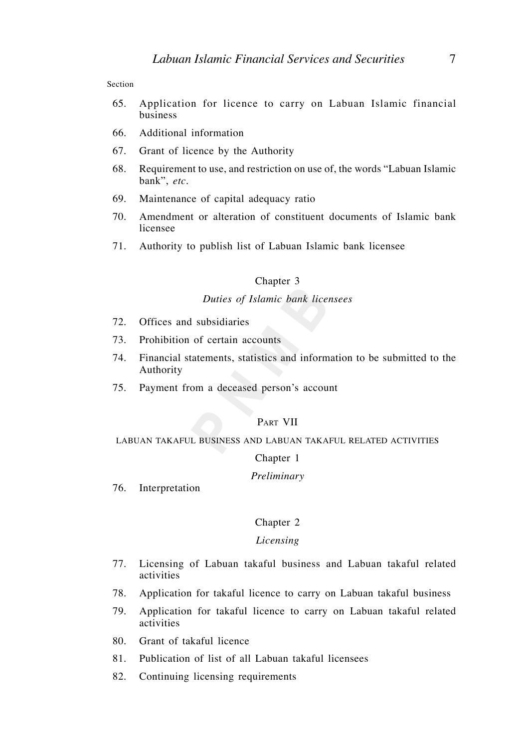Section

- 65. Application for licence to carry on Labuan Islamic financial business
- 66. Additional information
- 67. Grant of licence by the Authority
- 68. Requirement to use, and restriction on use of, the words "Labuan Islamic bank", *etc.*
- 69. Maintenance of capital adequacy ratio
- 70. Amendment or alteration of constituent documents of Islamic bank licensee
- 71. Authority to publish list of Labuan Islamic bank licensee

#### Chapter 3

#### *Duties of Islamic bank licensees*

- 72. Offices and subsidiaries
- 73. Prohibition of certain accounts
- 74. Financial statements, statistics and information to be submitted to the Authority
- 75. Payment from a deceased person's account

#### PART VII

LABUAN TAKAFUL BUSINESS AND LABUAN TAKAFUL RELATED ACTIVITIES

#### Chapter 1

#### *Preliminary*

76. Interpretation

#### Chapter 2

#### *Licensing*

- 77. Licensing of Labuan takaful business and Labuan takaful related activities
- 78. Application for takaful licence to carry on Labuan takaful business
- 79. Application for takaful licence to carry on Labuan takaful related activities
- 80. Grant of takaful licence
- 81. Publication of list of all Labuan takaful licensees
- 82. Continuing licensing requirements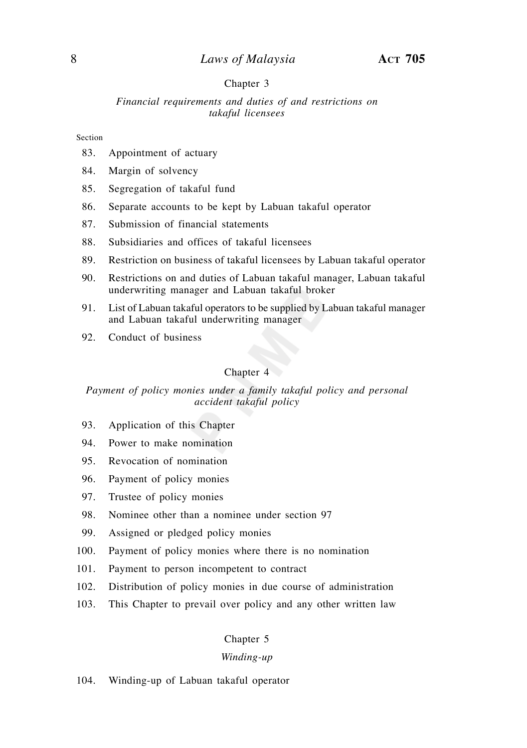#### Chapter 3

*Financial requirements and duties of and restrictions on takaful licensees*

#### Section

- 83. Appointment of actuary
- 84. Margin of solvency
- 85. Segregation of takaful fund
- 86. Separate accounts to be kept by Labuan takaful operator
- 87. Submission of financial statements
- 88. Subsidiaries and offices of takaful licensees
- 89. Restriction on business of takaful licensees by Labuan takaful operator
- 90. Restrictions on and duties of Labuan takaful manager, Labuan takaful underwriting manager and Labuan takaful broker
- 91. List of Labuan takaful operators to be supplied by Labuan takaful manager and Labuan takaful underwriting manager
- 92. Conduct of business

#### Chapter 4

#### *Payment of policy monies under a family takaful policy and personal accident takaful policy*

- 93. Application of this Chapter
- 94. Power to make nomination
- 95. Revocation of nomination
- 96. Payment of policy monies
- 97. Trustee of policy monies
- 98. Nominee other than a nominee under section 97
- 99. Assigned or pledged policy monies
- 100. Payment of policy monies where there is no nomination
- 101. Payment to person incompetent to contract
- 102. Distribution of policy monies in due course of administration
- 103. This Chapter to prevail over policy and any other written law

#### Chapter 5

#### *Winding-up*

104. Winding-up of Labuan takaful operator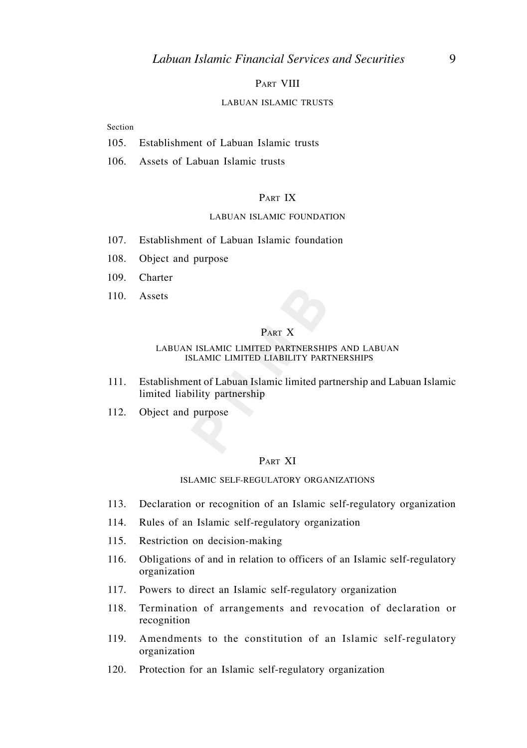#### PART VIII

#### LABUAN ISLAMIC TRUSTS

#### Section

- 105. Establishment of Labuan Islamic trusts
- 106. Assets of Labuan Islamic trusts

#### PART IX

#### LABUAN ISLAMIC FOUNDATION

- 107. Establishment of Labuan Islamic foundation
- 108. Object and purpose
- 109. Charter
- 110. Assets

#### PART X

#### LABUAN ISLAMIC LIMITED PARTNERSHIPS AND LABUAN ISLAMIC LIMITED LIABILITY PARTNERSHIPS

- 111. Establishment of Labuan Islamic limited partnership and Labuan Islamic limited liability partnership
- 112. Object and purpose

#### PART XI

#### ISLAMIC SELF-REGULATORY ORGANIZATIONS

- 113. Declaration or recognition of an Islamic self-regulatory organization
- 114. Rules of an Islamic self-regulatory organization
- 115. Restriction on decision-making
- 116. Obligations of and in relation to officers of an Islamic self-regulatory organization
- 117. Powers to direct an Islamic self-regulatory organization
- 118. Termination of arrangements and revocation of declaration or recognition
- 119. Amendments to the constitution of an Islamic self-regulatory organization
- 120. Protection for an Islamic self-regulatory organization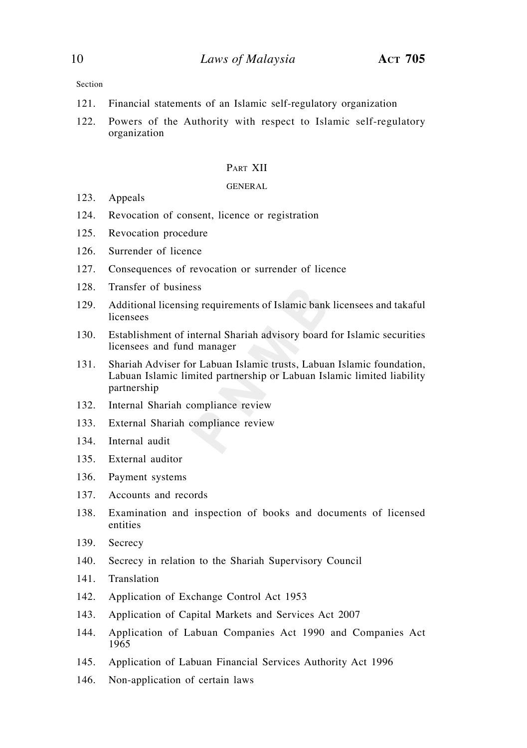Section

- 121. Financial statements of an Islamic self-regulatory organization
- 122. Powers of the Authority with respect to Islamic self-regulatory organization

#### PART XII

#### GENERAL

- 123. Appeals
- 124. Revocation of consent, licence or registration
- 125. Revocation procedure
- 126. Surrender of licence
- 127. Consequences of revocation or surrender of licence
- 128. Transfer of business
- 129. Additional licensing requirements of Islamic bank licensees and takaful licensees
- 130. Establishment of internal Shariah advisory board for Islamic securities licensees and fund manager
- 131. Shariah Adviser for Labuan Islamic trusts, Labuan Islamic foundation, Labuan Islamic limited partnership or Labuan Islamic limited liability partnership
- 132. Internal Shariah compliance review
- 133. External Shariah compliance review
- 134. Internal audit
- 135. External auditor
- 136. Payment systems
- 137. Accounts and records
- 138. Examination and inspection of books and documents of licensed entities
- 139. Secrecy
- 140. Secrecy in relation to the Shariah Supervisory Council
- 141. Translation
- 142. Application of Exchange Control Act 1953
- 143. Application of Capital Markets and Services Act 2007
- 144. Application of Labuan Companies Act 1990 and Companies Act 1965
- 145. Application of Labuan Financial Services Authority Act 1996
- 146. Non-application of certain laws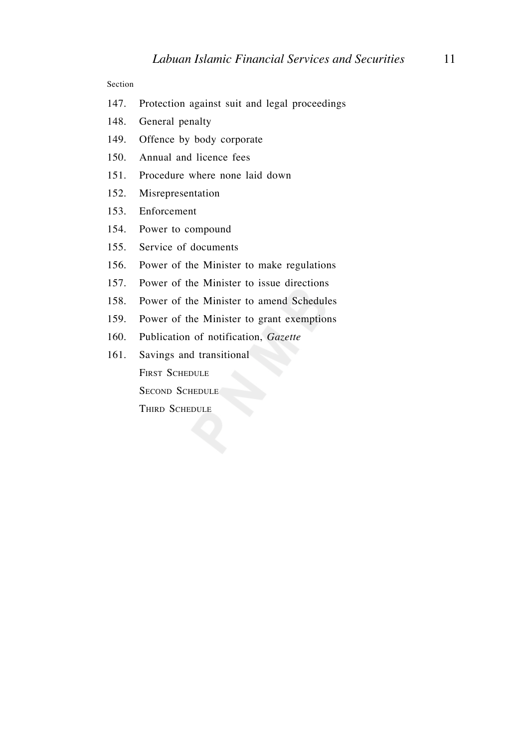#### Section

- 147. Protection against suit and legal proceedings
- 148. General penalty
- 149. Offence by body corporate
- 150. Annual and licence fees
- 151. Procedure where none laid down
- 152. Misrepresentation
- 153. Enforcement
- 154. Power to compound
- 155. Service of documents
- 156. Power of the Minister to make regulations
- 157. Power of the Minister to issue directions
- 158. Power of the Minister to amend Schedules
- 159. Power of the Minister to grant exemptions
- 160. Publication of notification, *Gazette*
- 161. Savings and transitional FIRST SCHEDULE SECOND SCHEDULE THIRD SCHEDULE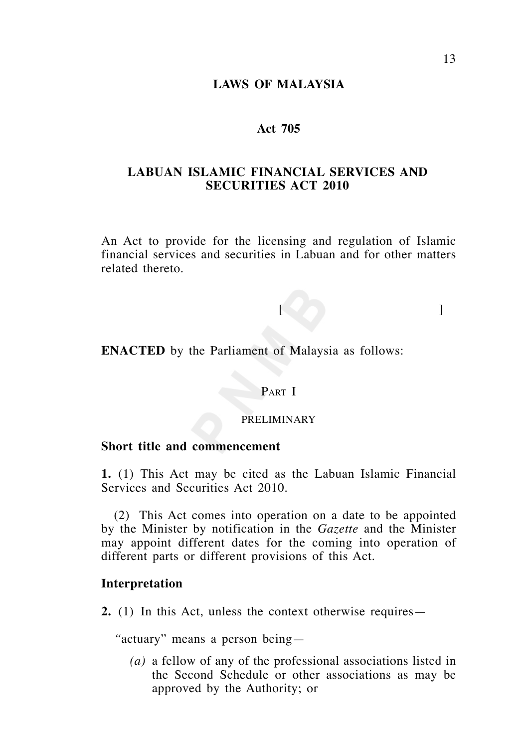## **LAWS OF MALAYSIA**

## **Act 705**

## **LABUAN ISLAMIC FINANCIAL SERVICES AND SECURITIES ACT 2010**

An Act to provide for the licensing and regulation of Islamic financial services and securities in Labuan and for other matters related thereto.

## [ ]

**ENACTED** by the Parliament of Malaysia as follows:

## PART I

## PRELIMINARY

## **Short title and commencement**

**1.** (1) This Act may be cited as the Labuan Islamic Financial Services and Securities Act 2010.

 (2) This Act comes into operation on a date to be appointed by the Minister by notification in the *Gazette* and the Minister may appoint different dates for the coming into operation of different parts or different provisions of this Act.

## **Interpretation**

**2.** (1) In this Act, unless the context otherwise requires—

 *"*actuary" means a person being—

*(a)* a fellow of any of the professional associations listed in the Second Schedule or other associations as may be approved by the Authority; or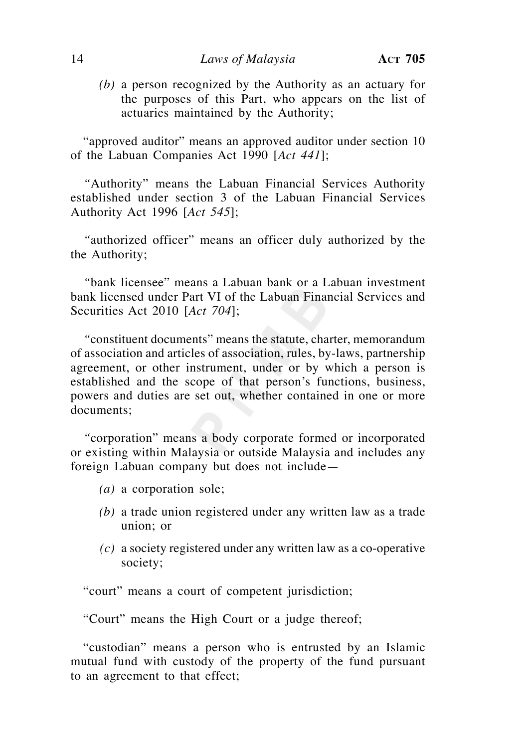*(b)* a person recognized by the Authority as an actuary for the purposes of this Part, who appears on the list of actuaries maintained by the Authority;

 "approved auditor" means an approved auditor under section 10 of the Labuan Companies Act 1990 [*Act 441*];

 *"*Authority" means the Labuan Financial Services Authority established under section 3 of the Labuan Financial Services Authority Act 1996 [*Act 545*];

 *"*authorized officer" means an officer duly authorized by the the Authority;

 *"*bank licensee" means a Labuan bank or a Labuan investment bank licensed under Part VI of the Labuan Financial Services and Securities Act 2010 [*Act 704*];

 *"*constituent documents" means the statute, charter, memorandum of association and articles of association, rules, by-laws, partnership agreement, or other instrument, under or by which a person is established and the scope of that person's functions, business, powers and duties are set out, whether contained in one or more documents;

 *"*corporation" means a body corporate formed or incorporated or existing within Malaysia or outside Malaysia and includes any foreign Labuan company but does not include—

- *(a)* a corporation sole;
- *(b)* a trade union registered under any written law as a trade union; or
- *(c)* a society registered under any written law as a co-operative society;

"court" means a court of competent jurisdiction;

"Court" means the High Court or a judge thereof;

 "custodian" means a person who is entrusted by an Islamic mutual fund with custody of the property of the fund pursuant to an agreement to that effect;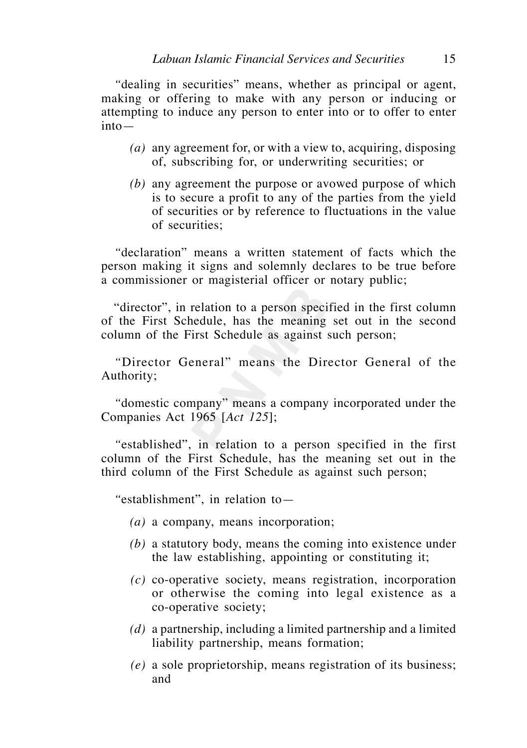*"*dealing in securities" means, whether as principal or agent, making or offering to make with any person or inducing or attempting to induce any person to enter into or to offer to enter into—

- *(a)* any agreement for, or with a view to, acquiring, disposing of, subscribing for, or underwriting securities; or
- *(b)* any agreement the purpose or avowed purpose of which is to secure a profit to any of the parties from the yield of securities or by reference to fluctuations in the value of securities;

 *"*declaration" means a written statement of facts which the person making it signs and solemnly declares to be true before a commissioner or magisterial officer or notary public;

 "director", in relation to a person specified in the first column of the First Schedule, has the meaning set out in the second column of the First Schedule as against such person;

 *"*Director General" means the Director General of the Authority;

 *"*domestic company" means a company incorporated under the Companies Act 1965 [*Act 125*];

 *"*established", in relation to a person specified in the first column of the First Schedule, has the meaning set out in the third column of the First Schedule as against such person;

 *"*establishment", in relation to—

- *(a)* a company, means incorporation;
- *(b)* a statutory body, means the coming into existence under the law establishing, appointing or constituting it;
- *(c)* co-operative society, means registration, incorporation or otherwise the coming into legal existence as a co-operative society;
- *(d)* a partnership, including a limited partnership and a limited liability partnership, means formation;
- *(e)* a sole proprietorship, means registration of its business; and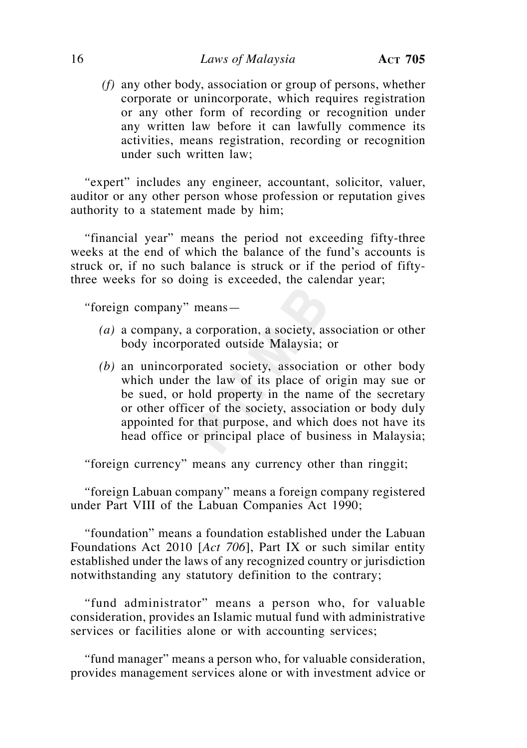## 16 *Laws of Malaysia* **ACT 705**

 *(f)* any other body, association or group of persons, whether corporate or unincorporate, which requires registration or any other form of recording or recognition under any written law before it can lawfully commence its activities, means registration, recording or recognition under such written law;

 *"*expert" includes any engineer, accountant, solicitor, valuer, auditor or any other person whose profession or reputation gives authority to a statement made by him;

 *"*financial year" means the period not exceeding fifty-three weeks at the end of which the balance of the fund's accounts is struck or, if no such balance is struck or if the period of fiftythree weeks for so doing is exceeded, the calendar year;

 *"*foreign company" means—

- *(a)* a company, a corporation, a society, association or other body incorporated outside Malaysia; or
- *(b)* an unincorporated society, association or other body which under the law of its place of origin may sue or be sued, or hold property in the name of the secretary or other officer of the society, association or body duly appointed for that purpose, and which does not have its head office or principal place of business in Malaysia;

 *"*foreign currency" means any currency other than ringgit;

 *"*foreign Labuan company" means a foreign company registered under Part VIII of the Labuan Companies Act 1990;

 *"*foundation" means a foundation established under the Labuan Foundations Act 2010 [*Act 706*], Part IX or such similar entity established under the laws of any recognized country or jurisdiction notwithstanding any statutory definition to the contrary;

 *"*fund administrator" means a person who, for valuable consideration, provides an Islamic mutual fund with administrative services or facilities alone or with accounting services;

 *"*fund manager" means a person who, for valuable consideration, provides management services alone or with investment advice or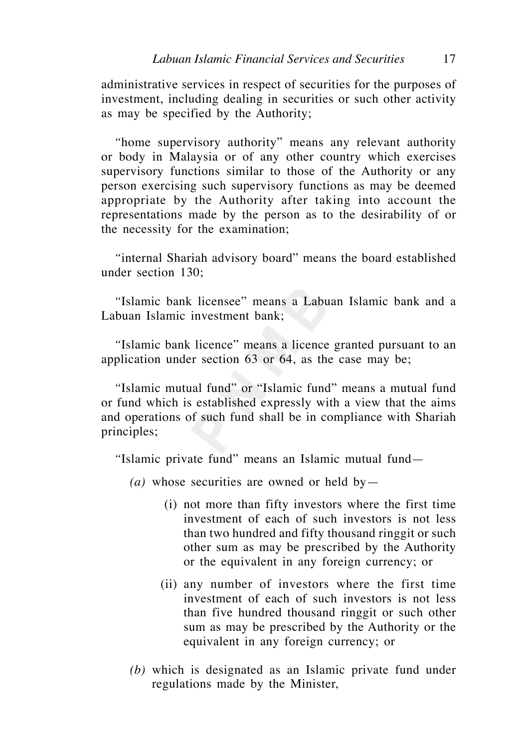administrative services in respect of securities for the purposes of investment, including dealing in securities or such other activity as may be specified by the Authority;

 *"*home supervisory authority" means any relevant authority or body in Malaysia or of any other country which exercises supervisory functions similar to those of the Authority or any person exercising such supervisory functions as may be deemed appropriate by the Authority after taking into account the representations made by the person as to the desirability of or the necessity for the examination;

 *"*internal Shariah advisory board" means the board established under section 130;

 *"*Islamic bank licensee" means a Labuan Islamic bank and a Labuan Islamic investment bank;

 *"*Islamic bank licence" means a licence granted pursuant to an application under section 63 or 64, as the case may be;

 *"*Islamic mutual fund" or "Islamic fund" means a mutual fund or fund which is established expressly with a view that the aims and operations of such fund shall be in compliance with Shariah principles;

 *"*Islamic private fund" means an Islamic mutual fund—

- (*a*) whose securities are owned or held by
	- (i) not more than fifty investors where the first time investment of each of such investors is not less than two hundred and fifty thousand ringgit or such other sum as may be prescribed by the Authority or the equivalent in any foreign currency; or
	- (ii) any number of investors where the first time investment of each of such investors is not less than five hundred thousand ringgit or such other sum as may be prescribed by the Authority or the equivalent in any foreign currency; or
- *(b)* which is designated as an Islamic private fund under regulations made by the Minister,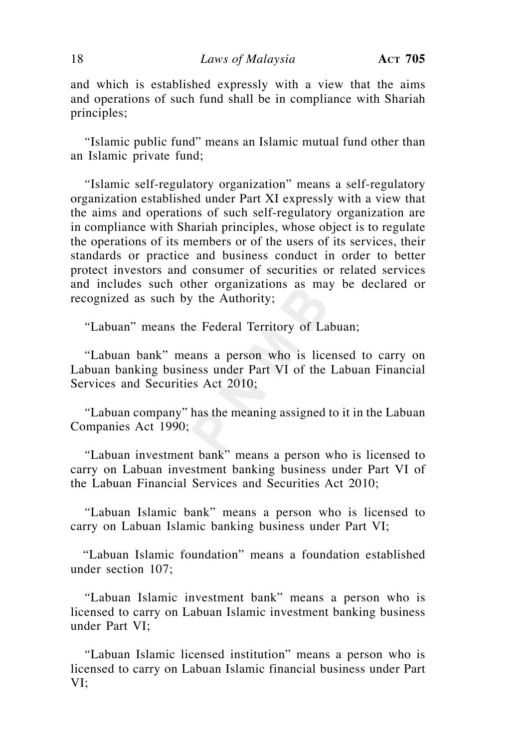and which is established expressly with a view that the aims and operations of such fund shall be in compliance with Shariah principles;

 *"*Islamic public fund" means an Islamic mutual fund other than an Islamic private fund;

 *"*Islamic self-regulatory organization" means a self-regulatory organization established under Part XI expressly with a view that the aims and operations of such self-regulatory organization are in compliance with Shariah principles, whose object is to regulate the operations of its members or of the users of its services, their standards or practice and business conduct in order to better protect investors and consumer of securities or related services and includes such other organizations as may be declared or recognized as such by the Authority;

 *"*Labuan" means the Federal Territory of Labuan;

 *"*Labuan bank" means a person who is licensed to carry on Labuan banking business under Part VI of the Labuan Financial Services and Securities Act 2010;

 *"*Labuan company" has the meaning assigned to it in the Labuan Companies Act 1990;

 *"*Labuan investment bank" means a person who is licensed to carry on Labuan investment banking business under Part VI of the Labuan Financial Services and Securities Act 2010;

 *"*Labuan Islamic bank" means a person who is licensed to carry on Labuan Islamic banking business under Part VI;

 "Labuan Islamic foundation" means a foundation established under section 107;

 *"*Labuan Islamic investment bank" means a person who is licensed to carry on Labuan Islamic investment banking business under Part VI;

 *"*Labuan Islamic licensed institution" means a person who is licensed to carry on Labuan Islamic financial business under Part VI;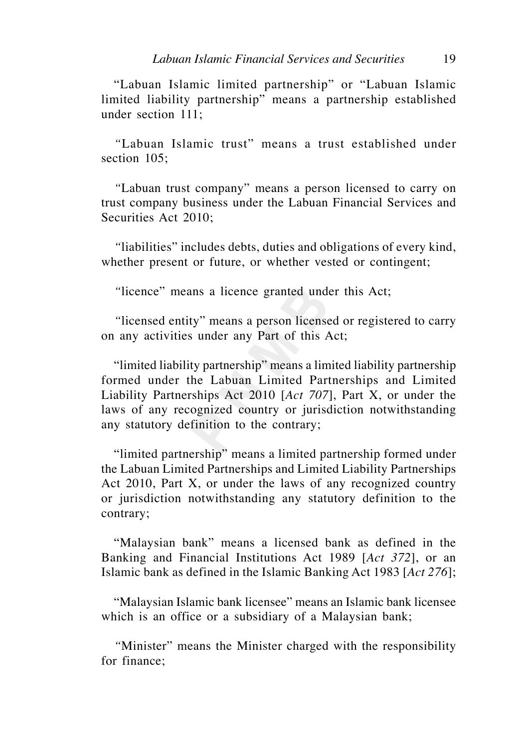"Labuan Islamic limited partnership" or "Labuan Islamic limited liability partnership" means a partnership established under section  $111$ 

 *"*Labuan Islamic trust" means a trust established under section 105:

 *"*Labuan trust company" means a person licensed to carry on trust company business under the Labuan Financial Services and Securities Act 2010;

 *"*liabilities" includes debts, duties and obligations of every kind, whether present or future, or whether vested or contingent;

 *"*licence" means a licence granted under this Act;

 *"*licensed entity" means a person licensed or registered to carry on any activities under any Part of this Act;

 "limited liability partnership" means a limited liability partnership formed under the Labuan Limited Partnerships and Limited Liability Partnerships Act 2010 [*Act 707*], Part X, or under the laws of any recognized country or jurisdiction notwithstanding any statutory definition to the contrary;

 "limited partnership" means a limited partnership formed under the Labuan Limited Partnerships and Limited Liability Partnerships Act 2010, Part X, or under the laws of any recognized country or jurisdiction notwithstanding any statutory definition to the contrary;

 "Malaysian bank" means a licensed bank as defined in the Banking and Financial Institutions Act 1989 [*Act 372*], or an Islamic bank as defined in the Islamic Banking Act 1983 [*Act 276*];

 "Malaysian Islamic bank licensee" means an Islamic bank licensee which is an office or a subsidiary of a Malaysian bank;

 *"*Minister" means the Minister charged with the responsibility for finance;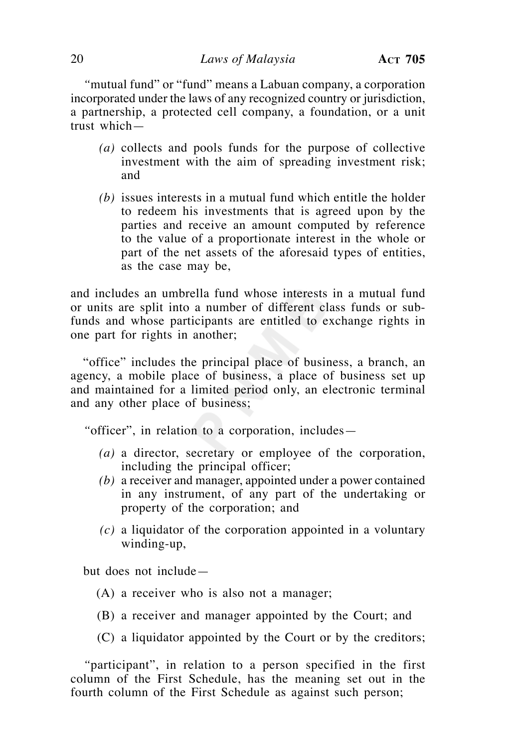*"*mutual fund" or "fund" means a Labuan company, a corporation incorporated under the laws of any recognized country or jurisdiction, a partnership, a protected cell company, a foundation, or a unit trust which—

- *(a)* collects and pools funds for the purpose of collective investment with the aim of spreading investment risk; and
- *(b)* issues interests in a mutual fund which entitle the holder to redeem his investments that is agreed upon by the parties and receive an amount computed by reference to the value of a proportionate interest in the whole or part of the net assets of the aforesaid types of entities, as the case may be,

and includes an umbrella fund whose interests in a mutual fund or units are split into a number of different class funds or subfunds and whose participants are entitled to exchange rights in one part for rights in another;

 "office" includes the principal place of business, a branch, an agency, a mobile place of business, a place of business set up and maintained for a limited period only, an electronic terminal and any other place of business;

 *"*officer", in relation to a corporation, includes—

- *(a)* a director, secretary or employee of the corporation, including the principal officer;
- *(b)* a receiver and manager, appointed under a power contained in any instrument, of any part of the undertaking or property of the corporation; and
- *(c)* a liquidator of the corporation appointed in a voluntary winding-up,

but does not include—

- (A) a receiver who is also not a manager;
- (B) a receiver and manager appointed by the Court; and
- (C) a liquidator appointed by the Court or by the creditors;

 *"*participant", in relation to a person specified in the first column of the First Schedule, has the meaning set out in the fourth column of the First Schedule as against such person;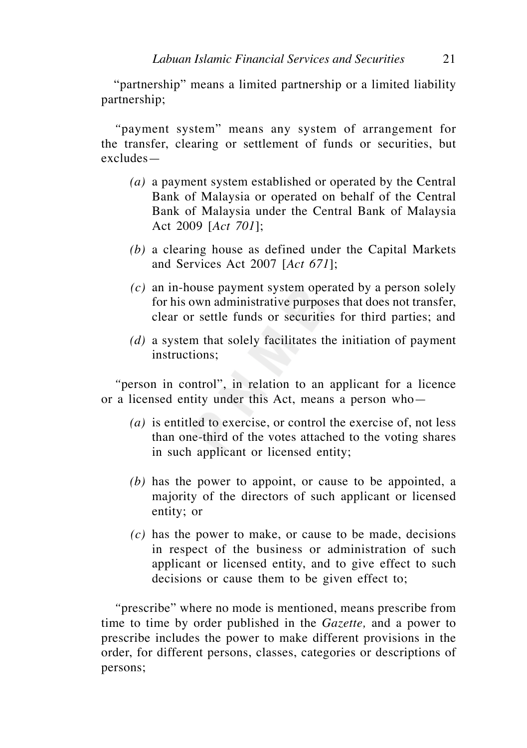"partnership" means a limited partnership or a limited liability partnership;

 *"*payment system" means any system of arrangement for the transfer, clearing or settlement of funds or securities, but excludes—

- *(a)* a payment system established or operated by the Central Bank of Malaysia or operated on behalf of the Central Bank of Malaysia under the Central Bank of Malaysia Act 2009 [*Act 701*];
- *(b)* a clearing house as defined under the Capital Markets and Services Act 2007 [*Act 671*];
- *(c)* an in-house payment system operated by a person solely for his own administrative purposes that does not transfer, clear or settle funds or securities for third parties; and
- *(d)* a system that solely facilitates the initiation of payment instructions;

 *"*person in control", in relation to an applicant for a licence or a licensed entity under this Act, means a person who—

- *(a)* is entitled to exercise, or control the exercise of, not less than one-third of the votes attached to the voting shares in such applicant or licensed entity;
- *(b)* has the power to appoint, or cause to be appointed, a majority of the directors of such applicant or licensed entity; or
- *(c)* has the power to make, or cause to be made, decisions in respect of the business or administration of such applicant or licensed entity, and to give effect to such decisions or cause them to be given effect to;

 *"*prescribe" where no mode is mentioned, means prescribe from time to time by order published in the *Gazette,* and a power to prescribe includes the power to make different provisions in the order, for different persons, classes, categories or descriptions of persons;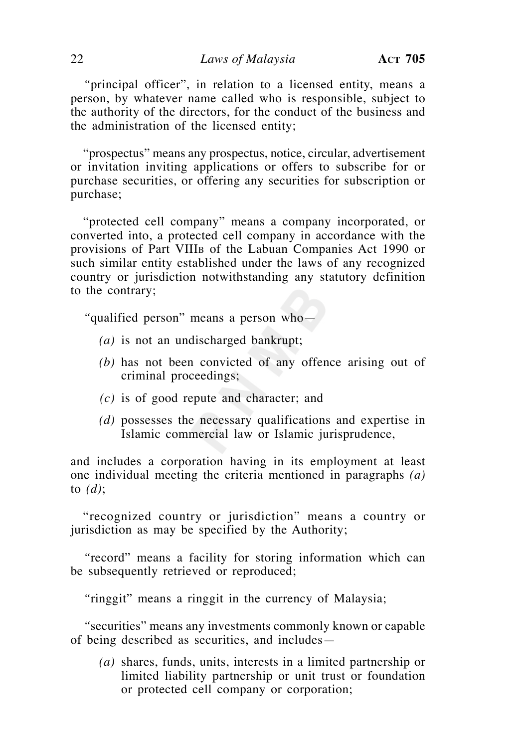*"*principal officer", in relation to a licensed entity, means a person, by whatever name called who is responsible, subject to the authority of the directors, for the conduct of the business and the administration of the licensed entity;

 "prospectus" means any prospectus, notice, circular, advertisement or invitation inviting applications or offers to subscribe for or purchase securities, or offering any securities for subscription or purchase;

 "protected cell company" means a company incorporated, or converted into, a protected cell company in accordance with the provisions of Part VIIIB of the Labuan Companies Act 1990 or such similar entity established under the laws of any recognized country or jurisdiction notwithstanding any statutory definition to the contrary;

 *"*qualified person" means a person who—

- *(a)* is not an undischarged bankrupt;
- *(b)* has not been convicted of any offence arising out of criminal proceedings;
- *(c)* is of good repute and character; and
- *(d)* possesses the necessary qualifications and expertise in Islamic commercial law or Islamic jurisprudence,

and includes a corporation having in its employment at least one individual meeting the criteria mentioned in paragraphs *(a)* to *(d)*;

 "recognized country or jurisdiction" means a country or jurisdiction as may be specified by the Authority;

 *"*record" means a facility for storing information which can be subsequently retrieved or reproduced;

 *"*ringgit" means a ringgit in the currency of Malaysia;

 *"*securities" means any investments commonly known or capable of being described as securities, and includes—

 *(a)* shares, funds, units, interests in a limited partnership or limited liability partnership or unit trust or foundation or protected cell company or corporation;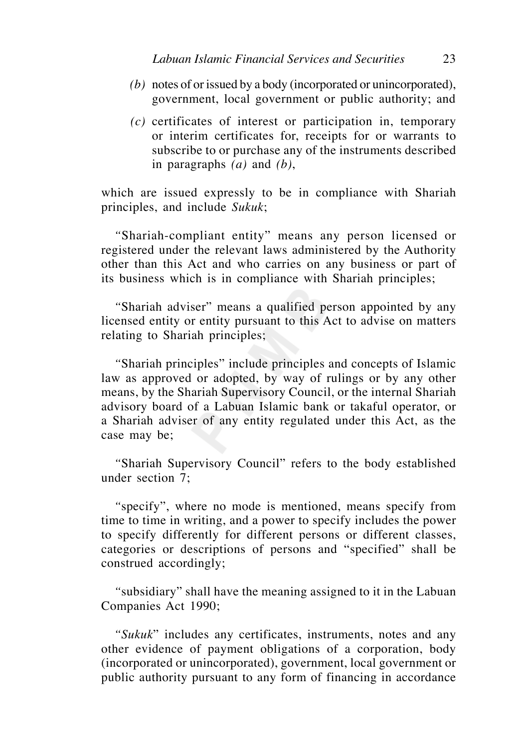- *(b)* notes of or issued by a body (incorporated or unincorporated), government, local government or public authority; and
- *(c)* certificates of interest or participation in, temporary or interim certificates for, receipts for or warrants to subscribe to or purchase any of the instruments described in paragraphs *(a)* and *(b)*,

which are issued expressly to be in compliance with Shariah principles, and include *Sukuk*;

 *"*Shariah-compliant entity" means any person licensed or registered under the relevant laws administered by the Authority other than this Act and who carries on any business or part of its business which is in compliance with Shariah principles;

 *"*Shariah adviser" means a qualified person appointed by any licensed entity or entity pursuant to this Act to advise on matters relating to Shariah principles;

 *"*Shariah principles" include principles and concepts of Islamic law as approved or adopted, by way of rulings or by any other means, by the Shariah Supervisory Council, or the internal Shariah advisory board of a Labuan Islamic bank or takaful operator, or a Shariah adviser of any entity regulated under this Act, as the case may be;

 *"*Shariah Supervisory Council" refers to the body established under section 7;

 *"*specify", where no mode is mentioned, means specify from time to time in writing, and a power to specify includes the power to specify differently for different persons or different classes, categories or descriptions of persons and "specified" shall be construed accordingly;

 *"*subsidiary" shall have the meaning assigned to it in the Labuan Companies Act 1990;

 *"Sukuk*" includes any certificates, instruments, notes and any other evidence of payment obligations of a corporation, body (incorporated or unincorporated), government, local government or public authority pursuant to any form of financing in accordance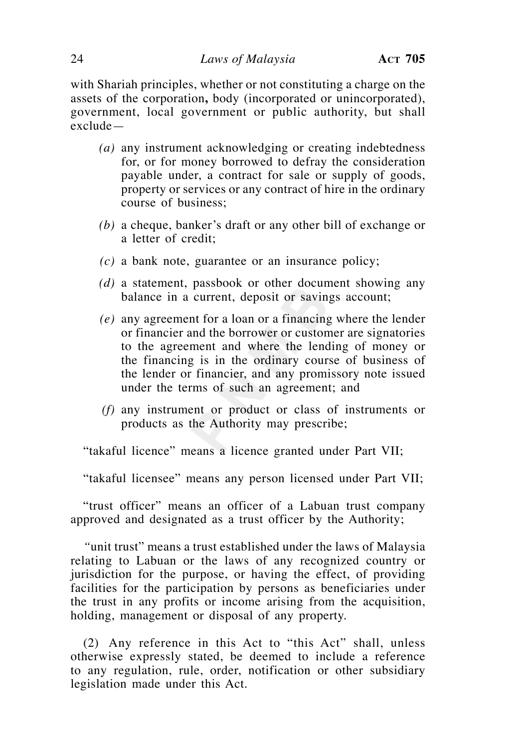with Shariah principles, whether or not constituting a charge on the assets of the corporation**,** body (incorporated or unincorporated), government, local government or public authority, but shall exclude—

- *(a)* any instrument acknowledging or creating indebtedness for, or for money borrowed to defray the consideration payable under, a contract for sale or supply of goods, property or services or any contract of hire in the ordinary course of business;
- *(b)* a cheque, banker's draft or any other bill of exchange or a letter of credit;
- *(c)* a bank note, guarantee or an insurance policy;
- *(d)* a statement, passbook or other document showing any balance in a current, deposit or savings account;
- *(e)* any agreement for a loan or a financing where the lender or financier and the borrower or customer are signatories to the agreement and where the lending of money or the financing is in the ordinary course of business of the lender or financier, and any promissory note issued under the terms of such an agreement; and
- *(f)* any instrument or product or class of instruments or products as the Authority may prescribe;

"takaful licence" means a licence granted under Part VII;

"takaful licensee" means any person licensed under Part VII;

 "trust officer" means an officer of a Labuan trust company approved and designated as a trust officer by the Authority;

 *"*unit trust" means a trust established under the laws of Malaysia relating to Labuan or the laws of any recognized country or jurisdiction for the purpose, or having the effect, of providing facilities for the participation by persons as beneficiaries under the trust in any profits or income arising from the acquisition, holding, management or disposal of any property.

(2) Any reference in this Act to "this Act" shall, unless otherwise expressly stated, be deemed to include a reference to any regulation, rule, order, notification or other subsidiary legislation made under this Act.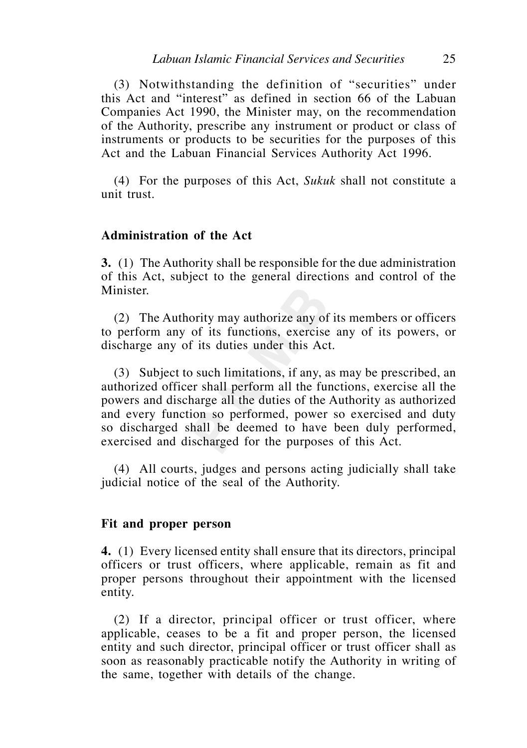(3) Notwithstanding the definition of "securities" under this Act and "interest" as defined in section 66 of the Labuan Companies Act 1990, the Minister may, on the recommendation of the Authority, prescribe any instrument or product or class of instruments or products to be securities for the purposes of this Act and the Labuan Financial Services Authority Act 1996.

 (4) For the purposes of this Act, *Sukuk* shall not constitute a unit trust.

## **Administration of the Act**

**3.** (1) The Authority shall be responsible for the due administration of this Act, subject to the general directions and control of the Minister.

 (2) The Authority may authorize any of its members or officers to perform any of its functions, exercise any of its powers, or discharge any of its duties under this Act.

 (3) Subject to such limitations, if any, as may be prescribed, an authorized officer shall perform all the functions, exercise all the powers and discharge all the duties of the Authority as authorized and every function so performed, power so exercised and duty so discharged shall be deemed to have been duly performed, exercised and discharged for the purposes of this Act.

 (4) All courts, judges and persons acting judicially shall take judicial notice of the seal of the Authority.

## **Fit and proper person**

**4.** (1) Every licensed entity shall ensure that its directors, principal officers or trust officers, where applicable, remain as fit and proper persons throughout their appointment with the licensed entity.

 (2) If a director, principal officer or trust officer, where applicable, ceases to be a fit and proper person, the licensed entity and such director, principal officer or trust officer shall as soon as reasonably practicable notify the Authority in writing of the same, together with details of the change.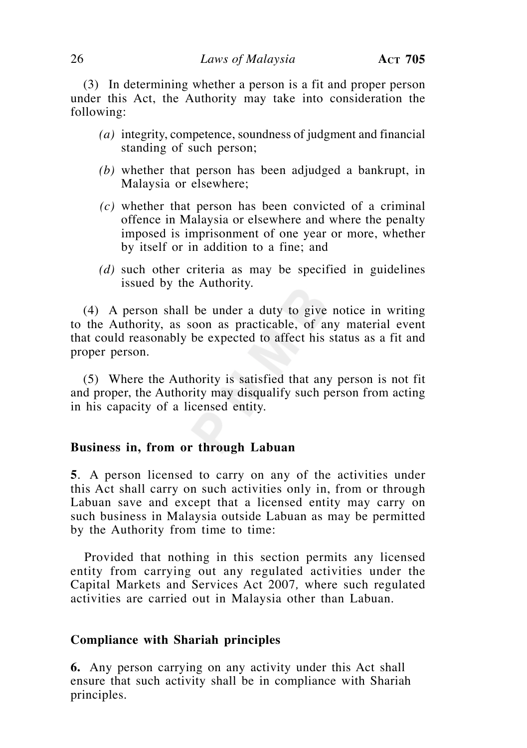(3) In determining whether a person is a fit and proper person under this Act, the Authority may take into consideration the following:

- *(a)* integrity, competence, soundness of judgment and financial standing of such person;
- *(b)* whether that person has been adjudged a bankrupt, in Malaysia or elsewhere;
- *(c)* whether that person has been convicted of a criminal offence in Malaysia or elsewhere and where the penalty imposed is imprisonment of one year or more, whether by itself or in addition to a fine; and
- *(d)* such other criteria as may be specified in guidelines issued by the Authority.

 (4) A person shall be under a duty to give notice in writing to the Authority, as soon as practicable, of any material event that could reasonably be expected to affect his status as a fit and proper person.

 (5) Where the Authority is satisfied that any person is not fit and proper, the Authority may disqualify such person from acting in his capacity of a licensed entity.

## **Business in, from or through Labuan**

**5**. A person licensed to carry on any of the activities under this Act shall carry on such activities only in, from or through Labuan save and except that a licensed entity may carry on such business in Malaysia outside Labuan as may be permitted by the Authority from time to time:

 Provided that nothing in this section permits any licensed entity from carrying out any regulated activities under the Capital Markets and Services Act 2007*,* where such regulated activities are carried out in Malaysia other than Labuan.

#### **Compliance with Shariah principles**

**6.** Any person carrying on any activity under this Act shall ensure that such activity shall be in compliance with Shariah principles.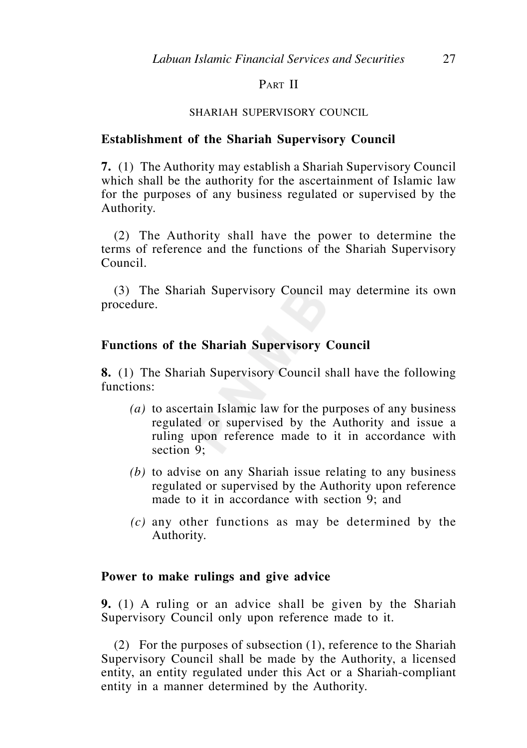## PART II

#### SHARIAH SUPERVISORY COUNCIL

## **Establishment of the Shariah Supervisory Council**

**7.** (1) The Authority may establish a Shariah Supervisory Council which shall be the authority for the ascertainment of Islamic law for the purposes of any business regulated or supervised by the Authority.

 (2) The Authority shall have the power to determine the terms of reference and the functions of the Shariah Supervisory Council.

 (3) The Shariah Supervisory Council may determine its own procedure.

## **Functions of the Shariah Supervisory Council**

**8.** (1) The Shariah Supervisory Council shall have the following functions:

- *(a)* to ascertain Islamic law for the purposes of any business regulated or supervised by the Authority and issue a ruling upon reference made to it in accordance with section 9;
- *(b)* to advise on any Shariah issue relating to any business regulated or supervised by the Authority upon reference made to it in accordance with section 9; and
- *(c)* any other functions as may be determined by the Authority.

## **Power to make rulings and give advice**

**9.** (1) A ruling or an advice shall be given by the Shariah Supervisory Council only upon reference made to it.

 (2) For the purposes of subsection (1), reference to the Shariah Supervisory Council shall be made by the Authority, a licensed entity, an entity regulated under this Act or a Shariah-compliant entity in a manner determined by the Authority.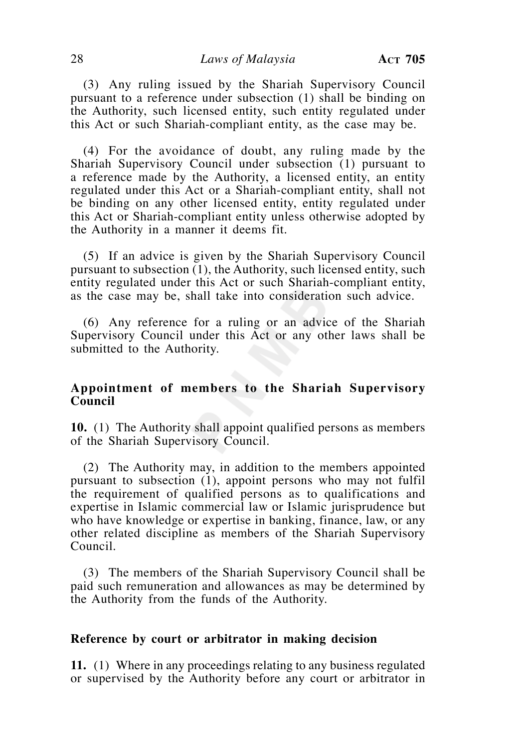(3) Any ruling issued by the Shariah Supervisory Council pursuant to a reference under subsection (1) shall be binding on the Authority, such licensed entity, such entity regulated under this Act or such Shariah-compliant entity, as the case may be.

 (4) For the avoidance of doubt, any ruling made by the Shariah Supervisory Council under subsection (1) pursuant to a reference made by the Authority, a licensed entity, an entity regulated under this Act or a Shariah-compliant entity, shall not be binding on any other licensed entity, entity regulated under this Act or Shariah-compliant entity unless otherwise adopted by the Authority in a manner it deems fit.

 (5) If an advice is given by the Shariah Supervisory Council pursuant to subsection (1), the Authority, such licensed entity, such entity regulated under this Act or such Shariah-compliant entity, as the case may be, shall take into consideration such advice.

 (6) Any reference for a ruling or an advice of the Shariah Supervisory Council under this Act or any other laws shall be submitted to the Authority.

## **Appointment of members to the Shariah Supervisory Council**

**10.** (1) The Authority shall appoint qualified persons as members of the Shariah Supervisory Council.

 (2) The Authority may, in addition to the members appointed pursuant to subsection (1), appoint persons who may not fulfil the requirement of qualified persons as to qualifications and expertise in Islamic commercial law or Islamic jurisprudence but who have knowledge or expertise in banking, finance, law, or any other related discipline as members of the Shariah Supervisory Council.

 (3) The members of the Shariah Supervisory Council shall be paid such remuneration and allowances as may be determined by the Authority from the funds of the Authority.

#### **Reference by court or arbitrator in making decision**

**11.** (1) Where in any proceedings relating to any business regulated or supervised by the Authority before any court or arbitrator in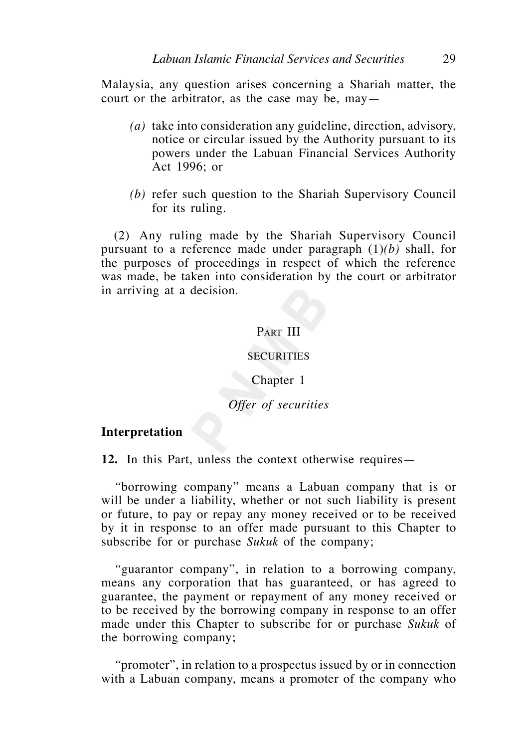Malaysia, any question arises concerning a Shariah matter, the court or the arbitrator, as the case may be, may—

- *(a)* take into consideration any guideline, direction, advisory, notice or circular issued by the Authority pursuant to its powers under the Labuan Financial Services Authority Act 1996; or
- *(b)* refer such question to the Shariah Supervisory Council for its ruling.

 (2) Any ruling made by the Shariah Supervisory Council pursuant to a reference made under paragraph (1)*(b)* shall, for the purposes of proceedings in respect of which the reference was made, be taken into consideration by the court or arbitrator in arriving at a decision.

## PART III

## **SECURITIES**

#### Chapter 1

## *Offer of securities*

#### **Interpretation**

**12.** In this Part, unless the context otherwise requires—

 *"*borrowing company" means a Labuan company that is or will be under a liability, whether or not such liability is present or future, to pay or repay any money received or to be received by it in response to an offer made pursuant to this Chapter to subscribe for or purchase *Sukuk* of the company;

 *"*guarantor company", in relation to a borrowing company, means any corporation that has guaranteed, or has agreed to guarantee, the payment or repayment of any money received or to be received by the borrowing company in response to an offer made under this Chapter to subscribe for or purchase *Sukuk* of the borrowing company;

 *"*promoter", in relation to a prospectus issued by or in connection with a Labuan company, means a promoter of the company who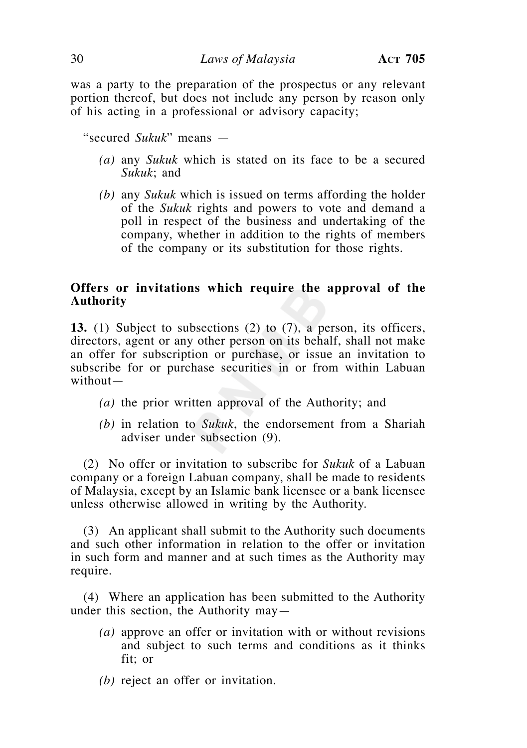was a party to the preparation of the prospectus or any relevant portion thereof, but does not include any person by reason only of his acting in a professional or advisory capacity;

"secured *Sukuk*" means —

- *(a)* any *Sukuk* which is stated on its face to be a secured *Sukuk*; and
- *(b)* any *Sukuk* which is issued on terms affording the holder of the *Sukuk* rights and powers to vote and demand a poll in respect of the business and undertaking of the company, whether in addition to the rights of members of the company or its substitution for those rights.

## **Offers or invitations which require the approval of the Authority**

**13.** (1) Subject to subsections (2) to (7), a person, its officers, directors, agent or any other person on its behalf, shall not make an offer for subscription or purchase, or issue an invitation to subscribe for or purchase securities in or from within Labuan without—

- *(a)* the prior written approval of the Authority; and
- *(b)* in relation to *Sukuk*, the endorsement from a Shariah adviser under subsection (9).

 (2) No offer or invitation to subscribe for *Sukuk* of a Labuan company or a foreign Labuan company, shall be made to residents of Malaysia, except by an Islamic bank licensee or a bank licensee unless otherwise allowed in writing by the Authority.

 (3) An applicant shall submit to the Authority such documents and such other information in relation to the offer or invitation in such form and manner and at such times as the Authority may require.

 (4) Where an application has been submitted to the Authority under this section, the Authority may—

- *(a)* approve an offer or invitation with or without revisions and subject to such terms and conditions as it thinks fit; or
- *(b)* reject an offer or invitation.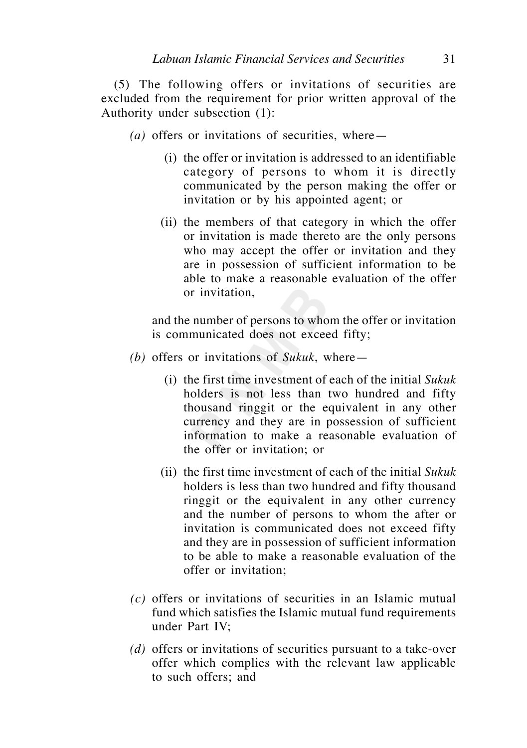(5) The following offers or invitations of securities are excluded from the requirement for prior written approval of the Authority under subsection (1):

- *(a)* offers or invitations of securities, where—
	- (i) the offer or invitation is addressed to an identifiable category of persons to whom it is directly communicated by the person making the offer or invitation or by his appointed agent; or
	- (ii) the members of that category in which the offer or invitation is made thereto are the only persons who may accept the offer or invitation and they are in possession of sufficient information to be able to make a reasonable evaluation of the offer or invitation,

 and the number of persons to whom the offer or invitation is communicated does not exceed fifty;

- *(b)* offers or invitations of *Sukuk*, where—
	- (i) the first time investment of each of the initial *Sukuk* holders is not less than two hundred and fifty thousand ringgit or the equivalent in any other currency and they are in possession of sufficient information to make a reasonable evaluation of the offer or invitation; or
	- (ii) the first time investment of each of the initial *Sukuk* holders is less than two hundred and fifty thousand ringgit or the equivalent in any other currency and the number of persons to whom the after or invitation is communicated does not exceed fifty and they are in possession of sufficient information to be able to make a reasonable evaluation of the offer or invitation;
- *(c)* offers or invitations of securities in an Islamic mutual fund which satisfies the Islamic mutual fund requirements under Part IV;
- *(d)* offers or invitations of securities pursuant to a take-over offer which complies with the relevant law applicable to such offers; and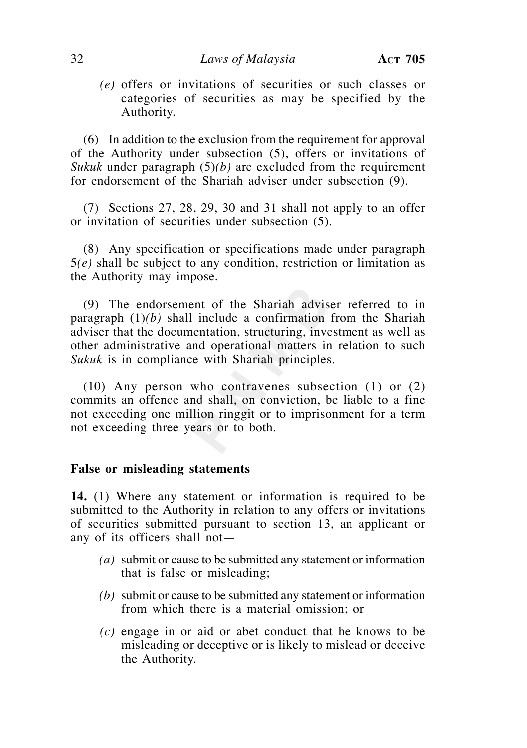*(e)* offers or invitations of securities or such classes or categories of securities as may be specified by the Authority.

 (6) In addition to the exclusion from the requirement for approval of the Authority under subsection (5), offers or invitations of *Sukuk* under paragraph (5)*(b)* are excluded from the requirement for endorsement of the Shariah adviser under subsection (9).

 (7) Sections 27, 28, 29, 30 and 31 shall not apply to an offer or invitation of securities under subsection (5).

 (8) Any specification or specifications made under paragraph 5*(e)* shall be subject to any condition, restriction or limitation as the Authority may impose.

 (9) The endorsement of the Shariah adviser referred to in paragraph (1)*(b)* shall include a confirmation from the Shariah adviser that the documentation, structuring, investment as well as other administrative and operational matters in relation to such *Sukuk* is in compliance with Shariah principles.

 (10) Any person who contravenes subsection (1) or (2) commits an offence and shall, on conviction, be liable to a fine not exceeding one million ringgit or to imprisonment for a term not exceeding three years or to both.

## **False or misleading statements**

**14.** (1) Where any statement or information is required to be submitted to the Authority in relation to any offers or invitations of securities submitted pursuant to section 13, an applicant or any of its officers shall not—

- *(a)* submit or cause to be submitted any statement or information that is false or misleading;
- *(b)* submit or cause to be submitted any statement or information from which there is a material omission; or
- *(c)* engage in or aid or abet conduct that he knows to be misleading or deceptive or is likely to mislead or deceive the Authority.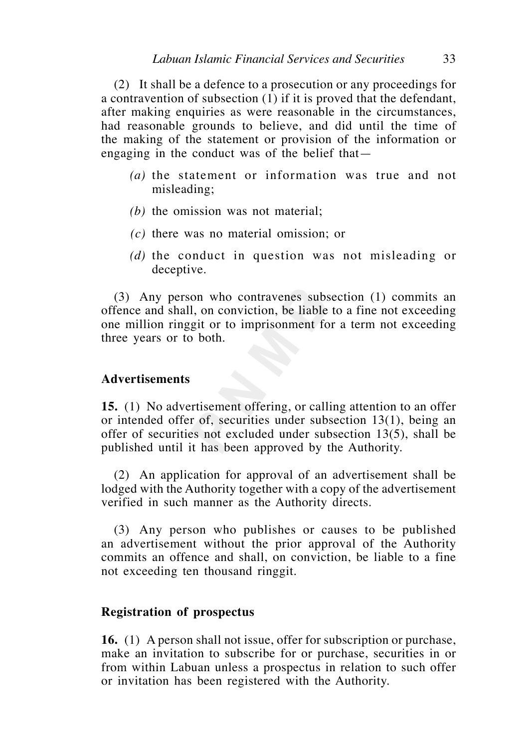(2) It shall be a defence to a prosecution or any proceedings for a contravention of subsection (1) if it is proved that the defendant, after making enquiries as were reasonable in the circumstances, had reasonable grounds to believe, and did until the time of the making of the statement or provision of the information or engaging in the conduct was of the belief that—

- *(a)* the statement or information was true and not misleading;
- *(b)* the omission was not material;
- *(c)* there was no material omission; or
- *(d)* the conduct in question was not misleading or deceptive.

 (3) Any person who contravenes subsection (1) commits an offence and shall, on conviction, be liable to a fine not exceeding one million ringgit or to imprisonment for a term not exceeding three years or to both.

## **Advertisements**

**15.** (1) No advertisement offering, or calling attention to an offer or intended offer of, securities under subsection 13(1), being an offer of securities not excluded under subsection 13(5), shall be published until it has been approved by the Authority.

 (2) An application for approval of an advertisement shall be lodged with the Authority together with a copy of the advertisement verified in such manner as the Authority directs.

 (3) Any person who publishes or causes to be published an advertisement without the prior approval of the Authority commits an offence and shall, on conviction, be liable to a fine not exceeding ten thousand ringgit.

## **Registration of prospectus**

**16.** (1) A person shall not issue, offer for subscription or purchase, make an invitation to subscribe for or purchase, securities in or from within Labuan unless a prospectus in relation to such offer or invitation has been registered with the Authority.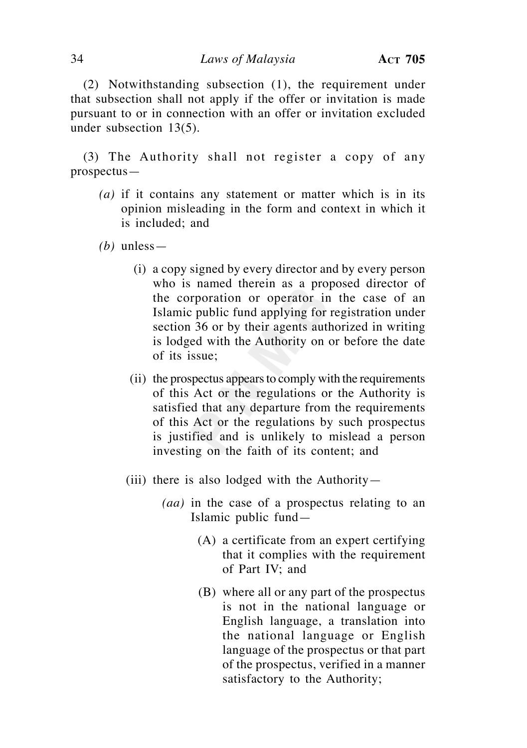(2) Notwithstanding subsection (1), the requirement under that subsection shall not apply if the offer or invitation is made pursuant to or in connection with an offer or invitation excluded under subsection 13(5).

 (3) The Authority shall not register a copy of any prospectus—

- *(a)* if it contains any statement or matter which is in its opinion misleading in the form and context in which it is included; and
- *(b)* unless—
	- (i) a copy signed by every director and by every person who is named therein as a proposed director of the corporation or operator in the case of an Islamic public fund applying for registration under section 36 or by their agents authorized in writing is lodged with the Authority on or before the date of its issue;
	- (ii) the prospectus appears to comply with the requirements of this Act or the regulations or the Authority is satisfied that any departure from the requirements of this Act or the regulations by such prospectus is justified and is unlikely to mislead a person investing on the faith of its content; and
	- (iii) there is also lodged with the Authority-
		- *(aa)* in the case of a prospectus relating to an Islamic public fund—
			- (A) a certificate from an expert certifying that it complies with the requirement of Part IV; and
			- (B) where all or any part of the prospectus is not in the national language or English language, a translation into the national language or English language of the prospectus or that part of the prospectus, verified in a manner satisfactory to the Authority;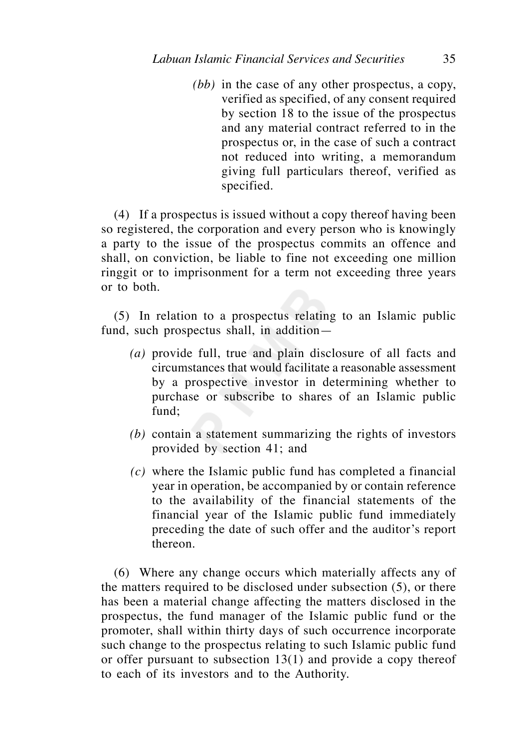*(bb)* in the case of any other prospectus, a copy, verified as specified, of any consent required by section 18 to the issue of the prospectus and any material contract referred to in the prospectus or, in the case of such a contract not reduced into writing, a memorandum giving full particulars thereof, verified as specified.

 (4) If a prospectus is issued without a copy thereof having been so registered, the corporation and every person who is knowingly a party to the issue of the prospectus commits an offence and shall, on conviction, be liable to fine not exceeding one million ringgit or to imprisonment for a term not exceeding three years or to both.

 (5) In relation to a prospectus relating to an Islamic public fund, such prospectus shall, in addition—

- *(a)* provide full, true and plain disclosure of all facts and circumstances that would facilitate a reasonable assessment by a prospective investor in determining whether to purchase or subscribe to shares of an Islamic public fund;
- *(b)* contain a statement summarizing the rights of investors provided by section 41; and
- *(c)* where the Islamic public fund has completed a financial year in operation, be accompanied by or contain reference to the availability of the financial statements of the financial year of the Islamic public fund immediately preceding the date of such offer and the auditor's report thereon.

 (6) Where any change occurs which materially affects any of the matters required to be disclosed under subsection (5), or there has been a material change affecting the matters disclosed in the prospectus, the fund manager of the Islamic public fund or the promoter, shall within thirty days of such occurrence incorporate such change to the prospectus relating to such Islamic public fund or offer pursuant to subsection 13(1) and provide a copy thereof to each of its investors and to the Authority.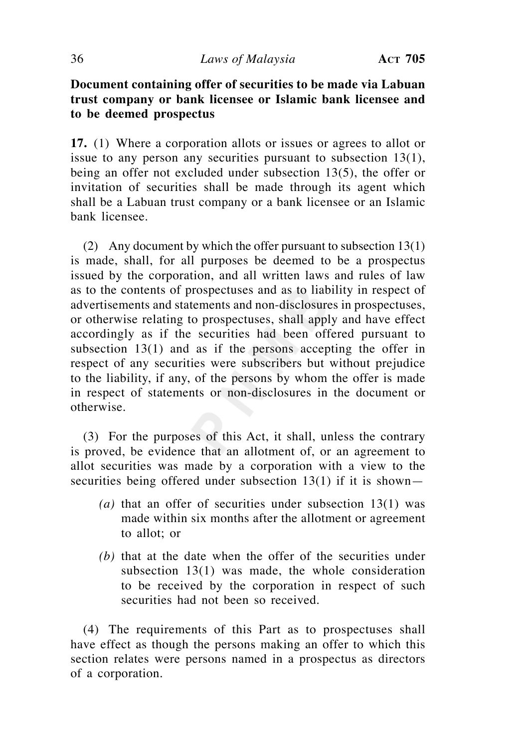## **Document containing offer of securities to be made via Labuan trust company or bank licensee or Islamic bank licensee and**  to be deemed prospectus

**17.** (1) Where a corporation allots or issues or agrees to allot or issue to any person any securities pursuant to subsection 13(1), being an offer not excluded under subsection 13(5), the offer or invitation of securities shall be made through its agent which shall be a Labuan trust company or a bank licensee or an Islamic bank licensee.

 (2) Any document by which the offer pursuant to subsection 13(1) is made, shall, for all purposes be deemed to be a prospectus issued by the corporation, and all written laws and rules of law as to the contents of prospectuses and as to liability in respect of advertisements and statements and non-disclosures in prospectuses, or otherwise relating to prospectuses, shall apply and have effect accordingly as if the securities had been offered pursuant to subsection 13(1) and as if the persons accepting the offer in respect of any securities were subscribers but without prejudice to the liability, if any, of the persons by whom the offer is made in respect of statements or non-disclosures in the document or otherwise.

 (3) For the purposes of this Act, it shall, unless the contrary is proved, be evidence that an allotment of, or an agreement to allot securities was made by a corporation with a view to the securities being offered under subsection  $13(1)$  if it is shown-

- *(a)* that an offer of securities under subsection 13(1) was made within six months after the allotment or agreement to allot; or
- *(b)* that at the date when the offer of the securities under subsection 13(1) was made, the whole consideration to be received by the corporation in respect of such securities had not been so received.

 (4) The requirements of this Part as to prospectuses shall have effect as though the persons making an offer to which this section relates were persons named in a prospectus as directors of a corporation.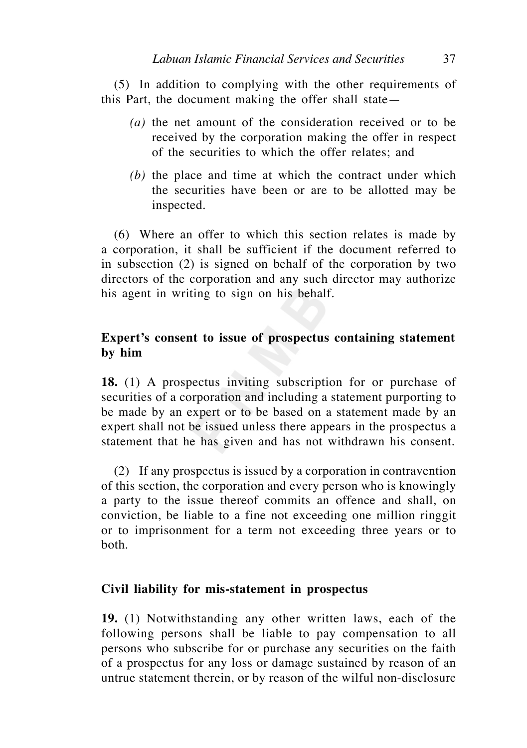(5) In addition to complying with the other requirements of this Part, the document making the offer shall state—

- *(a)* the net amount of the consideration received or to be received by the corporation making the offer in respect of the securities to which the offer relates; and
- *(b)* the place and time at which the contract under which the securities have been or are to be allotted may be inspected.

 (6) Where an offer to which this section relates is made by a corporation, it shall be sufficient if the document referred to in subsection (2) is signed on behalf of the corporation by two directors of the corporation and any such director may authorize his agent in writing to sign on his behalf.

# **Expert's consent to issue of prospectus containing statement by him**

**18.** (1) A prospectus inviting subscription for or purchase of securities of a corporation and including a statement purporting to be made by an expert or to be based on a statement made by an expert shall not be issued unless there appears in the prospectus a statement that he has given and has not withdrawn his consent.

 (2) If any prospectus is issued by a corporation in contravention of this section, the corporation and every person who is knowingly a party to the issue thereof commits an offence and shall, on conviction, be liable to a fine not exceeding one million ringgit or to imprisonment for a term not exceeding three years or to both.

## **Civil liability for mis-statement in prospectus**

**19.** (1) Notwithstanding any other written laws, each of the following persons shall be liable to pay compensation to all persons who subscribe for or purchase any securities on the faith of a prospectus for any loss or damage sustained by reason of an untrue statement therein, or by reason of the wilful non-disclosure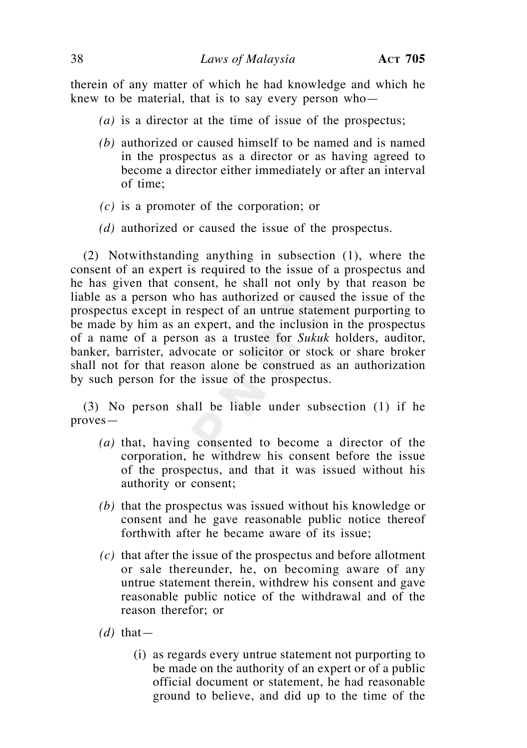therein of any matter of which he had knowledge and which he knew to be material, that is to say every person who—

- *(a)* is a director at the time of issue of the prospectus;
- *(b)* authorized or caused himself to be named and is named in the prospectus as a director or as having agreed to become a director either immediately or after an interval of time;
- *(c)* is a promoter of the corporation; or
- *(d)* authorized or caused the issue of the prospectus.

 (2) Notwithstanding anything in subsection (1), where the consent of an expert is required to the issue of a prospectus and he has given that consent, he shall not only by that reason be liable as a person who has authorized or caused the issue of the prospectus except in respect of an untrue statement purporting to be made by him as an expert, and the inclusion in the prospectus of a name of a person as a trustee for *Sukuk* holders, auditor, banker, barrister, advocate or solicitor or stock or share broker shall not for that reason alone be construed as an authorization by such person for the issue of the prospectus.

 (3) No person shall be liable under subsection (1) if he proves—

- *(a)* that, having consented to become a director of the corporation, he withdrew his consent before the issue of the prospectus, and that it was issued without his authority or consent;
- *(b)* that the prospectus was issued without his knowledge or consent and he gave reasonable public notice thereof forthwith after he became aware of its issue;
- *(c)* that after the issue of the prospectus and before allotment or sale thereunder, he, on becoming aware of any untrue statement therein, withdrew his consent and gave reasonable public notice of the withdrawal and of the reason therefor; or
- $(d)$  that
	- (i) as regards every untrue statement not purporting to be made on the authority of an expert or of a public official document or statement, he had reasonable ground to believe, and did up to the time of the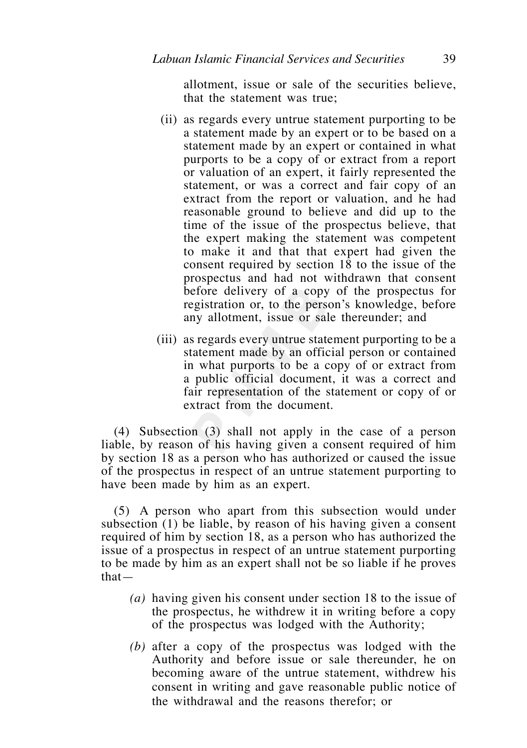allotment, issue or sale of the securities believe, that the statement was true;

- (ii) as regards every untrue statement purporting to be a statement made by an expert or to be based on a statement made by an expert or contained in what purports to be a copy of or extract from a report or valuation of an expert, it fairly represented the statement, or was a correct and fair copy of an extract from the report or valuation, and he had reasonable ground to believe and did up to the time of the issue of the prospectus believe, that the expert making the statement was competent to make it and that that expert had given the consent required by section 18 to the issue of the prospectus and had not withdrawn that consent before delivery of a copy of the prospectus for registration or, to the person's knowledge, before any allotment, issue or sale thereunder; and
- (iii) as regards every untrue statement purporting to be a statement made by an official person or contained in what purports to be a copy of or extract from a public official document, it was a correct and fair representation of the statement or copy of or extract from the document.

 (4) Subsection (3) shall not apply in the case of a person liable, by reason of his having given a consent required of him by section 18 as a person who has authorized or caused the issue of the prospectus in respect of an untrue statement purporting to have been made by him as an expert.

 (5) A person who apart from this subsection would under subsection (1) be liable, by reason of his having given a consent required of him by section 18, as a person who has authorized the issue of a prospectus in respect of an untrue statement purporting to be made by him as an expert shall not be so liable if he proves that—

- *(a)* having given his consent under section 18 to the issue of the prospectus, he withdrew it in writing before a copy of the prospectus was lodged with the Authority;
- *(b)* after a copy of the prospectus was lodged with the Authority and before issue or sale thereunder, he on becoming aware of the untrue statement, withdrew his consent in writing and gave reasonable public notice of the withdrawal and the reasons therefor; or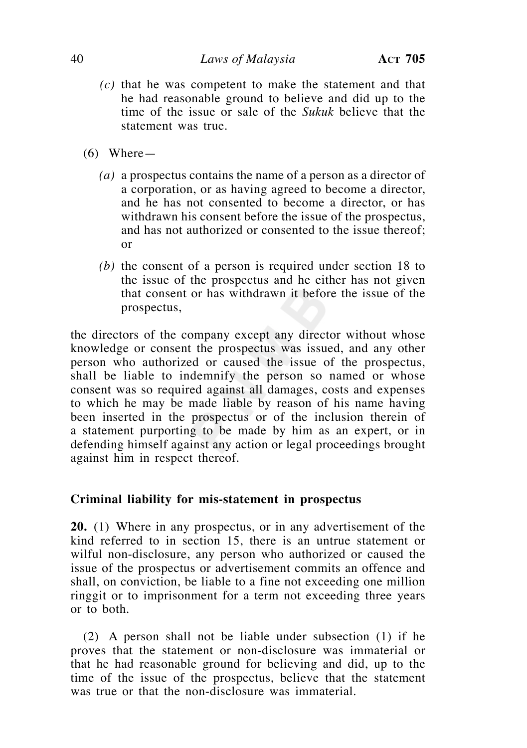- *(c)* that he was competent to make the statement and that he had reasonable ground to believe and did up to the time of the issue or sale of the *Sukuk* believe that the statement was true.
- $(6)$  Where
	- *(a)* a prospectus contains the name of a person as a director of a corporation, or as having agreed to become a director, and he has not consented to become a director, or has withdrawn his consent before the issue of the prospectus, and has not authorized or consented to the issue thereof; or
	- *(b)* the consent of a person is required under section 18 to the issue of the prospectus and he either has not given that consent or has withdrawn it before the issue of the prospectus,

the directors of the company except any director without whose knowledge or consent the prospectus was issued, and any other person who authorized or caused the issue of the prospectus, shall be liable to indemnify the person so named or whose consent was so required against all damages, costs and expenses to which he may be made liable by reason of his name having been inserted in the prospectus or of the inclusion therein of a statement purporting to be made by him as an expert, or in defending himself against any action or legal proceedings brought against him in respect thereof.

# **Criminal liability for mis-statement in prospectus**

**20.** (1) Where in any prospectus, or in any advertisement of the kind referred to in section 15, there is an untrue statement or wilful non-disclosure, any person who authorized or caused the issue of the prospectus or advertisement commits an offence and shall, on conviction, be liable to a fine not exceeding one million ringgit or to imprisonment for a term not exceeding three years or to both.

 (2) A person shall not be liable under subsection (1) if he proves that the statement or non-disclosure was immaterial or that he had reasonable ground for believing and did, up to the time of the issue of the prospectus, believe that the statement was true or that the non-disclosure was immaterial.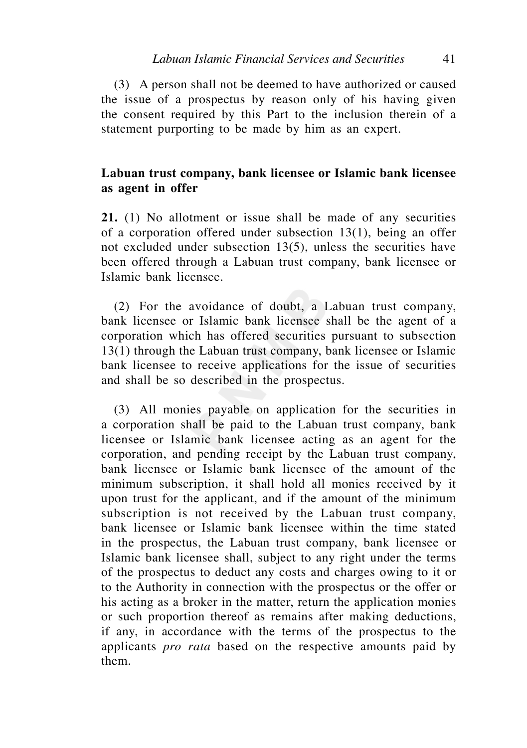(3) A person shall not be deemed to have authorized or caused the issue of a prospectus by reason only of his having given the consent required by this Part to the inclusion therein of a statement purporting to be made by him as an expert.

# **Labuan trust company, bank licensee or Islamic bank licensee as agent in offer**

**21.** (1) No allotment or issue shall be made of any securities of a corporation offered under subsection 13(1), being an offer not excluded under subsection 13(5), unless the securities have been offered through a Labuan trust company, bank licensee or Islamic bank licensee.

 (2) For the avoidance of doubt, a Labuan trust company, bank licensee or Islamic bank licensee shall be the agent of a corporation which has offered securities pursuant to subsection 13(1) through the Labuan trust company, bank licensee or Islamic bank licensee to receive applications for the issue of securities and shall be so described in the prospectus.

 (3) All monies payable on application for the securities in a corporation shall be paid to the Labuan trust company, bank licensee or Islamic bank licensee acting as an agent for the corporation, and pending receipt by the Labuan trust company, bank licensee or Islamic bank licensee of the amount of the minimum subscription, it shall hold all monies received by it upon trust for the applicant, and if the amount of the minimum subscription is not received by the Labuan trust company, bank licensee or Islamic bank licensee within the time stated in the prospectus, the Labuan trust company, bank licensee or Islamic bank licensee shall, subject to any right under the terms of the prospectus to deduct any costs and charges owing to it or to the Authority in connection with the prospectus or the offer or his acting as a broker in the matter, return the application monies or such proportion thereof as remains after making deductions, if any, in accordance with the terms of the prospectus to the applicants *pro rata* based on the respective amounts paid by them.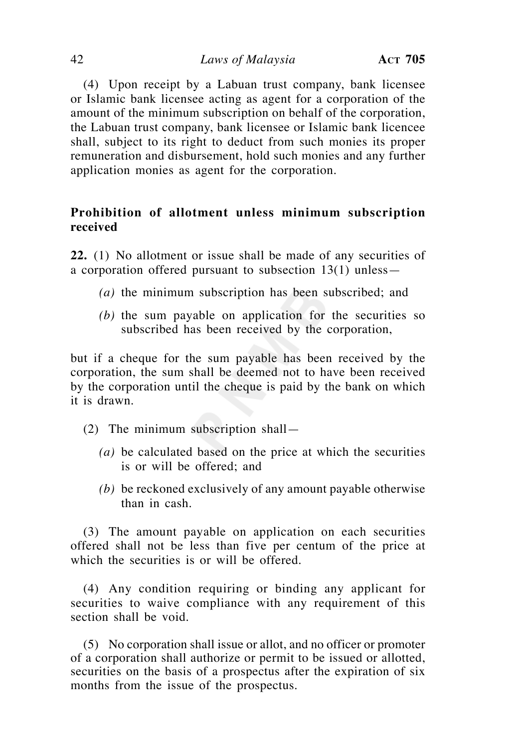(4) Upon receipt by a Labuan trust company, bank licensee or Islamic bank licensee acting as agent for a corporation of the amount of the minimum subscription on behalf of the corporation, the Labuan trust company, bank licensee or Islamic bank licencee shall, subject to its right to deduct from such monies its proper remuneration and disbursement, hold such monies and any further application monies as agent for the corporation.

# **Prohibition of allotment unless minimum subscription received**

**22.** (1) No allotment or issue shall be made of any securities of a corporation offered pursuant to subsection 13(1) unless—

- *(a)* the minimum subscription has been subscribed; and
- *(b)* the sum payable on application for the securities so subscribed has been received by the corporation,

but if a cheque for the sum payable has been received by the corporation, the sum shall be deemed not to have been received by the corporation until the cheque is paid by the bank on which it is drawn.

- (2) The minimum subscription shall—
	- *(a)* be calculated based on the price at which the securities is or will be offered; and
	- *(b)* be reckoned exclusively of any amount payable otherwise than in cash.

 (3) The amount payable on application on each securities offered shall not be less than five per centum of the price at which the securities is or will be offered.

 (4) Any condition requiring or binding any applicant for securities to waive compliance with any requirement of this section shall be void.

 (5) No corporation shall issue or allot, and no officer or promoter of a corporation shall authorize or permit to be issued or allotted, securities on the basis of a prospectus after the expiration of six months from the issue of the prospectus.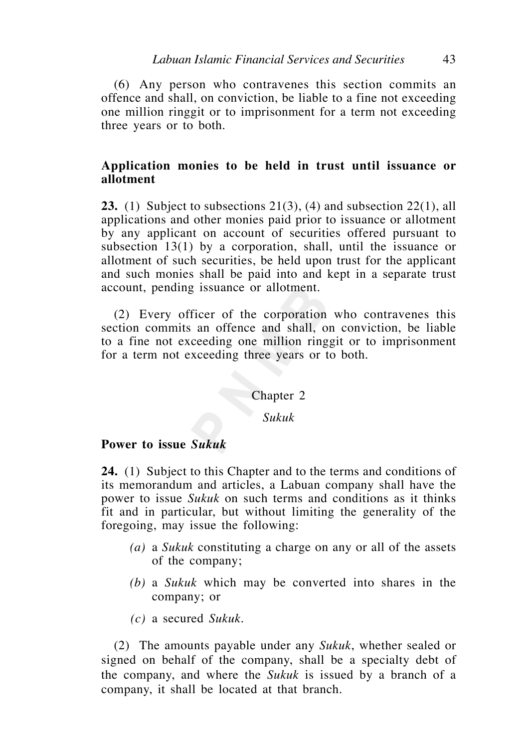(6) Any person who contravenes this section commits an offence and shall, on conviction, be liable to a fine not exceeding one million ringgit or to imprisonment for a term not exceeding three years or to both.

# **Application monies to be held in trust until issuance or allotment**

**23.** (1) Subject to subsections 21(3), (4) and subsection 22(1), all applications and other monies paid prior to issuance or allotment by any applicant on account of securities offered pursuant to subsection 13(1) by a corporation, shall, until the issuance or allotment of such securities, be held upon trust for the applicant and such monies shall be paid into and kept in a separate trust account, pending issuance or allotment.

 (2) Every officer of the corporation who contravenes this section commits an offence and shall, on conviction, be liable to a fine not exceeding one million ringgit or to imprisonment for a term not exceeding three years or to both.

## Chapter 2

# *Sukuk*

# **Power to issue** *Sukuk*

**24.** (1) Subject to this Chapter and to the terms and conditions of its memorandum and articles, a Labuan company shall have the power to issue *Sukuk* on such terms and conditions as it thinks fit and in particular, but without limiting the generality of the foregoing, may issue the following:

- *(a)* a *Sukuk* constituting a charge on any or all of the assets of the company;
- *(b)* a *Sukuk* which may be converted into shares in the company; or
- *(c)* a secured *Sukuk*.

 (2) The amounts payable under any *Sukuk*, whether sealed or signed on behalf of the company, shall be a specialty debt of the company, and where the *Sukuk* is issued by a branch of a company, it shall be located at that branch.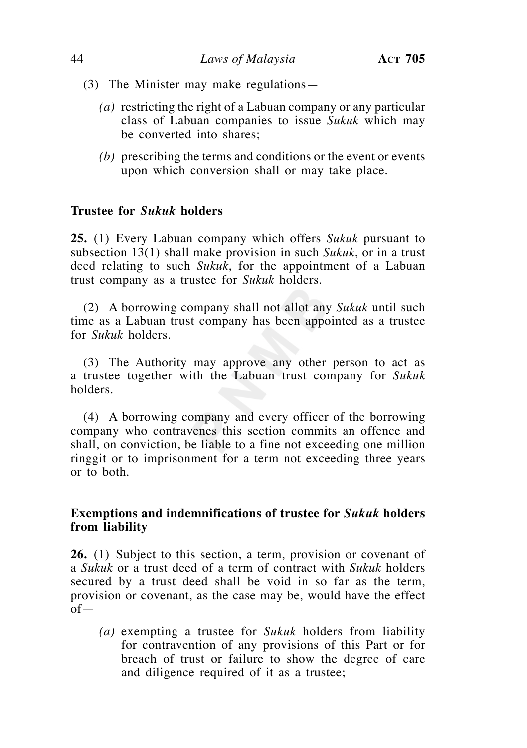- (3) The Minister may make regulations—
	- $(a)$  restricting the right of a Labuan company or any particular class of Labuan companies to issue *Sukuk* which may be converted into shares;
	- *(b)* prescribing the terms and conditions or the event or events upon which conversion shall or may take place.

# **Trustee for** *Sukuk* **holders**

**25.** (1) Every Labuan company which offers *Sukuk* pursuant to subsection 13(1) shall make provision in such *Sukuk*, or in a trust deed relating to such *Sukuk*, for the appointment of a Labuan trust company as a trustee for *Sukuk* holders.

 (2) A borrowing company shall not allot any *Sukuk* until such time as a Labuan trust company has been appointed as a trustee for *Sukuk* holders.

 (3) The Authority may approve any other person to act as a trustee together with the Labuan trust company for *Sukuk*  holders.

 (4) A borrowing company and every officer of the borrowing company who contravenes this section commits an offence and shall, on conviction, be liable to a fine not exceeding one million ringgit or to imprisonment for a term not exceeding three years or to both.

# **Exemptions and indemnifications of trustee for** *Sukuk* **holders from liability**

**26.** (1) Subject to this section, a term, provision or covenant of a *Sukuk* or a trust deed of a term of contract with *Sukuk* holders secured by a trust deed shall be void in so far as the term, provision or covenant, as the case may be, would have the effect of—

 *(a)* exempting a trustee for *Sukuk* holders from liability for contravention of any provisions of this Part or for breach of trust or failure to show the degree of care and diligence required of it as a trustee;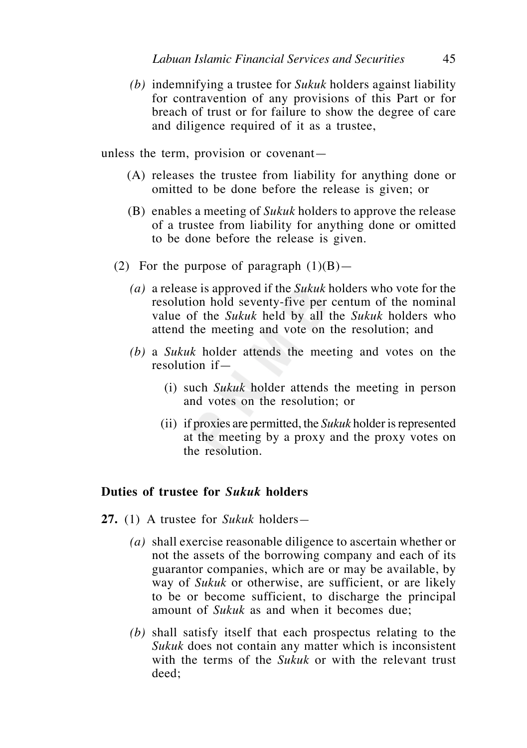*(b)* indemnifying a trustee for *Sukuk* holders against liability for contravention of any provisions of this Part or for breach of trust or for failure to show the degree of care and diligence required of it as a trustee,

unless the term, provision or covenant—

- (A) releases the trustee from liability for anything done or omitted to be done before the release is given; or
- (B) enables a meeting of *Sukuk* holders to approve the release of a trustee from liability for anything done or omitted to be done before the release is given.
- (2) For the purpose of paragraph  $(1)(B)$ 
	- *(a)* a release is approved if the *Sukuk* holders who vote for the resolution hold seventy-five per centum of the nominal value of the *Sukuk* held by all the *Sukuk* holders who attend the meeting and vote on the resolution; and
	- *(b)* a *Sukuk* holder attends the meeting and votes on the resolution if—
		- (i) such *Sukuk* holder attends the meeting in person and votes on the resolution; or
		- (ii) if proxies are permitted, the *Sukuk* holder is represented at the meeting by a proxy and the proxy votes on the resolution.

# **Duties of trustee for** *Sukuk* **holders**

- **27.** (1) A trustee for *Sukuk* holders*—*
	- *(a)* shall exercise reasonable diligence to ascertain whether or not the assets of the borrowing company and each of its guarantor companies, which are or may be available, by way of *Sukuk* or otherwise, are sufficient, or are likely to be or become sufficient, to discharge the principal amount of *Sukuk* as and when it becomes due;
	- *(b)* shall satisfy itself that each prospectus relating to the *Sukuk* does not contain any matter which is inconsistent with the terms of the *Sukuk* or with the relevant trust deed;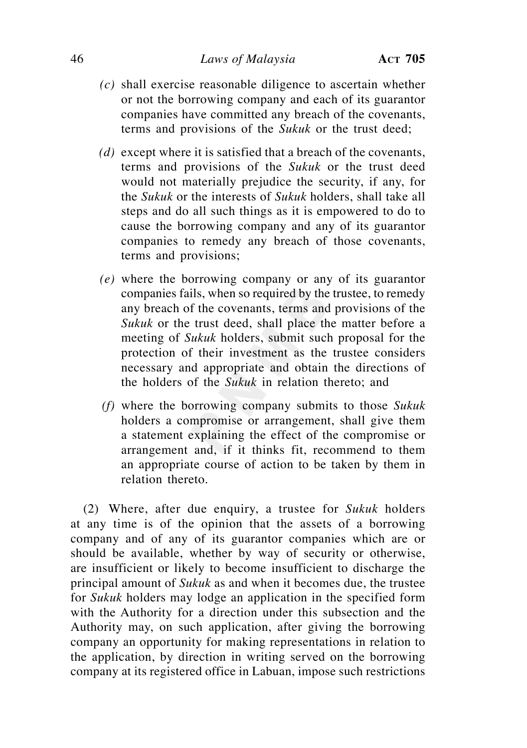- *(c)* shall exercise reasonable diligence to ascertain whether or not the borrowing company and each of its guarantor companies have committed any breach of the covenants, terms and provisions of the *Sukuk* or the trust deed;
- *(d)* except where it is satisfied that a breach of the covenants, terms and provisions of the *Sukuk* or the trust deed would not materially prejudice the security, if any, for the *Sukuk* or the interests of *Sukuk* holders, shall take all steps and do all such things as it is empowered to do to cause the borrowing company and any of its guarantor companies to remedy any breach of those covenants, terms and provisions;
- *(e)* where the borrowing company or any of its guarantor companies fails, when so required by the trustee, to remedy any breach of the covenants, terms and provisions of the *Sukuk* or the trust deed, shall place the matter before a meeting of *Sukuk* holders, submit such proposal for the protection of their investment as the trustee considers necessary and appropriate and obtain the directions of the holders of the *Sukuk* in relation thereto; and
- *(f)* where the borrowing company submits to those *Sukuk* holders a compromise or arrangement, shall give them a statement explaining the effect of the compromise or arrangement and, if it thinks fit, recommend to them an appropriate course of action to be taken by them in relation thereto.

 (2) Where, after due enquiry, a trustee for *Sukuk* holders at any time is of the opinion that the assets of a borrowing company and of any of its guarantor companies which are or should be available, whether by way of security or otherwise, are insufficient or likely to become insufficient to discharge the principal amount of *Sukuk* as and when it becomes due, the trustee for *Sukuk* holders may lodge an application in the specified form with the Authority for a direction under this subsection and the Authority may, on such application, after giving the borrowing company an opportunity for making representations in relation to the application, by direction in writing served on the borrowing company at its registered office in Labuan, impose such restrictions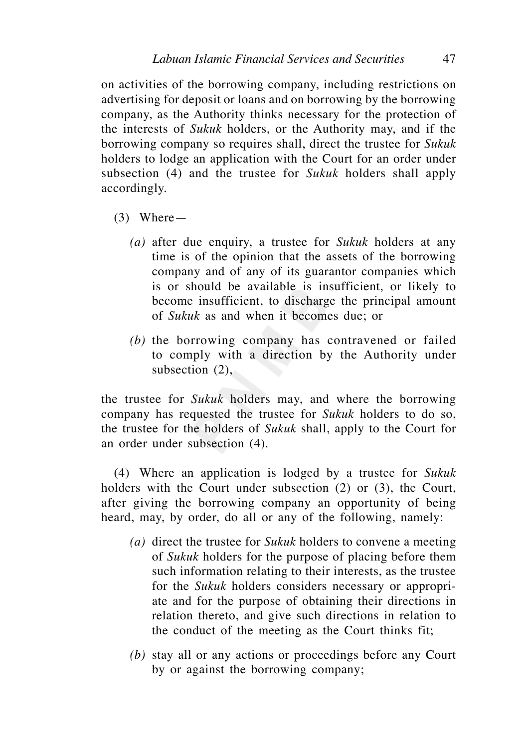on activities of the borrowing company, including restrictions on advertising for deposit or loans and on borrowing by the borrowing company, as the Authority thinks necessary for the protection of the interests of *Sukuk* holders, or the Authority may, and if the borrowing company so requires shall, direct the trustee for *Sukuk*  holders to lodge an application with the Court for an order under subsection (4) and the trustee for *Sukuk* holders shall apply accordingly.

- (3) Where—
	- *(a)* after due enquiry, a trustee for *Sukuk* holders at any time is of the opinion that the assets of the borrowing company and of any of its guarantor companies which is or should be available is insufficient, or likely to become insufficient, to discharge the principal amount of *Sukuk* as and when it becomes due; or
	- *(b)* the borrowing company has contravened or failed to comply with a direction by the Authority under subsection (2),

the trustee for *Sukuk* holders may, and where the borrowing company has requested the trustee for *Sukuk* holders to do so, the trustee for the holders of *Sukuk* shall, apply to the Court for an order under subsection (4).

 (4) Where an application is lodged by a trustee for *Sukuk*  holders with the Court under subsection (2) or (3), the Court, after giving the borrowing company an opportunity of being heard, may, by order, do all or any of the following, namely:

- *(a)* direct the trustee for *Sukuk* holders to convene a meeting of *Sukuk* holders for the purpose of placing before them such information relating to their interests, as the trustee for the *Sukuk* holders considers necessary or appropriate and for the purpose of obtaining their directions in relation thereto, and give such directions in relation to the conduct of the meeting as the Court thinks fit;
- *(b)* stay all or any actions or proceedings before any Court by or against the borrowing company;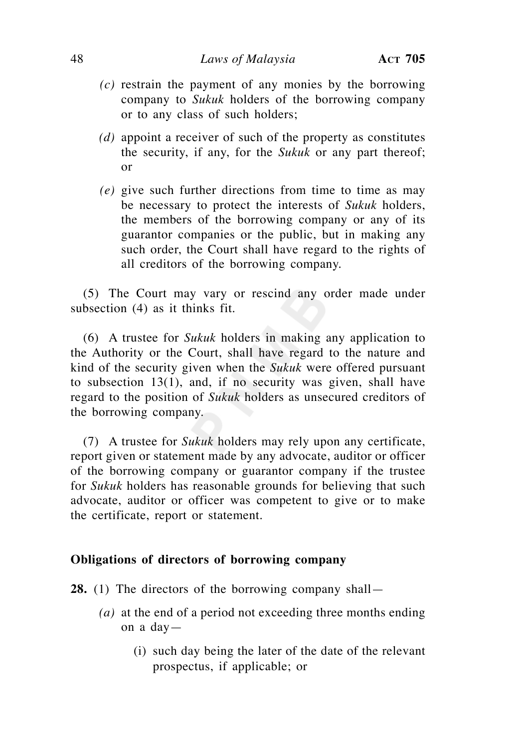- *(c)* restrain the payment of any monies by the borrowing company to *Sukuk* holders of the borrowing company or to any class of such holders;
- *(d)* appoint a receiver of such of the property as constitutes the security, if any, for the *Sukuk* or any part thereof; or
- *(e)* give such further directions from time to time as may be necessary to protect the interests of *Sukuk* holders, the members of the borrowing company or any of its guarantor companies or the public, but in making any such order, the Court shall have regard to the rights of all creditors of the borrowing company.

 (5) The Court may vary or rescind any order made under subsection (4) as it thinks fit.

 (6) A trustee for *Sukuk* holders in making any application to the Authority or the Court, shall have regard to the nature and kind of the security given when the *Sukuk* were offered pursuant to subsection 13(1), and, if no security was given, shall have regard to the position of *Sukuk* holders as unsecured creditors of the borrowing company.

 (7) A trustee for *Sukuk* holders may rely upon any certificate, report given or statement made by any advocate, auditor or officer of the borrowing company or guarantor company if the trustee for *Sukuk* holders has reasonable grounds for believing that such advocate, auditor or officer was competent to give or to make the certificate, report or statement.

## **Obligations of directors of borrowing company**

**28.** (1) The directors of the borrowing company shall—

- *(a)* at the end of a period not exceeding three months ending on a day—
	- (i) such day being the later of the date of the relevant prospectus, if applicable; or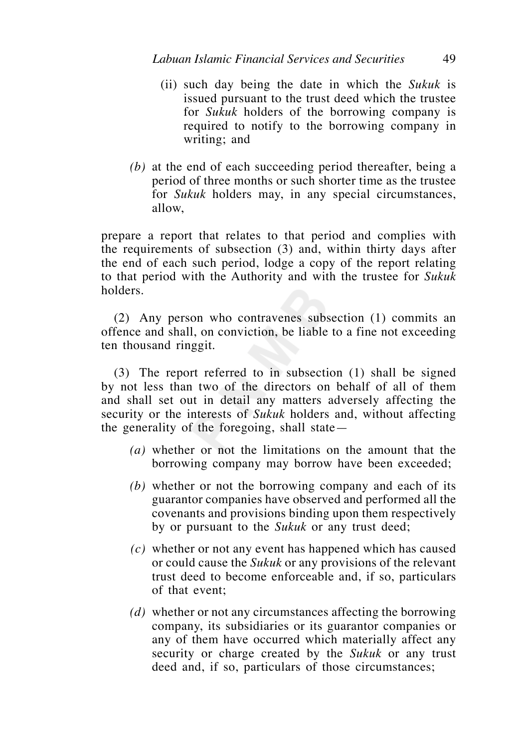- (ii) such day being the date in which the *Sukuk* is issued pursuant to the trust deed which the trustee for *Sukuk* holders of the borrowing company is required to notify to the borrowing company in writing; and
- *(b)* at the end of each succeeding period thereafter, being a period of three months or such shorter time as the trustee for *Sukuk* holders may, in any special circumstances, allow,

prepare a report that relates to that period and complies with the requirements of subsection (3) and, within thirty days after the end of each such period, lodge a copy of the report relating to that period with the Authority and with the trustee for *Sukuk*  holders.

 (2) Any person who contravenes subsection (1) commits an offence and shall, on conviction, be liable to a fine not exceeding ten thousand ringgit.

 (3) The report referred to in subsection (1) shall be signed by not less than two of the directors on behalf of all of them and shall set out in detail any matters adversely affecting the security or the interests of *Sukuk* holders and, without affecting the generality of the foregoing, shall state—

- *(a)* whether or not the limitations on the amount that the borrowing company may borrow have been exceeded;
- *(b)* whether or not the borrowing company and each of its guarantor companies have observed and performed all the covenants and provisions binding upon them respectively by or pursuant to the *Sukuk* or any trust deed;
- *(c)* whether or not any event has happened which has caused or could cause the *Sukuk* or any provisions of the relevant trust deed to become enforceable and, if so, particulars of that event;
- *(d)* whether or not any circumstances affecting the borrowing company, its subsidiaries or its guarantor companies or any of them have occurred which materially affect any security or charge created by the *Sukuk* or any trust deed and, if so, particulars of those circumstances;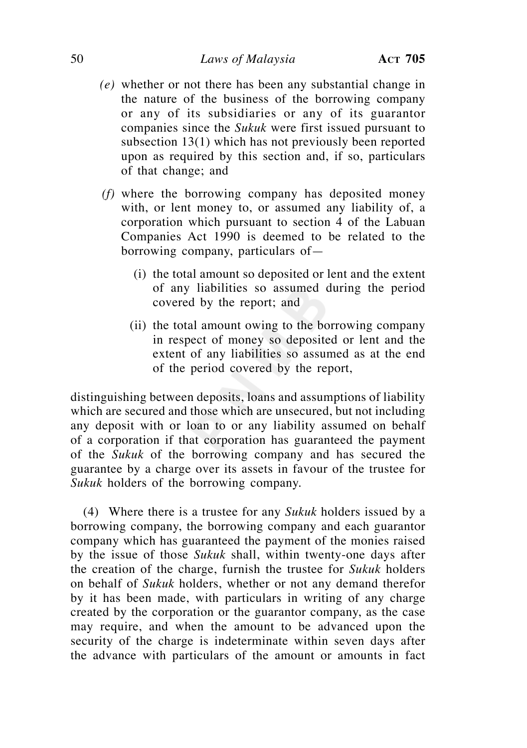## 50 *Laws of Malaysia* **ACT 705**

- *(e)* whether or not there has been any substantial change in the nature of the business of the borrowing company or any of its subsidiaries or any of its guarantor companies since the *Sukuk* were first issued pursuant to subsection 13(1) which has not previously been reported upon as required by this section and, if so, particulars of that change; and
- *(f)* where the borrowing company has deposited money with, or lent money to, or assumed any liability of, a corporation which pursuant to section 4 of the Labuan Companies Act 1990 is deemed to be related to the borrowing company, particulars of—
	- (i) the total amount so deposited or lent and the extent of any liabilities so assumed during the period covered by the report; and
	- (ii) the total amount owing to the borrowing company in respect of money so deposited or lent and the extent of any liabilities so assumed as at the end of the period covered by the report,

distinguishing between deposits, loans and assumptions of liability which are secured and those which are unsecured, but not including any deposit with or loan to or any liability assumed on behalf of a corporation if that corporation has guaranteed the payment of the *Sukuk* of the borrowing company and has secured the guarantee by a charge over its assets in favour of the trustee for *Sukuk* holders of the borrowing company.

 (4) Where there is a trustee for any *Sukuk* holders issued by a borrowing company, the borrowing company and each guarantor company which has guaranteed the payment of the monies raised by the issue of those *Sukuk* shall, within twenty-one days after the creation of the charge, furnish the trustee for *Sukuk* holders on behalf of *Sukuk* holders, whether or not any demand therefor by it has been made, with particulars in writing of any charge created by the corporation or the guarantor company, as the case may require, and when the amount to be advanced upon the security of the charge is indeterminate within seven days after the advance with particulars of the amount or amounts in fact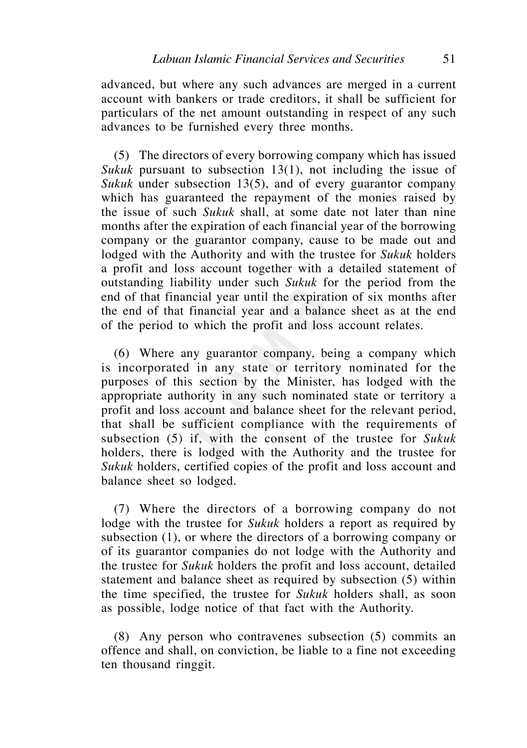advanced, but where any such advances are merged in a current account with bankers or trade creditors, it shall be sufficient for particulars of the net amount outstanding in respect of any such advances to be furnished every three months.

 (5) The directors of every borrowing company which has issued *Sukuk* pursuant to subsection 13(1), not including the issue of *Sukuk* under subsection 13(5), and of every guarantor company which has guaranteed the repayment of the monies raised by the issue of such *Sukuk* shall, at some date not later than nine months after the expiration of each financial year of the borrowing company or the guarantor company, cause to be made out and lodged with the Authority and with the trustee for *Sukuk* holders a profit and loss account together with a detailed statement of outstanding liability under such *Sukuk* for the period from the end of that financial year until the expiration of six months after the end of that financial year and a balance sheet as at the end of the period to which the profit and loss account relates.

 (6) Where any guarantor company, being a company which is incorporated in any state or territory nominated for the purposes of this section by the Minister, has lodged with the appropriate authority in any such nominated state or territory a profit and loss account and balance sheet for the relevant period, that shall be sufficient compliance with the requirements of subsection (5) if, with the consent of the trustee for *Sukuk*  holders, there is lodged with the Authority and the trustee for *Sukuk* holders, certified copies of the profit and loss account and balance sheet so lodged.

 (7) Where the directors of a borrowing company do not lodge with the trustee for *Sukuk* holders a report as required by subsection (1), or where the directors of a borrowing company or of its guarantor companies do not lodge with the Authority and the trustee for *Sukuk* holders the profit and loss account, detailed statement and balance sheet as required by subsection (5) within the time specified, the trustee for *Sukuk* holders shall, as soon as possible, lodge notice of that fact with the Authority.

 (8) Any person who contravenes subsection (5) commits an offence and shall, on conviction, be liable to a fine not exceeding ten thousand ringgit.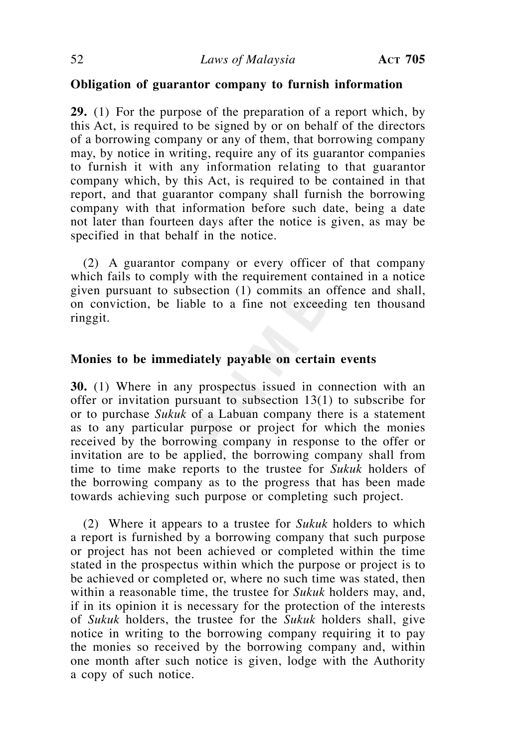# **Obligation of guarantor company to furnish information**

**29.** (1) For the purpose of the preparation of a report which, by this Act, is required to be signed by or on behalf of the directors of a borrowing company or any of them, that borrowing company may, by notice in writing, require any of its guarantor companies to furnish it with any information relating to that guarantor company which, by this Act, is required to be contained in that report, and that guarantor company shall furnish the borrowing company with that information before such date, being a date not later than fourteen days after the notice is given, as may be specified in that behalf in the notice.

 (2) A guarantor company or every officer of that company which fails to comply with the requirement contained in a notice given pursuant to subsection (1) commits an offence and shall, on conviction, be liable to a fine not exceeding ten thousand ringgit.

## **Monies to be immediately payable on certain events**

**30.** (1) Where in any prospectus issued in connection with an offer or invitation pursuant to subsection 13(1) to subscribe for or to purchase *Sukuk* of a Labuan company there is a statement as to any particular purpose or project for which the monies received by the borrowing company in response to the offer or invitation are to be applied, the borrowing company shall from time to time make reports to the trustee for *Sukuk* holders of the borrowing company as to the progress that has been made towards achieving such purpose or completing such project.

 (2) Where it appears to a trustee for *Sukuk* holders to which a report is furnished by a borrowing company that such purpose or project has not been achieved or completed within the time stated in the prospectus within which the purpose or project is to be achieved or completed or, where no such time was stated, then within a reasonable time, the trustee for *Sukuk* holders may, and, if in its opinion it is necessary for the protection of the interests of *Sukuk* holders, the trustee for the *Sukuk* holders shall, give notice in writing to the borrowing company requiring it to pay the monies so received by the borrowing company and, within one month after such notice is given, lodge with the Authority a copy of such notice.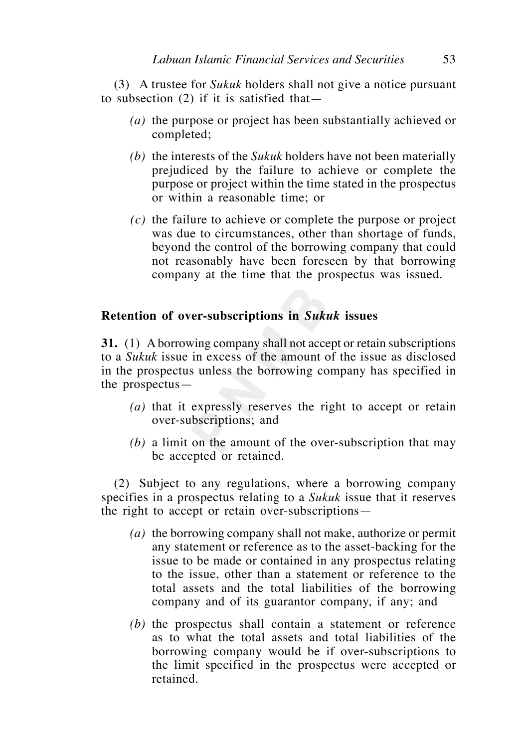(3) A trustee for *Sukuk* holders shall not give a notice pursuant to subsection (2) if it is satisfied that—

- *(a)* the purpose or project has been substantially achieved or completed;
- *(b)* the interests of the *Sukuk* holders have not been materially prejudiced by the failure to achieve or complete the purpose or project within the time stated in the prospectus or within a reasonable time; or
- *(c)* the failure to achieve or complete the purpose or project was due to circumstances, other than shortage of funds, beyond the control of the borrowing company that could not reasonably have been foreseen by that borrowing company at the time that the prospectus was issued.

# **Retention of over-subscriptions in** *Sukuk* **issues**

**31.** (1) A borrowing company shall not accept or retain subscriptions to a *Sukuk* issue in excess of the amount of the issue as disclosed in the prospectus unless the borrowing company has specified in the prospectus—

- *(a)* that it expressly reserves the right to accept or retain over-subscriptions; and
- *(b)* a limit on the amount of the over-subscription that may be accepted or retained.

 (2) Subject to any regulations, where a borrowing company specifies in a prospectus relating to a *Sukuk* issue that it reserves the right to accept or retain over-subscriptions—

- *(a)* the borrowing company shall not make, authorize or permit any statement or reference as to the asset-backing for the issue to be made or contained in any prospectus relating to the issue, other than a statement or reference to the total assets and the total liabilities of the borrowing company and of its guarantor company, if any; and
- *(b)* the prospectus shall contain a statement or reference as to what the total assets and total liabilities of the borrowing company would be if over-subscriptions to the limit specified in the prospectus were accepted or retained.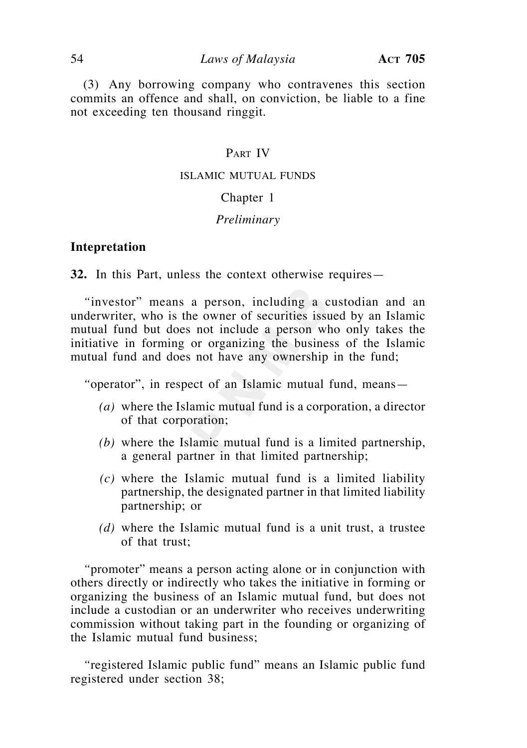(3) Any borrowing company who contravenes this section commits an offence and shall, on conviction, be liable to a fine not exceeding ten thousand ringgit.

# PART IV

#### ISLAMIC MUTUAL FUNDS

## Chapter 1

#### *Preliminary*

#### **Intepretation**

**32.** In this Part, unless the context otherwise requires—

 *"*investor" means a person, including a custodian and an underwriter, who is the owner of securities issued by an Islamic mutual fund but does not include a person who only takes the initiative in forming or organizing the business of the Islamic mutual fund and does not have any ownership in the fund;

 *"*operator", in respect of an Islamic mutual fund, means—

- *(a)* where the Islamic mutual fund is a corporation, a director of that corporation;
- *(b)* where the Islamic mutual fund is a limited partnership, a general partner in that limited partnership;
- *(c)* where the Islamic mutual fund is a limited liability partnership, the designated partner in that limited liability partnership; or
- *(d)* where the Islamic mutual fund is a unit trust, a trustee of that trust;

 *"*promoter" means a person acting alone or in conjunction with others directly or indirectly who takes the initiative in forming or organizing the business of an Islamic mutual fund, but does not include a custodian or an underwriter who receives underwriting commission without taking part in the founding or organizing of the Islamic mutual fund business;

 *"*registered Islamic public fund" means an Islamic public fund registered under section 38;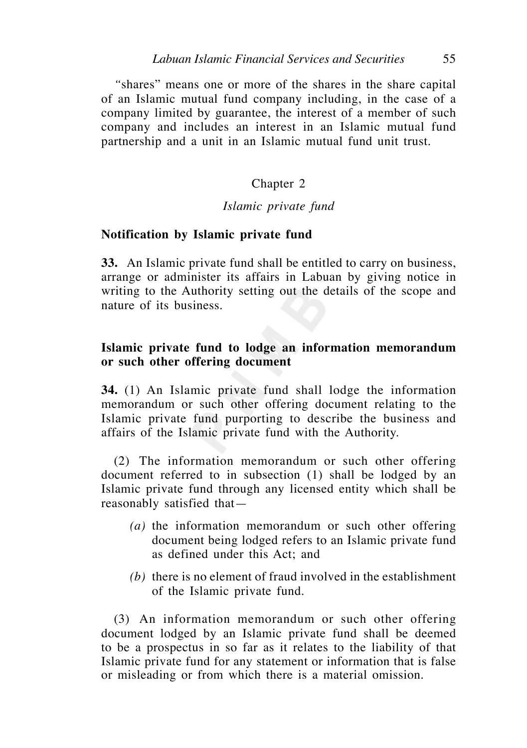*"*shares" means one or more of the shares in the share capital of an Islamic mutual fund company including, in the case of a company limited by guarantee, the interest of a member of such company and includes an interest in an Islamic mutual fund partnership and a unit in an Islamic mutual fund unit trust.

# Chapter 2

### *Islamic private fund*

#### **Notification by Islamic private fund**

**33.** An Islamic private fund shall be entitled to carry on business, arrange or administer its affairs in Labuan by giving notice in writing to the Authority setting out the details of the scope and nature of its business.

# **Islamic private fund to lodge an information memorandum or such other offering document**

**34.** (1) An Islamic private fund shall lodge the information memorandum or such other offering document relating to the Islamic private fund purporting to describe the business and affairs of the Islamic private fund with the Authority.

 (2) The information memorandum or such other offering document referred to in subsection (1) shall be lodged by an Islamic private fund through any licensed entity which shall be reasonably satisfied that—

- *(a)* the information memorandum or such other offering document being lodged refers to an Islamic private fund as defined under this Act; and
- *(b)* there is no element of fraud involved in the establishment of the Islamic private fund.

 (3) An information memorandum or such other offering document lodged by an Islamic private fund shall be deemed to be a prospectus in so far as it relates to the liability of that Islamic private fund for any statement or information that is false or misleading or from which there is a material omission.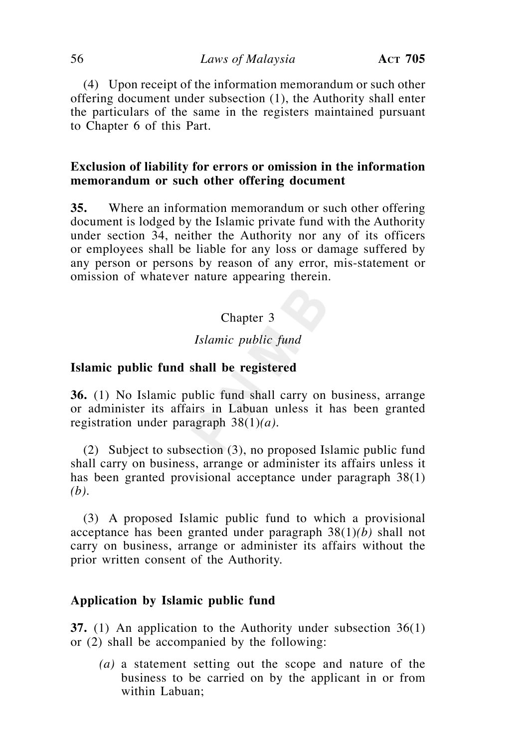(4) Upon receipt of the information memorandum or such other offering document under subsection (1), the Authority shall enter the particulars of the same in the registers maintained pursuant to Chapter 6 of this Part.

# **Exclusion of liability for errors or omission in the information memorandum or such other offering document**

**35.** Where an information memorandum or such other offering document is lodged by the Islamic private fund with the Authority under section 34, neither the Authority nor any of its officers or employees shall be liable for any loss or damage suffered by any person or persons by reason of any error, mis-statement or omission of whatever nature appearing therein.

# Chapter 3

## *Islamic public fund*

#### **Islamic public fund shall be registered**

**36.** (1) No Islamic public fund shall carry on business, arrange or administer its affairs in Labuan unless it has been granted registration under paragraph 38(1)*(a)*.

 (2) Subject to subsection (3), no proposed Islamic public fund shall carry on business, arrange or administer its affairs unless it has been granted provisional acceptance under paragraph 38(1) *(b)*.

 (3) A proposed Islamic public fund to which a provisional acceptance has been granted under paragraph 38(1)*(b)* shall not carry on business, arrange or administer its affairs without the prior written consent of the Authority.

## **Application by Islamic public fund**

**37.** (1) An application to the Authority under subsection 36(1) or (2) shall be accompanied by the following:

 *(a)* a statement setting out the scope and nature of the business to be carried on by the applicant in or from within Labuan;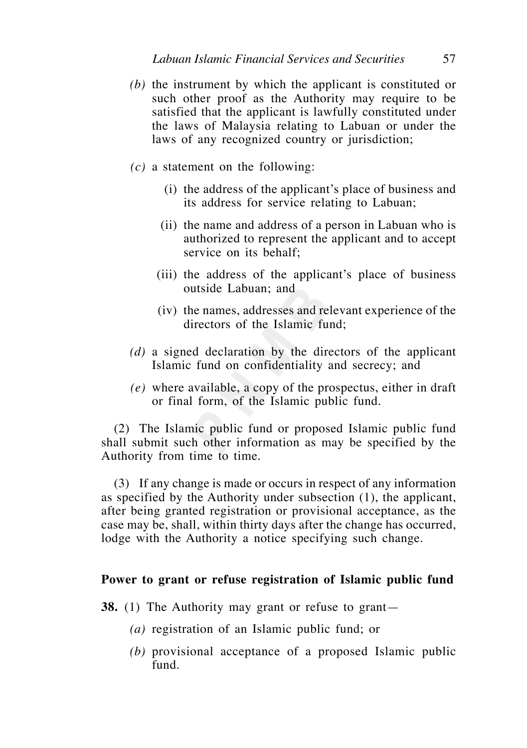- *(b)* the instrument by which the applicant is constituted or such other proof as the Authority may require to be satisfied that the applicant is lawfully constituted under the laws of Malaysia relating to Labuan or under the laws of any recognized country or jurisdiction;
- *(c)* a statement on the following:
	- (i) the address of the applicant's place of business and its address for service relating to Labuan;
	- (ii) the name and address of a person in Labuan who is authorized to represent the applicant and to accept service on its behalf;
	- (iii) the address of the applicant's place of business outside Labuan; and
	- (iv) the names, addresses and relevant experience of the directors of the Islamic fund;
- *(d)* a signed declaration by the directors of the applicant Islamic fund on confidentiality and secrecy; and
- *(e)* where available, a copy of the prospectus, either in draft or final form, of the Islamic public fund.

 (2) The Islamic public fund or proposed Islamic public fund shall submit such other information as may be specified by the Authority from time to time.

 (3) If any change is made or occurs in respect of any information as specified by the Authority under subsection (1), the applicant, after being granted registration or provisional acceptance, as the case may be, shall, within thirty days after the change has occurred, lodge with the Authority a notice specifying such change.

## **Power to grant or refuse registration of Islamic public fund**

- **38.** (1) The Authority may grant or refuse to grant—
	- *(a)* registration of an Islamic public fund; or
	- *(b)* provisional acceptance of a proposed Islamic public fund.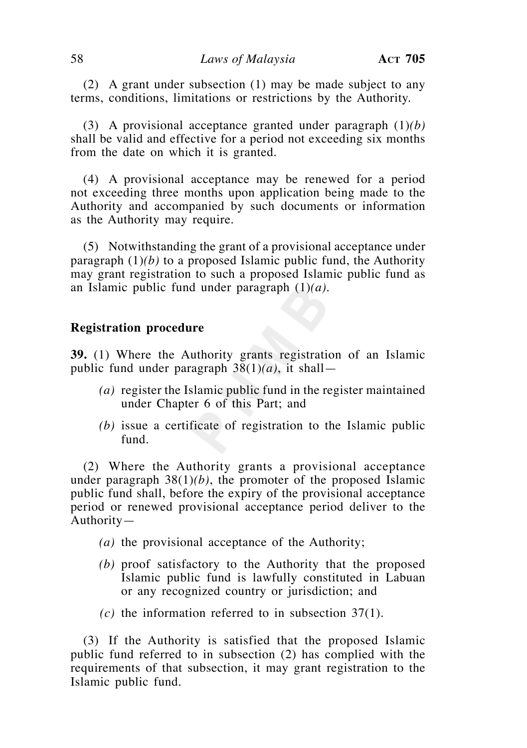(2) A grant under subsection (1) may be made subject to any terms, conditions, limitations or restrictions by the Authority.

 (3) A provisional acceptance granted under paragraph (1)*(b)* shall be valid and effective for a period not exceeding six months from the date on which it is granted.

 (4) A provisional acceptance may be renewed for a period not exceeding three months upon application being made to the Authority and accompanied by such documents or information as the Authority may require.

 (5) Notwithstanding the grant of a provisional acceptance under paragraph  $(1)(b)$  to a proposed Islamic public fund, the Authority may grant registration to such a proposed Islamic public fund as an Islamic public fund under paragraph (1)*(a)*.

## **Registration procedure**

**39.** (1) Where the Authority grants registration of an Islamic public fund under paragraph  $38(1)(a)$ , it shall—

- *(a)* register the Islamic public fund in the register maintained under Chapter 6 of this Part; and
- *(b)* issue a certificate of registration to the Islamic public fund.

 (2) Where the Authority grants a provisional acceptance under paragraph 38(1)*(b)*, the promoter of the proposed Islamic public fund shall, before the expiry of the provisional acceptance period or renewed provisional acceptance period deliver to the Authority—

- *(a)* the provisional acceptance of the Authority;
- *(b)* proof satisfactory to the Authority that the proposed Islamic public fund is lawfully constituted in Labuan or any recognized country or jurisdiction; and
- *(c)* the information referred to in subsection 37(1).

 (3) If the Authority is satisfied that the proposed Islamic public fund referred to in subsection (2) has complied with the requirements of that subsection, it may grant registration to the Islamic public fund.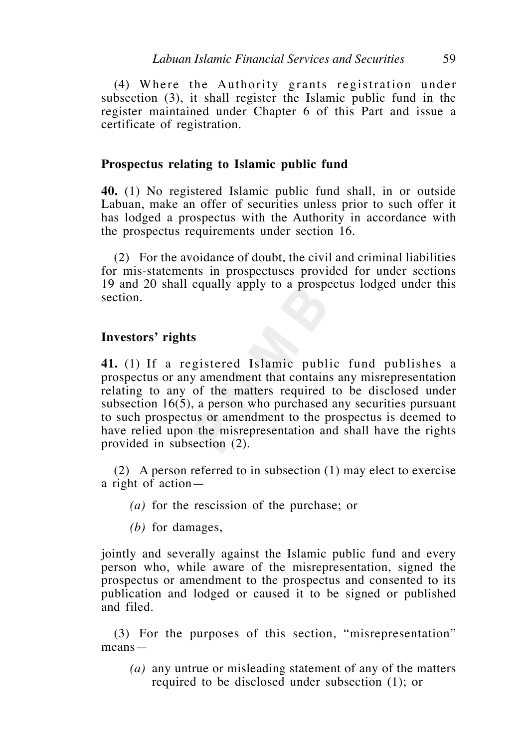(4) Where the Authority grants registration under subsection (3), it shall register the Islamic public fund in the register maintained under Chapter 6 of this Part and issue a certificate of registration.

## **Prospectus relating to Islamic public fund**

**40.** (1) No registered Islamic public fund shall, in or outside Labuan, make an offer of securities unless prior to such offer it has lodged a prospectus with the Authority in accordance with the prospectus requirements under section 16.

 (2) For the avoidance of doubt, the civil and criminal liabilities for mis-statements in prospectuses provided for under sections 19 and 20 shall equally apply to a prospectus lodged under this section.

## **Investors' rights**

**41.** (1) If a registered Islamic public fund publishes a prospectus or any amendment that contains any misrepresentation relating to any of the matters required to be disclosed under subsection 16(5), a person who purchased any securities pursuant to such prospectus or amendment to the prospectus is deemed to have relied upon the misrepresentation and shall have the rights provided in subsection (2).

 (2) A person referred to in subsection (1) may elect to exercise a right of action —

- *(a)* for the rescission of the purchase; or
- *(b)* for damages,

jointly and severally against the Islamic public fund and every person who, while aware of the misrepresentation, signed the prospectus or amendment to the prospectus and consented to its publication and lodged or caused it to be signed or published and filed.

 (3) For the purposes of this section, "misrepresentation" means—

 *(a)* any untrue or misleading statement of any of the matters required to be disclosed under subsection (1); or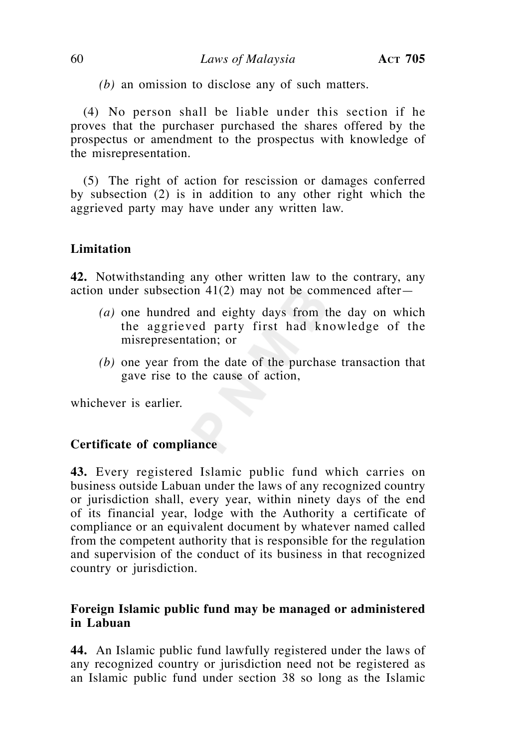*(b)* an omission to disclose any of such matters.

 (4) No person shall be liable under this section if he proves that the purchaser purchased the shares offered by the prospectus or amendment to the prospectus with knowledge of the misrepresentation.

 (5) The right of action for rescission or damages conferred by subsection (2) is in addition to any other right which the aggrieved party may have under any written law.

# **Limitation**

**42.** Notwithstanding any other written law to the contrary, any action under subsection  $41(2)$  may not be commenced after-

- *(a)* one hundred and eighty days from the day on which the aggrieved party first had knowledge of the misrepresentation; or
- *(b)* one year from the date of the purchase transaction that gave rise to the cause of action,

whichever is earlier.

# **Certificate of compliance**

**43.** Every registered Islamic public fund which carries on business outside Labuan under the laws of any recognized country or jurisdiction shall, every year, within ninety days of the end of its financial year, lodge with the Authority a certificate of compliance or an equivalent document by whatever named called from the competent authority that is responsible for the regulation and supervision of the conduct of its business in that recognized country or jurisdiction.

# **Foreign Islamic public fund may be managed or administered in Labuan**

**44.** An Islamic public fund lawfully registered under the laws of any recognized country or jurisdiction need not be registered as an Islamic public fund under section 38 so long as the Islamic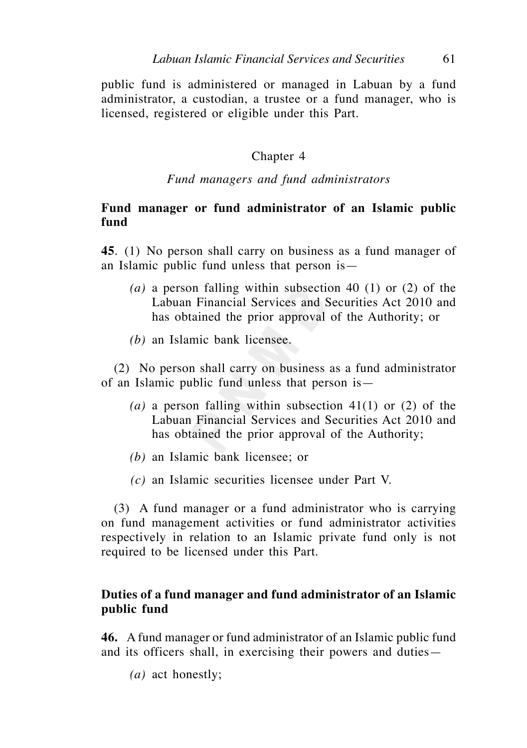public fund is administered or managed in Labuan by a fund administrator, a custodian, a trustee or a fund manager, who is licensed, registered or eligible under this Part.

## Chapter 4

### *Fund managers and fund administrators*

# **Fund manager or fund administrator of an Islamic public fund**

**45**. (1) No person shall carry on business as a fund manager of an Islamic public fund unless that person is—

- *(a)* a person falling within subsection 40 (1) or (2) of the Labuan Financial Services and Securities Act 2010 and has obtained the prior approval of the Authority; or
- *(b)* an Islamic bank licensee.

 (2) No person shall carry on business as a fund administrator of an Islamic public fund unless that person is—

- *(a)* a person falling within subsection 41(1) or (2) of the Labuan Financial Services and Securities Act 2010 and has obtained the prior approval of the Authority;
- *(b)* an Islamic bank licensee; or
- *(c)* an Islamic securities licensee under Part V.

 (3) A fund manager or a fund administrator who is carrying on fund management activities or fund administrator activities respectively in relation to an Islamic private fund only is not required to be licensed under this Part.

# **Duties of a fund manager and fund administrator of an Islamic public fund**

**46.** A fund manager or fund administrator of an Islamic public fund and its officers shall, in exercising their powers and duties—

 *(a)* act honestly;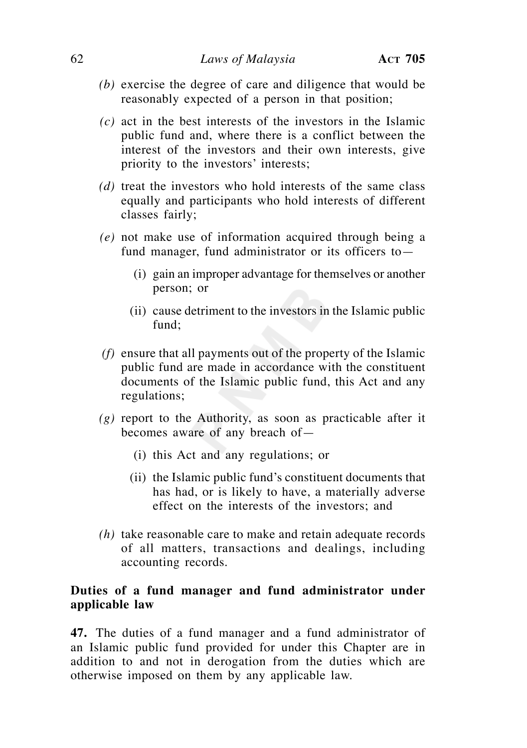- *(b)* exercise the degree of care and diligence that would be reasonably expected of a person in that position;
- *(c)* act in the best interests of the investors in the Islamic public fund and, where there is a conflict between the interest of the investors and their own interests, give priority to the investors' interests;
- *(d)* treat the investors who hold interests of the same class equally and participants who hold interests of different classes fairly;
- *(e)* not make use of information acquired through being a fund manager, fund administrator or its officers to—
	- (i) gain an improper advantage for themselves or another person; or
	- (ii) cause detriment to the investors in the Islamic public fund;
- *(f)* ensure that all payments out of the property of the Islamic public fund are made in accordance with the constituent documents of the Islamic public fund, this Act and any regulations;
- *(g)* report to the Authority, as soon as practicable after it becomes aware of any breach of—
	- (i) this Act and any regulations; or
	- (ii) the Islamic public fund's constituent documents that has had, or is likely to have, a materially adverse effect on the interests of the investors; and
- *(h)* take reasonable care to make and retain adequate records of all matters, transactions and dealings, including accounting records.

# **Duties of a fund manager and fund administrator under applicable law**

**47.** The duties of a fund manager and a fund administrator of an Islamic public fund provided for under this Chapter are in addition to and not in derogation from the duties which are otherwise imposed on them by any applicable law.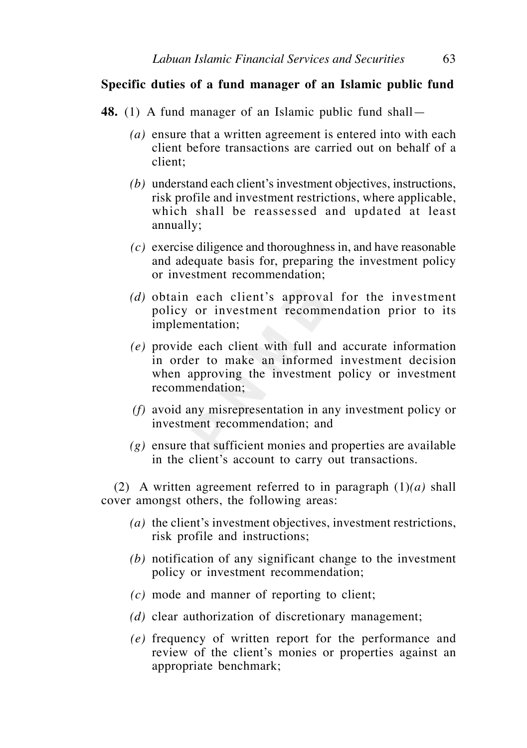# **Specific duties of a fund manager of an Islamic public fund**

- **48.** (1) A fund manager of an Islamic public fund shall—
	- *(a)* ensure that a written agreement is entered into with each client before transactions are carried out on behalf of a client;
	- *(b)* understand each client's investment objectives, instructions, risk profile and investment restrictions, where applicable, which shall be reassessed and updated at least annually;
	- *(c)* exercise diligence and thoroughness in, and have reasonable and adequate basis for, preparing the investment policy or investment recommendation;
	- *(d)* obtain each client's approval for the investment policy or investment recommendation prior to its implementation;
	- *(e)* provide each client with full and accurate information in order to make an informed investment decision when approving the investment policy or investment recommendation;
	- *(f)* avoid any misrepresentation in any investment policy or investment recommendation; and
	- *(g)* ensure that sufficient monies and properties are available in the client's account to carry out transactions.

 (2) A written agreement referred to in paragraph (1)*(a)* shall cover amongst others, the following areas:

- *(a)* the client's investment objectives, investment restrictions, risk profile and instructions;
- *(b)* notification of any significant change to the investment policy or investment recommendation;
- *(c)* mode and manner of reporting to client;
- *(d)* clear authorization of discretionary management;
- *(e)* frequency of written report for the performance and review of the client's monies or properties against an appropriate benchmark;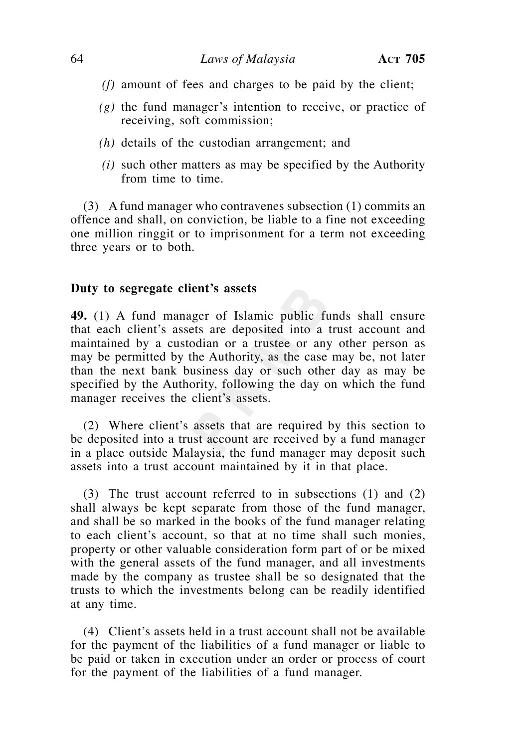- *(f)* amount of fees and charges to be paid by the client;
- *(g)* the fund manager's intention to receive, or practice of receiving, soft commission;
- *(h)* details of the custodian arrangement; and
- *(i)* such other matters as may be specified by the Authority from time to time.

 (3) A fund manager who contravenes subsection (1) commits an offence and shall, on conviction, be liable to a fine not exceeding one million ringgit or to imprisonment for a term not exceeding three years or to both.

# **Duty to segregate client's assets**

**49.** (1) A fund manager of Islamic public funds shall ensure that each client's assets are deposited into a trust account and maintained by a custodian or a trustee or any other person as may be permitted by the Authority, as the case may be, not later than the next bank business day or such other day as may be specified by the Authority, following the day on which the fund manager receives the client's assets.

 (2) Where client's assets that are required by this section to be deposited into a trust account are received by a fund manager in a place outside Malaysia, the fund manager may deposit such assets into a trust account maintained by it in that place.

 (3) The trust account referred to in subsections (1) and (2) shall always be kept separate from those of the fund manager, and shall be so marked in the books of the fund manager relating to each client's account, so that at no time shall such monies, property or other valuable consideration form part of or be mixed with the general assets of the fund manager, and all investments made by the company as trustee shall be so designated that the trusts to which the investments belong can be readily identified at any time.

 (4) Client's assets held in a trust account shall not be available for the payment of the liabilities of a fund manager or liable to be paid or taken in execution under an order or process of court for the payment of the liabilities of a fund manager.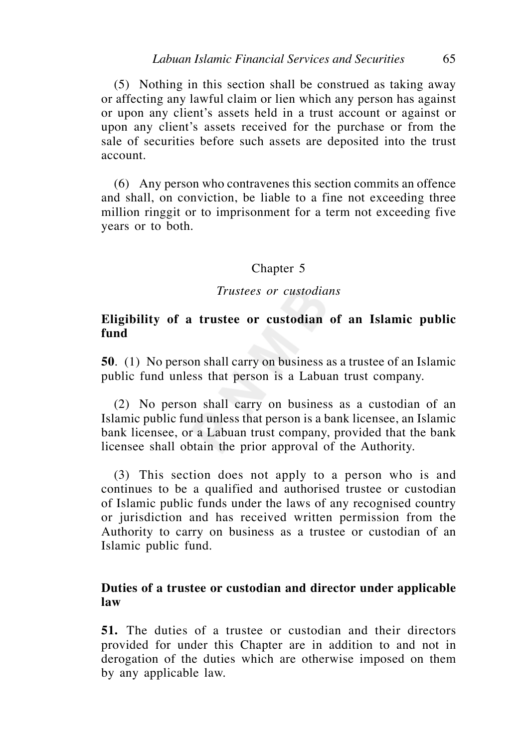(5) Nothing in this section shall be construed as taking away or affecting any lawful claim or lien which any person has against or upon any client's assets held in a trust account or against or upon any client's assets received for the purchase or from the sale of securities before such assets are deposited into the trust account.

 (6) Any person who contravenes this section commits an offence and shall, on conviction, be liable to a fine not exceeding three million ringgit or to imprisonment for a term not exceeding five years or to both.

# Chapter 5

#### *Trustees or custodians*

# **Eligibility of a trustee or custodian of an Islamic public fund**

**50**. (1) No person shall carry on business as a trustee of an Islamic public fund unless that person is a Labuan trust company.

 (2) No person shall carry on business as a custodian of an Islamic public fund unless that person is a bank licensee, an Islamic bank licensee, or a Labuan trust company, provided that the bank licensee shall obtain the prior approval of the Authority.

 (3) This section does not apply to a person who is and continues to be a qualified and authorised trustee or custodian of Islamic public funds under the laws of any recognised country or jurisdiction and has received written permission from the Authority to carry on business as a trustee or custodian of an Islamic public fund.

# **Duties of a trustee or custodian and director under applicable law**

**51.** The duties of a trustee or custodian and their directors provided for under this Chapter are in addition to and not in derogation of the duties which are otherwise imposed on them by any applicable law.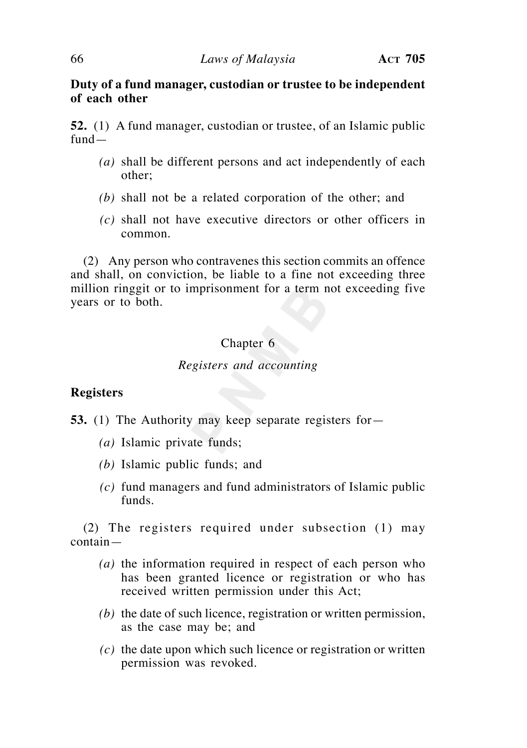# **Duty of a fund manager, custodian or trustee to be independent of each other**

**52.** (1) A fund manager, custodian or trustee, of an Islamic public fund—

- *(a)* shall be different persons and act independently of each other;
- *(b)* shall not be a related corporation of the other; and
- *(c)* shall not have executive directors or other officers in common.

 (2) Any person who contravenes this section commits an offence and shall, on conviction, be liable to a fine not exceeding three million ringgit or to imprisonment for a term not exceeding five years or to both.

## Chapter 6

## *Registers and accounting*

# **Registers**

- **53.** (1) The Authority may keep separate registers for—
	- *(a)* Islamic private funds;
	- *(b)* Islamic public funds; and
	- *(c)* fund managers and fund administrators of Islamic public funds.

 (2) The registers required under subsection (1) may contain—

- *(a)* the information required in respect of each person who has been granted licence or registration or who has received written permission under this Act;
- *(b)* the date of such licence, registration or written permission, as the case may be; and
- *(c)* the date upon which such licence or registration or written permission was revoked.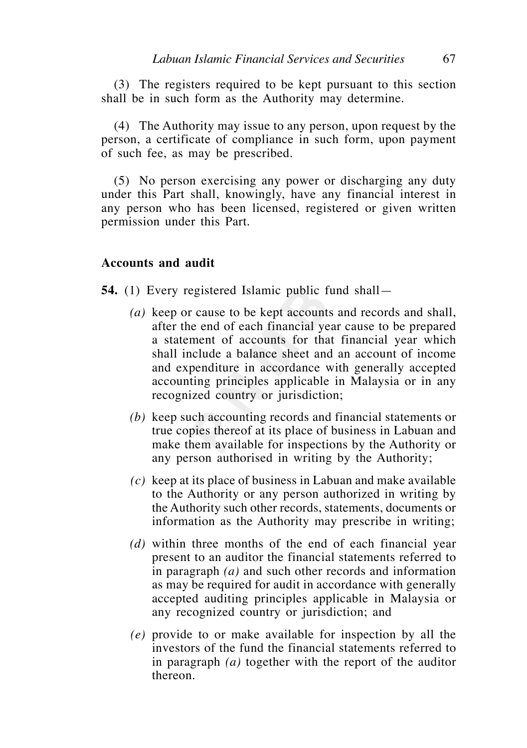(3) The registers required to be kept pursuant to this section shall be in such form as the Authority may determine.

 (4) The Authority may issue to any person, upon request by the person, a certificate of compliance in such form, upon payment of such fee, as may be prescribed.

 (5) No person exercising any power or discharging any duty under this Part shall, knowingly, have any financial interest in any person who has been licensed, registered or given written permission under this Part.

#### **Accounts and audit**

**54.** (1) Every registered Islamic public fund shall—

- *(a)* keep or cause to be kept accounts and records and shall, after the end of each financial year cause to be prepared a statement of accounts for that financial year which shall include a balance sheet and an account of income and expenditure in accordance with generally accepted accounting principles applicable in Malaysia or in any recognized country or jurisdiction;
- *(b)* keep such accounting records and financial statements or true copies thereof at its place of business in Labuan and make them available for inspections by the Authority or any person authorised in writing by the Authority;
- *(c)* keep at its place of business in Labuan and make available to the Authority or any person authorized in writing by the Authority such other records, statements, documents or information as the Authority may prescribe in writing;
- *(d)* within three months of the end of each financial year present to an auditor the financial statements referred to in paragraph *(a)* and such other records and information as may be required for audit in accordance with generally accepted auditing principles applicable in Malaysia or any recognized country or jurisdiction; and
- *(e)* provide to or make available for inspection by all the investors of the fund the financial statements referred to in paragraph *(a)* together with the report of the auditor thereon.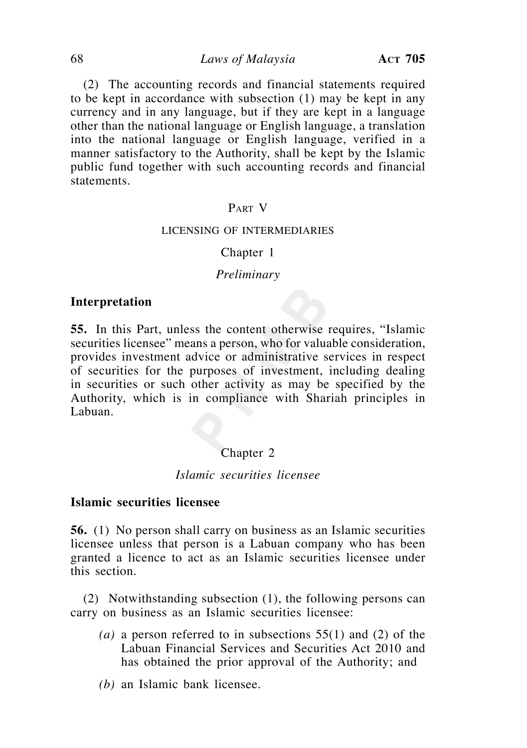(2) The accounting records and financial statements required to be kept in accordance with subsection (1) may be kept in any currency and in any language, but if they are kept in a language other than the national language or English language, a translation into the national language or English language, verified in a manner satisfactory to the Authority, shall be kept by the Islamic public fund together with such accounting records and financial statements.

# PART V

#### LICENSING OF INTERMEDIARIES

#### Chapter 1

#### *Preliminary*

#### **Interpretation**

**55.** In this Part, unless the content otherwise requires, "Islamic securities licensee" means a person, who for valuable consideration, provides investment advice or administrative services in respect of securities for the purposes of investment, including dealing in securities or such other activity as may be specified by the Authority, which is in compliance with Shariah principles in Labuan.

## Chapter 2

## *Islamic securities licensee*

#### **Islamic securities licensee**

**56.** (1) No person shall carry on business as an Islamic securities licensee unless that person is a Labuan company who has been granted a licence to act as an Islamic securities licensee under this section.

 (2) Notwithstanding subsection (1), the following persons can carry on business as an Islamic securities licensee:

- *(a)* a person referred to in subsections 55(1) and (2) of the Labuan Financial Services and Securities Act 2010 and has obtained the prior approval of the Authority; and
- *(b)* an Islamic bank licensee.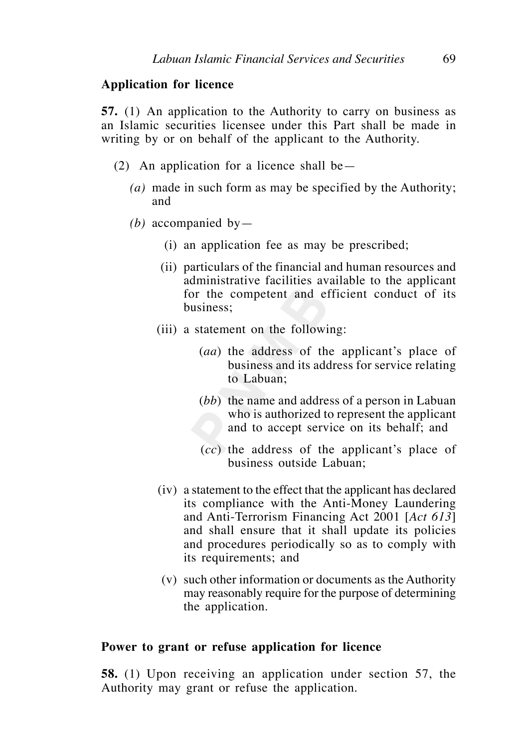# **Application for licence**

**57.** (1) An application to the Authority to carry on business as an Islamic securities licensee under this Part shall be made in writing by or on behalf of the applicant to the Authority.

- (2) An application for a licence shall be—
	- *(a)* made in such form as may be specified by the Authority; and
	- *(b)* accompanied by—
		- (i) an application fee as may be prescribed;
		- (ii) particulars of the financial and human resources and administrative facilities available to the applicant for the competent and efficient conduct of its business;
		- (iii) a statement on the following:
			- (*aa*) the address of the applicant's place of business and its address for service relating to Labuan;
			- (*bb*) the name and address of a person in Labuan who is authorized to represent the applicant and to accept service on its behalf; and
			- (*cc*) the address of the applicant's place of business outside Labuan;
		- (iv) a statement to the effect that the applicant has declared its compliance with the Anti-Money Laundering and Anti-Terrorism Financing Act 2001 [*Act 613*] and shall ensure that it shall update its policies and procedures periodically so as to comply with its requirements; and
		- (v) such other information or documents as the Authority may reasonably require for the purpose of determining the application.

#### **Power to grant or refuse application for licence**

**58.** (1) Upon receiving an application under section 57, the Authority may grant or refuse the application.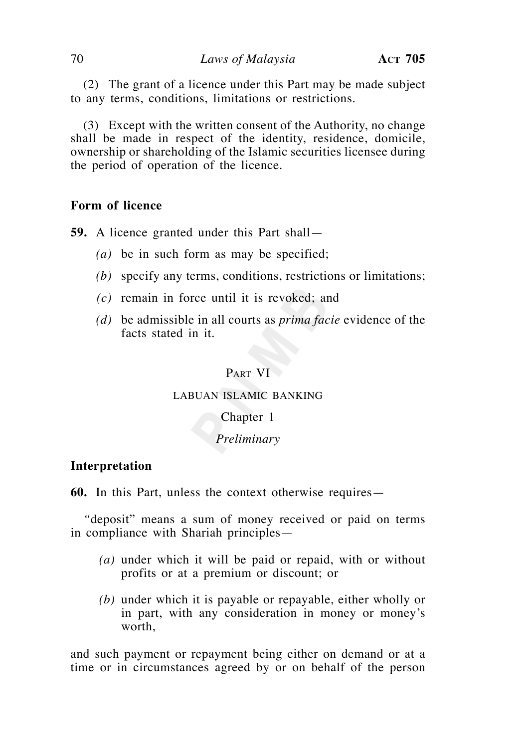(2) The grant of a licence under this Part may be made subject to any terms, conditions, limitations or restrictions.

 (3) Except with the written consent of the Authority, no change shall be made in respect of the identity, residence, domicile, ownership or shareholding of the Islamic securities licensee during the period of operation of the licence.

## **Form of licence**

**59.** A licence granted under this Part shall—

- *(a)* be in such form as may be specified;
- *(b)* specify any terms, conditions, restrictions or limitations;
- *(c)* remain in force until it is revoked; and
- *(d)* be admissible in all courts as *prima facie* evidence of the facts stated in it.

# PART VI

## LABUAN ISLAMIC BANKING

#### Chapter 1

# *Preliminary*

## **Interpretation**

**60.** In this Part, unless the context otherwise requires—

 *"*deposit" means a sum of money received or paid on terms in compliance with Shariah principles—

- *(a)* under which it will be paid or repaid, with or without profits or at a premium or discount; or
- *(b)* under which it is payable or repayable, either wholly or in part, with any consideration in money or money's worth,

and such payment or repayment being either on demand or at a time or in circumstances agreed by or on behalf of the person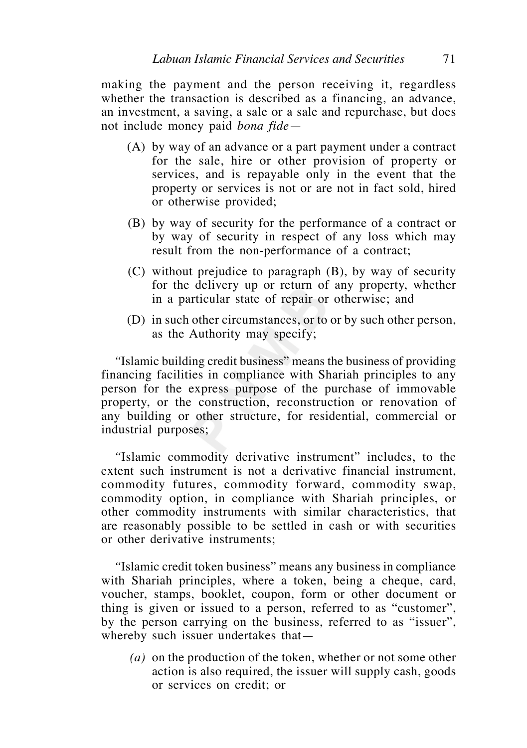making the payment and the person receiving it, regardless whether the transaction is described as a financing, an advance, an investment, a saving, a sale or a sale and repurchase, but does not include money paid *bona fide*—

- (A) by way of an advance or a part payment under a contract for the sale, hire or other provision of property or services, and is repayable only in the event that the property or services is not or are not in fact sold, hired or otherwise provided;
- (B) by way of security for the performance of a contract or by way of security in respect of any loss which may result from the non-performance of a contract;
- (C) without prejudice to paragraph (B), by way of security for the delivery up or return of any property, whether in a particular state of repair or otherwise; and
- (D) in such other circumstances, or to or by such other person, as the Authority may specify;

 *"*Islamic building credit business" means the business of providing financing facilities in compliance with Shariah principles to any person for the express purpose of the purchase of immovable property, or the construction, reconstruction or renovation of any building or other structure, for residential, commercial or industrial purposes;

 *"*Islamic commodity derivative instrument" includes, to the extent such instrument is not a derivative financial instrument, commodity futures, commodity forward, commodity swap, commodity option, in compliance with Shariah principles, or other commodity instruments with similar characteristics, that are reasonably possible to be settled in cash or with securities or other derivative instruments;

 *"*Islamic credit token business" means any business in compliance with Shariah principles, where a token, being a cheque, card, voucher, stamps, booklet, coupon, form or other document or thing is given or issued to a person, referred to as "customer", by the person carrying on the business, referred to as "issuer", whereby such issuer undertakes that—

*(a)* on the production of the token, whether or not some other action is also required, the issuer will supply cash, goods or services on credit; or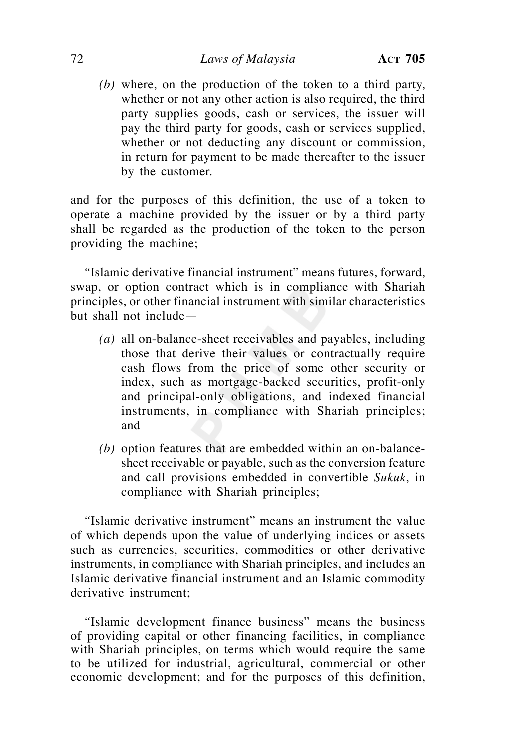# 72 *Laws of Malaysia* **ACT 705**

 *(b)* where, on the production of the token to a third party, whether or not any other action is also required, the third party supplies goods, cash or services, the issuer will pay the third party for goods, cash or services supplied, whether or not deducting any discount or commission, in return for payment to be made thereafter to the issuer by the customer.

and for the purposes of this definition, the use of a token to operate a machine provided by the issuer or by a third party shall be regarded as the production of the token to the person providing the machine;

 *"*Islamic derivative financial instrument" means futures, forward, swap, or option contract which is in compliance with Shariah principles, or other financial instrument with similar characteristics but shall not include—

- *(a)* all on-balance-sheet receivables and payables, including those that derive their values or contractually require cash flows from the price of some other security or index, such as mortgage-backed securities, profit-only and principal-only obligations, and indexed financial instruments, in compliance with Shariah principles; and
- *(b)* option features that are embedded within an on-balancesheet receivable or payable, such as the conversion feature and call provisions embedded in convertible *Sukuk*, in compliance with Shariah principles;

 *"*Islamic derivative instrument" means an instrument the value of which depends upon the value of underlying indices or assets such as currencies, securities, commodities or other derivative instruments, in compliance with Shariah principles, and includes an Islamic derivative financial instrument and an Islamic commodity derivative instrument;

 *"*Islamic development finance business" means the business of providing capital or other financing facilities, in compliance with Shariah principles, on terms which would require the same to be utilized for industrial, agricultural, commercial or other economic development; and for the purposes of this definition,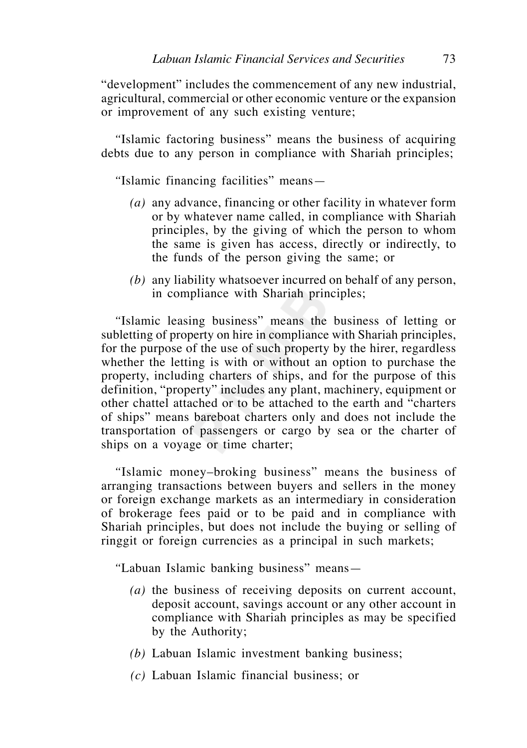"development" includes the commencement of any new industrial, agricultural, commercial or other economic venture or the expansion or improvement of any such existing venture;

 *"*Islamic factoring business" means the business of acquiring debts due to any person in compliance with Shariah principles;

 *"*Islamic financing facilities" means—

- *(a)* any advance, financing or other facility in whatever form or by whatever name called, in compliance with Shariah principles, by the giving of which the person to whom the same is given has access, directly or indirectly, to the funds of the person giving the same; or
- *(b)* any liability whatsoever incurred on behalf of any person, in compliance with Shariah principles;

 *"*Islamic leasing business" means the business of letting or subletting of property on hire in compliance with Shariah principles, for the purpose of the use of such property by the hirer, regardless whether the letting is with or without an option to purchase the property, including charters of ships, and for the purpose of this definition, "property" includes any plant, machinery, equipment or other chattel attached or to be attached to the earth and "charters of ships" means bareboat charters only and does not include the transportation of passengers or cargo by sea or the charter of ships on a voyage or time charter;

 *"*Islamic money–broking business" means the business of arranging transactions between buyers and sellers in the money or foreign exchange markets as an intermediary in consideration of brokerage fees paid or to be paid and in compliance with Shariah principles, but does not include the buying or selling of ringgit or foreign currencies as a principal in such markets;

 *"*Labuan Islamic banking business" means—

- *(a)* the business of receiving deposits on current account, deposit account, savings account or any other account in compliance with Shariah principles as may be specified by the Authority;
- *(b)* Labuan Islamic investment banking business;
- *(c)* Labuan Islamic financial business; or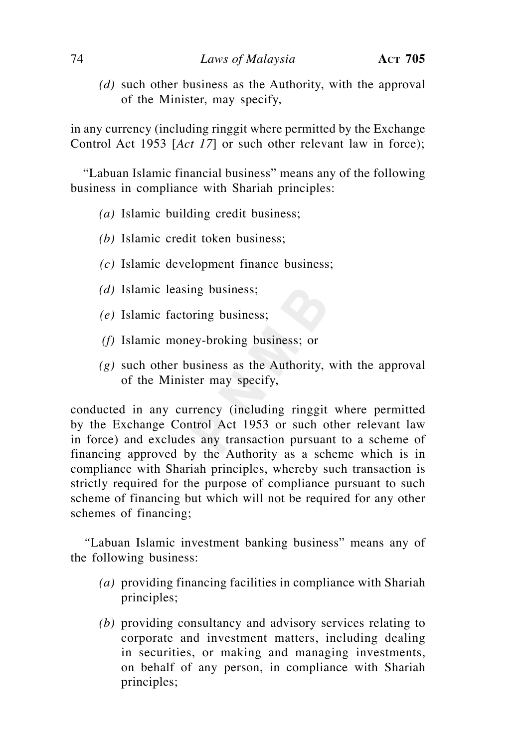*(d)* such other business as the Authority, with the approval of the Minister, may specify,

in any currency (including ringgit where permitted by the Exchange Control Act 1953 [*Act 17*] or such other relevant law in force);

 "Labuan Islamic financial business" means any of the following business in compliance with Shariah principles:

- *(a)* Islamic building credit business;
- *(b)* Islamic credit token business;
- *(c)* Islamic development finance business;
- *(d)* Islamic leasing business;
- *(e)* Islamic factoring business;
- *(f)* Islamic money-broking business; or
- *(g)* such other business as the Authority, with the approval of the Minister may specify,

conducted in any currency (including ringgit where permitted by the Exchange Control Act 1953 or such other relevant law in force) and excludes any transaction pursuant to a scheme of financing approved by the Authority as a scheme which is in compliance with Shariah principles, whereby such transaction is strictly required for the purpose of compliance pursuant to such scheme of financing but which will not be required for any other schemes of financing;

 *"*Labuan Islamic investment banking business" means any of the following business:

- *(a)* providing financing facilities in compliance with Shariah principles;
- *(b)* providing consultancy and advisory services relating to corporate and investment matters, including dealing in securities, or making and managing investments, on behalf of any person, in compliance with Shariah principles;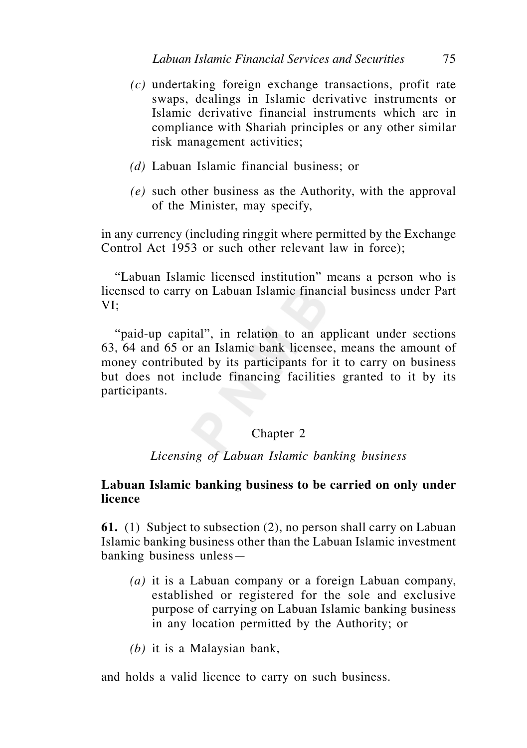- *(c)* undertaking foreign exchange transactions, profit rate swaps, dealings in Islamic derivative instruments or Islamic derivative financial instruments which are in compliance with Shariah principles or any other similar risk management activities;
- *(d)* Labuan Islamic financial business; or
- *(e)* such other business as the Authority, with the approval of the Minister, may specify,

in any currency (including ringgit where permitted by the Exchange Control Act 1953 or such other relevant law in force);

 "Labuan Islamic licensed institution" means a person who is licensed to carry on Labuan Islamic financial business under Part VI;

 "paid-up capital", in relation to an applicant under sections 63, 64 and 65 or an Islamic bank licensee, means the amount of money contributed by its participants for it to carry on business but does not include financing facilities granted to it by its participants.

### Chapter 2

*Licensing of Labuan Islamic banking business*

# **Labuan Islamic banking business to be carried on only under licence**

**61.** (1) Subject to subsection (2), no person shall carry on Labuan Islamic banking business other than the Labuan Islamic investment banking business unless—

- *(a)* it is a Labuan company or a foreign Labuan company, established or registered for the sole and exclusive purpose of carrying on Labuan Islamic banking business in any location permitted by the Authority; or
- *(b)* it is a Malaysian bank,

and holds a valid licence to carry on such business.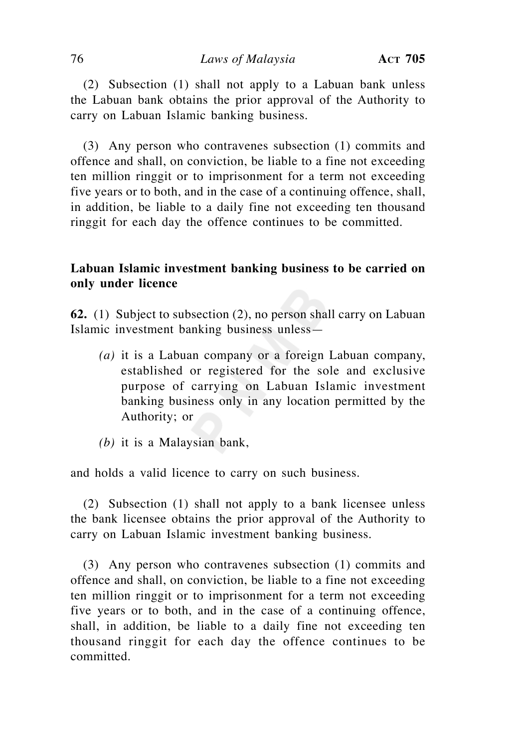(2) Subsection (1) shall not apply to a Labuan bank unless the Labuan bank obtains the prior approval of the Authority to carry on Labuan Islamic banking business.

 (3) Any person who contravenes subsection (1) commits and offence and shall, on conviction, be liable to a fine not exceeding ten million ringgit or to imprisonment for a term not exceeding five years or to both, and in the case of a continuing offence, shall, in addition, be liable to a daily fine not exceeding ten thousand ringgit for each day the offence continues to be committed.

# **Labuan Islamic investment banking business to be carried on only under licence**

**62.** (1) Subject to subsection (2), no person shall carry on Labuan Islamic investment banking business unless—

- *(a)* it is a Labuan company or a foreign Labuan company, established or registered for the sole and exclusive purpose of carrying on Labuan Islamic investment banking business only in any location permitted by the Authority; or
- *(b)* it is a Malaysian bank,

and holds a valid licence to carry on such business.

 (2) Subsection (1) shall not apply to a bank licensee unless the bank licensee obtains the prior approval of the Authority to carry on Labuan Islamic investment banking business.

 (3) Any person who contravenes subsection (1) commits and offence and shall, on conviction, be liable to a fine not exceeding ten million ringgit or to imprisonment for a term not exceeding five years or to both, and in the case of a continuing offence, shall, in addition, be liable to a daily fine not exceeding ten thousand ringgit for each day the offence continues to be committed.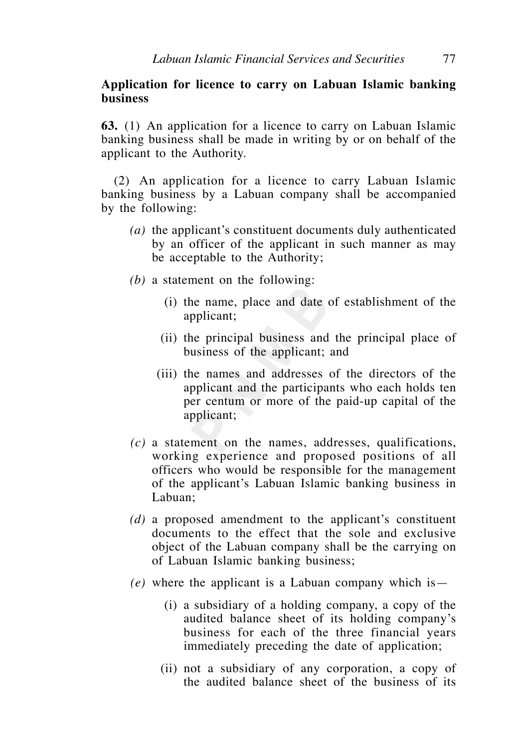#### **Application for licence to carry on Labuan Islamic banking business**

**63.** (1) An application for a licence to carry on Labuan Islamic banking business shall be made in writing by or on behalf of the applicant to the Authority.

 (2) An application for a licence to carry Labuan Islamic banking business by a Labuan company shall be accompanied by the following:

- *(a)* the applicant's constituent documents duly authenticated by an officer of the applicant in such manner as may be acceptable to the Authority;
- *(b)* a statement on the following:
	- (i) the name, place and date of establishment of the applicant;
	- (ii) the principal business and the principal place of business of the applicant; and
	- (iii) the names and addresses of the directors of the applicant and the participants who each holds ten per centum or more of the paid-up capital of the applicant;
- *(c)* a statement on the names, addresses, qualifications, working experience and proposed positions of all officers who would be responsible for the management of the applicant's Labuan Islamic banking business in Labuan;
- *(d)* a proposed amendment to the applicant's constituent documents to the effect that the sole and exclusive object of the Labuan company shall be the carrying on of Labuan Islamic banking business;
- $(e)$  where the applicant is a Labuan company which is—
	- (i) a subsidiary of a holding company, a copy of the audited balance sheet of its holding company's business for each of the three financial years immediately preceding the date of application;
	- (ii) not a subsidiary of any corporation, a copy of the audited balance sheet of the business of its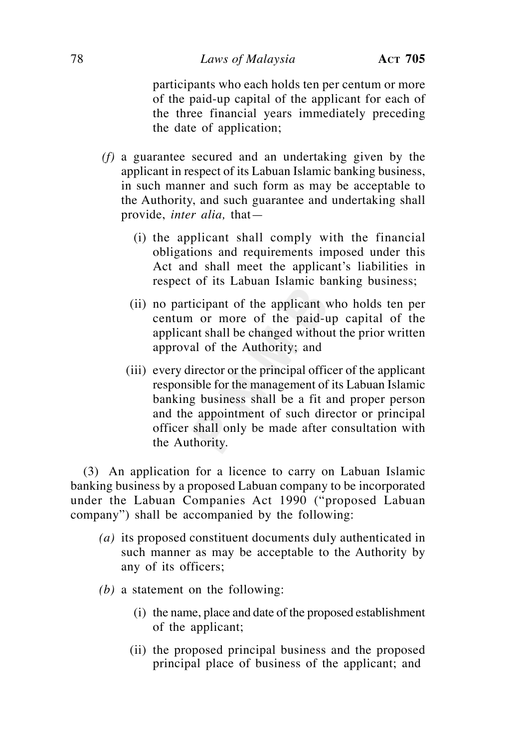#### 78 *Laws of Malaysia* **ACT 705**

participants who each holds ten per centum or more of the paid-up capital of the applicant for each of the three financial years immediately preceding the date of application;

- *(f)* a guarantee secured and an undertaking given by the applicant in respect of its Labuan Islamic banking business, in such manner and such form as may be acceptable to the Authority, and such guarantee and undertaking shall provide, *inter alia,* that—
	- (i) the applicant shall comply with the financial obligations and requirements imposed under this Act and shall meet the applicant's liabilities in respect of its Labuan Islamic banking business;
	- (ii) no participant of the applicant who holds ten per centum or more of the paid-up capital of the applicant shall be changed without the prior written approval of the Authority; and
	- (iii) every director or the principal officer of the applicant responsible for the management of its Labuan Islamic banking business shall be a fit and proper person and the appointment of such director or principal officer shall only be made after consultation with the Authority.

 (3) An application for a licence to carry on Labuan Islamic banking business by a proposed Labuan company to be incorporated under the Labuan Companies Act 1990 ("proposed Labuan company") shall be accompanied by the following:

- *(a)* its proposed constituent documents duly authenticated in such manner as may be acceptable to the Authority by any of its officers;
- *(b)* a statement on the following:
	- (i) the name, place and date of the proposed establishment of the applicant;
	- (ii) the proposed principal business and the proposed principal place of business of the applicant; and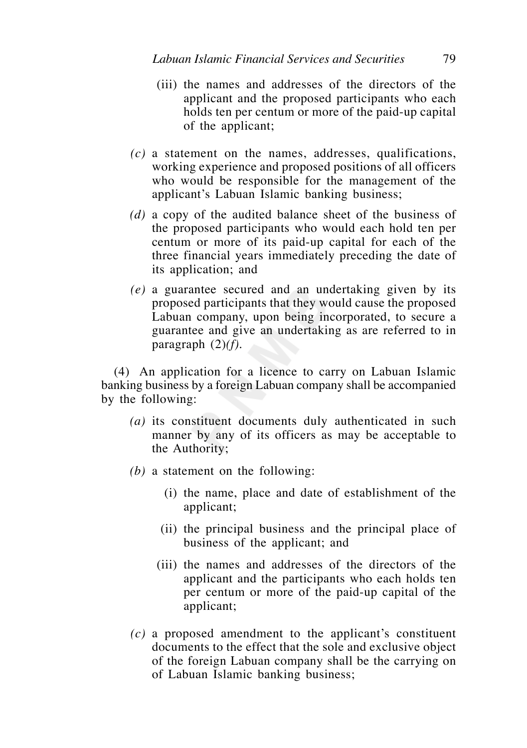- (iii) the names and addresses of the directors of the applicant and the proposed participants who each holds ten per centum or more of the paid-up capital of the applicant;
- *(c)* a statement on the names, addresses, qualifications, working experience and proposed positions of all officers who would be responsible for the management of the applicant's Labuan Islamic banking business;
- *(d)* a copy of the audited balance sheet of the business of the proposed participants who would each hold ten per centum or more of its paid-up capital for each of the three financial years immediately preceding the date of its application; and
- *(e)* a guarantee secured and an undertaking given by its proposed participants that they would cause the proposed Labuan company, upon being incorporated, to secure a guarantee and give an undertaking as are referred to in paragraph (2)*(f)*.

 (4) An application for a licence to carry on Labuan Islamic banking business by a foreign Labuan company shall be accompanied by the following:

- *(a)* its constituent documents duly authenticated in such manner by any of its officers as may be acceptable to the Authority;
- *(b)* a statement on the following:
	- (i) the name, place and date of establishment of the applicant;
	- (ii) the principal business and the principal place of business of the applicant; and
	- (iii) the names and addresses of the directors of the applicant and the participants who each holds ten per centum or more of the paid-up capital of the applicant;
- *(c)* a proposed amendment to the applicant's constituent documents to the effect that the sole and exclusive object of the foreign Labuan company shall be the carrying on of Labuan Islamic banking business;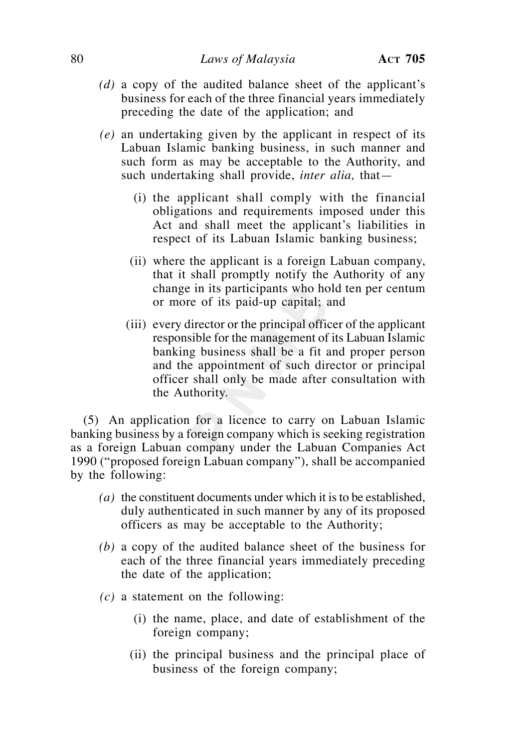- *(d)* a copy of the audited balance sheet of the applicant's business for each of the three financial years immediately preceding the date of the application; and
- *(e)* an undertaking given by the applicant in respect of its Labuan Islamic banking business, in such manner and such form as may be acceptable to the Authority, and such undertaking shall provide, *inter alia,* that—
	- (i) the applicant shall comply with the financial obligations and requirements imposed under this Act and shall meet the applicant's liabilities in respect of its Labuan Islamic banking business;
	- (ii) where the applicant is a foreign Labuan company, that it shall promptly notify the Authority of any change in its participants who hold ten per centum or more of its paid-up capital; and
	- (iii) every director or the principal officer of the applicant responsible for the management of its Labuan Islamic banking business shall be a fit and proper person and the appointment of such director or principal officer shall only be made after consultation with the Authority.

 (5) An application for a licence to carry on Labuan Islamic banking business by a foreign company which is seeking registration as a foreign Labuan company under the Labuan Companies Act 1990 ("proposed foreign Labuan company"), shall be accompanied by the following:

- *(a)* the constituent documents under which it is to be established, duly authenticated in such manner by any of its proposed officers as may be acceptable to the Authority;
- *(b)* a copy of the audited balance sheet of the business for each of the three financial years immediately preceding the date of the application;
- *(c)* a statement on the following:
	- (i) the name, place, and date of establishment of the foreign company;
	- (ii) the principal business and the principal place of business of the foreign company;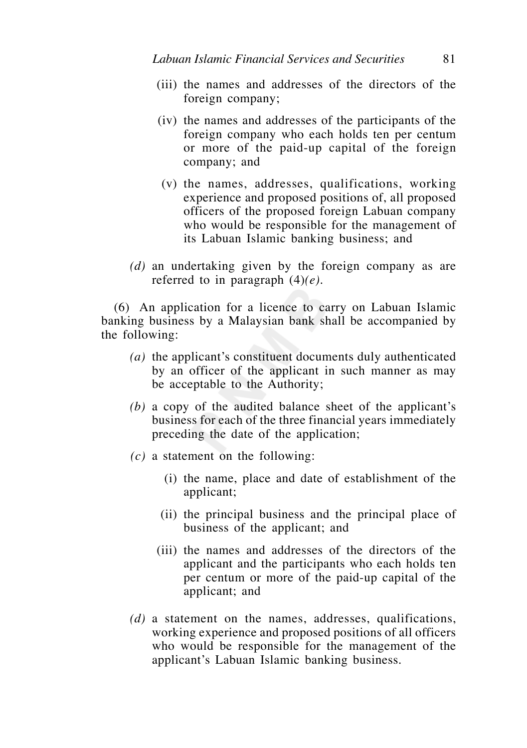- (iii) the names and addresses of the directors of the foreign company;
- (iv) the names and addresses of the participants of the foreign company who each holds ten per centum or more of the paid-up capital of the foreign company; and
- (v) the names, addresses, qualifications, working experience and proposed positions of, all proposed officers of the proposed foreign Labuan company who would be responsible for the management of its Labuan Islamic banking business; and
- *(d)* an undertaking given by the foreign company as are referred to in paragraph (4)*(e)*.

 (6) An application for a licence to carry on Labuan Islamic banking business by a Malaysian bank shall be accompanied by the following:

- *(a)* the applicant's constituent documents duly authenticated by an officer of the applicant in such manner as may be acceptable to the Authority;
- *(b)* a copy of the audited balance sheet of the applicant's business for each of the three financial years immediately preceding the date of the application;
- *(c)* a statement on the following:
	- (i) the name, place and date of establishment of the applicant;
	- (ii) the principal business and the principal place of business of the applicant; and
	- (iii) the names and addresses of the directors of the applicant and the participants who each holds ten per centum or more of the paid-up capital of the applicant; and
- *(d)* a statement on the names, addresses, qualifications, working experience and proposed positions of all officers who would be responsible for the management of the applicant's Labuan Islamic banking business.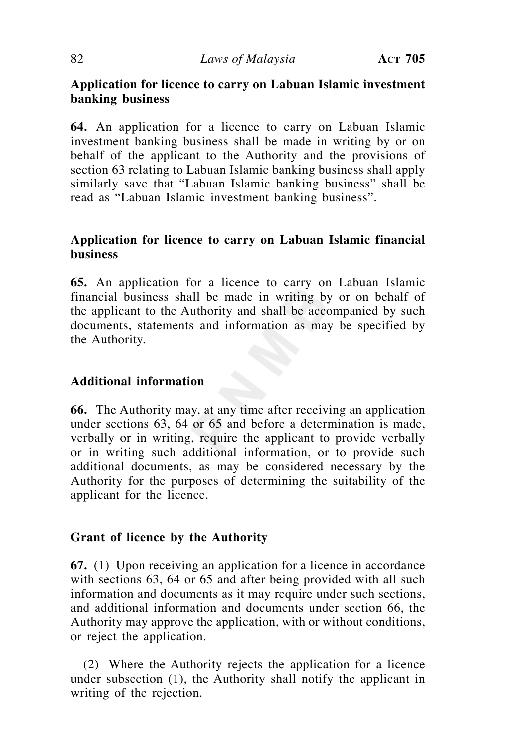# **Application for licence to carry on Labuan Islamic investment banking business**

**64.** An application for a licence to carry on Labuan Islamic investment banking business shall be made in writing by or on behalf of the applicant to the Authority and the provisions of section 63 relating to Labuan Islamic banking business shall apply similarly save that "Labuan Islamic banking business" shall be read as "Labuan Islamic investment banking business".

# **Application for licence to carry on Labuan Islamic financial business**

**65.** An application for a licence to carry on Labuan Islamic financial business shall be made in writing by or on behalf of the applicant to the Authority and shall be accompanied by such documents, statements and information as may be specified by the Authority.

# **Additional information**

**66.** The Authority may, at any time after receiving an application under sections 63, 64 or 65 and before a determination is made, verbally or in writing, require the applicant to provide verbally or in writing such additional information, or to provide such additional documents, as may be considered necessary by the Authority for the purposes of determining the suitability of the applicant for the licence.

### **Grant of licence by the Authority**

**67.** (1) Upon receiving an application for a licence in accordance with sections 63, 64 or 65 and after being provided with all such information and documents as it may require under such sections, and additional information and documents under section 66, the Authority may approve the application, with or without conditions, or reject the application.

 (2) Where the Authority rejects the application for a licence under subsection (1), the Authority shall notify the applicant in writing of the rejection.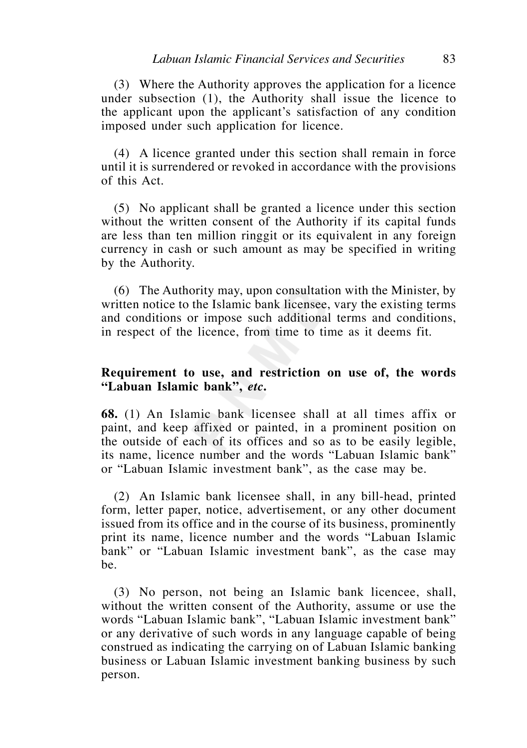(3) Where the Authority approves the application for a licence under subsection (1), the Authority shall issue the licence to the applicant upon the applicant's satisfaction of any condition imposed under such application for licence.

 (4) A licence granted under this section shall remain in force until it is surrendered or revoked in accordance with the provisions of this Act.

 (5) No applicant shall be granted a licence under this section without the written consent of the Authority if its capital funds are less than ten million ringgit or its equivalent in any foreign currency in cash or such amount as may be specified in writing by the Authority.

 (6) The Authority may, upon consultation with the Minister, by written notice to the Islamic bank licensee, vary the existing terms and conditions or impose such additional terms and conditions, in respect of the licence, from time to time as it deems fit.

### **Requirement to use, and restriction on use of, the words "Labuan Islamic bank",** *etc***.**

**68.** (1) An Islamic bank licensee shall at all times affix or paint, and keep affixed or painted, in a prominent position on the outside of each of its offices and so as to be easily legible, its name, licence number and the words "Labuan Islamic bank" or "Labuan Islamic investment bank", as the case may be.

 (2) An Islamic bank licensee shall, in any bill-head, printed form, letter paper, notice, advertisement, or any other document issued from its office and in the course of its business, prominently print its name, licence number and the words "Labuan Islamic bank" or "Labuan Islamic investment bank", as the case may be.

 (3) No person, not being an Islamic bank licencee, shall, without the written consent of the Authority, assume or use the words "Labuan Islamic bank", "Labuan Islamic investment bank" or any derivative of such words in any language capable of being construed as indicating the carrying on of Labuan Islamic banking business or Labuan Islamic investment banking business by such person.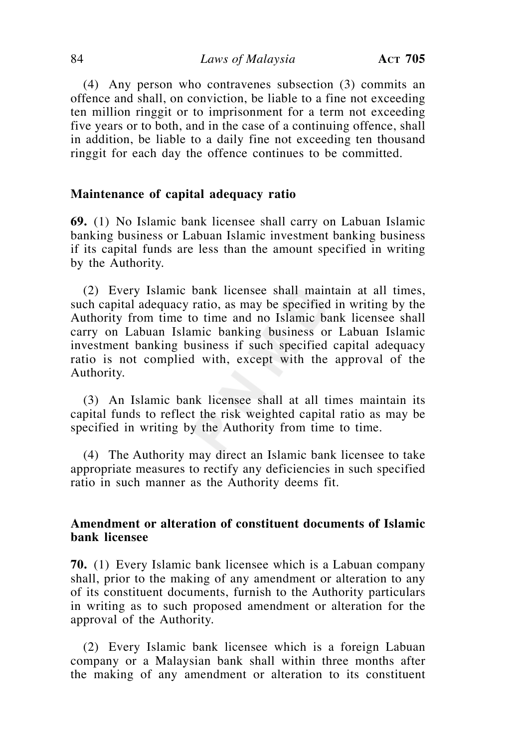(4) Any person who contravenes subsection (3) commits an offence and shall, on conviction, be liable to a fine not exceeding ten million ringgit or to imprisonment for a term not exceeding five years or to both, and in the case of a continuing offence, shall in addition, be liable to a daily fine not exceeding ten thousand ringgit for each day the offence continues to be committed.

#### **Maintenance of capital adequacy ratio**

**69.** (1) No Islamic bank licensee shall carry on Labuan Islamic banking business or Labuan Islamic investment banking business if its capital funds are less than the amount specified in writing by the Authority.

 (2) Every Islamic bank licensee shall maintain at all times, such capital adequacy ratio, as may be specified in writing by the Authority from time to time and no Islamic bank licensee shall carry on Labuan Islamic banking business or Labuan Islamic investment banking business if such specified capital adequacy ratio is not complied with, except with the approval of the Authority.

 (3) An Islamic bank licensee shall at all times maintain its capital funds to reflect the risk weighted capital ratio as may be specified in writing by the Authority from time to time.

 (4) The Authority may direct an Islamic bank licensee to take appropriate measures to rectify any deficiencies in such specified ratio in such manner as the Authority deems fit.

### **Amendment or alteration of constituent documents of Islamic bank licensee**

**70.** (1) Every Islamic bank licensee which is a Labuan company shall, prior to the making of any amendment or alteration to any of its constituent documents, furnish to the Authority particulars in writing as to such proposed amendment or alteration for the approval of the Authority.

 (2) Every Islamic bank licensee which is a foreign Labuan company or a Malaysian bank shall within three months after the making of any amendment or alteration to its constituent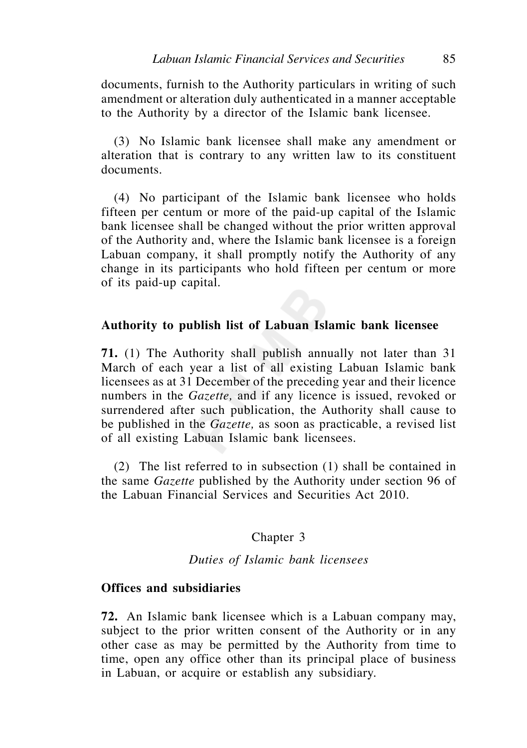documents, furnish to the Authority particulars in writing of such amendment or alteration duly authenticated in a manner acceptable to the Authority by a director of the Islamic bank licensee.

 (3) No Islamic bank licensee shall make any amendment or alteration that is contrary to any written law to its constituent documents.

 (4) No participant of the Islamic bank licensee who holds fifteen per centum or more of the paid-up capital of the Islamic bank licensee shall be changed without the prior written approval of the Authority and, where the Islamic bank licensee is a foreign Labuan company, it shall promptly notify the Authority of any change in its participants who hold fifteen per centum or more of its paid-up capital.

#### **Authority to publish list of Labuan Islamic bank licensee**

**71.** (1) The Authority shall publish annually not later than 31 March of each year a list of all existing Labuan Islamic bank licensees as at 31 December of the preceding year and their licence numbers in the *Gazette,* and if any licence is issued, revoked or surrendered after such publication, the Authority shall cause to be published in the *Gazette,* as soon as practicable, a revised list of all existing Labuan Islamic bank licensees*.*

 (2) The list referred to in subsection (1) shall be contained in the same *Gazette* published by the Authority under section 96 of the Labuan Financial Services and Securities Act 2010.

# Chapter 3

### *Duties of Islamic bank licensees*

#### **Offices and subsidiaries**

**72.** An Islamic bank licensee which is a Labuan company may, subject to the prior written consent of the Authority or in any other case as may be permitted by the Authority from time to time, open any office other than its principal place of business in Labuan, or acquire or establish any subsidiary.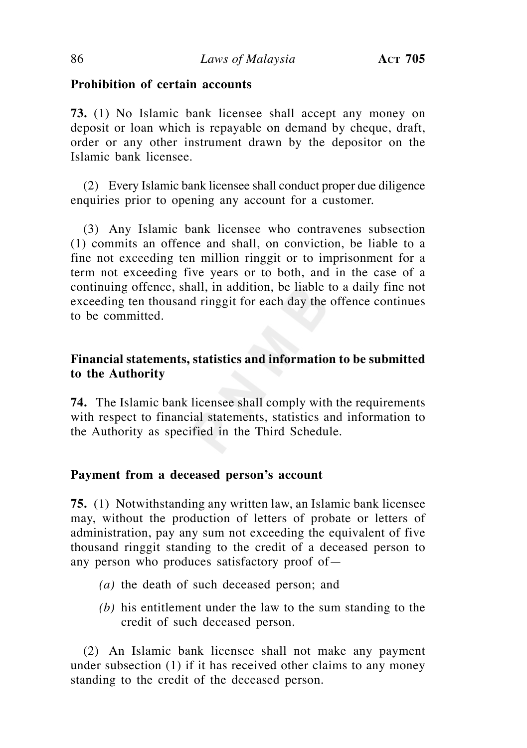### **Prohibition of certain accounts**

**73.** (1) No Islamic bank licensee shall accept any money on deposit or loan which is repayable on demand by cheque, draft, order or any other instrument drawn by the depositor on the Islamic bank licensee.

 (2) Every Islamic bank licensee shall conduct proper due diligence enquiries prior to opening any account for a customer.

(3) Any Islamic bank licensee who contravenes subsection (1) commits an offence and shall, on conviction, be liable to a fine not exceeding ten million ringgit or to imprisonment for a term not exceeding five years or to both, and in the case of a continuing offence, shall, in addition, be liable to a daily fine not exceeding ten thousand ringgit for each day the offence continues to be committed.

# **Financial statements, statistics and information to be submitted to the Authority**

**74.** The Islamic bank licensee shall comply with the requirements with respect to financial statements, statistics and information to the Authority as specified in the Third Schedule.

### **Payment from a deceased person's account**

**75.** (1) Notwithstanding any written law, an Islamic bank licensee may, without the production of letters of probate or letters of administration, pay any sum not exceeding the equivalent of five thousand ringgit standing to the credit of a deceased person to any person who produces satisfactory proof of—

- *(a)* the death of such deceased person; and
- *(b)* his entitlement under the law to the sum standing to the credit of such deceased person.

 (2) An Islamic bank licensee shall not make any payment under subsection (1) if it has received other claims to any money standing to the credit of the deceased person.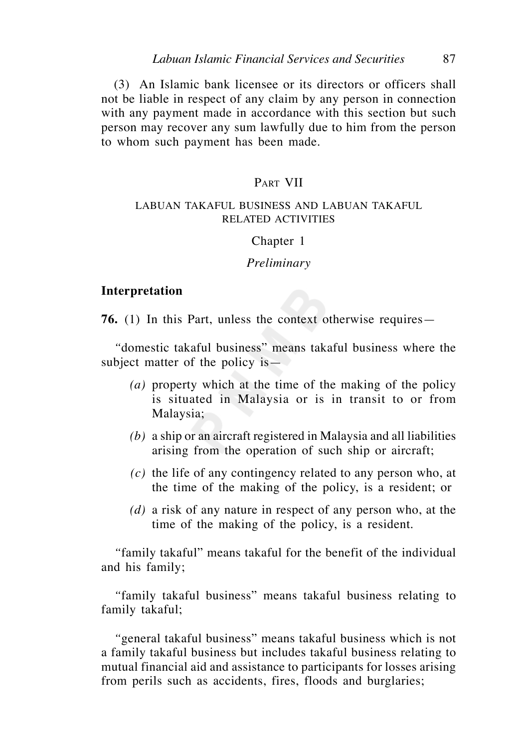(3) An Islamic bank licensee or its directors or officers shall not be liable in respect of any claim by any person in connection with any payment made in accordance with this section but such person may recover any sum lawfully due to him from the person to whom such payment has been made.

#### PART VII

#### LABUAN TAKAFUL BUSINESS AND LABUAN TAKAFUL RELATED ACTIVITIES

#### Chapter 1

#### *Preliminary*

#### **Interpretation**

**76.** (1) In this Part, unless the context otherwise requires—

 *"*domestic takaful business" means takaful business where the subject matter of the policy is—

- *(a)* property which at the time of the making of the policy is situated in Malaysia or is in transit to or from Malaysia;
- *(b)* a ship or an aircraft registered in Malaysia and all liabilities arising from the operation of such ship or aircraft;
- *(c)* the life of any contingency related to any person who, at the time of the making of the policy, is a resident; or
- *(d)* a risk of any nature in respect of any person who, at the time of the making of the policy, is a resident.

 *"*family takaful" means takaful for the benefit of the individual and his family;

 *"*family takaful business" means takaful business relating to family takaful;

 *"*general takaful business" means takaful business which is not a family takaful business but includes takaful business relating to mutual financial aid and assistance to participants for losses arising from perils such as accidents, fires, floods and burglaries;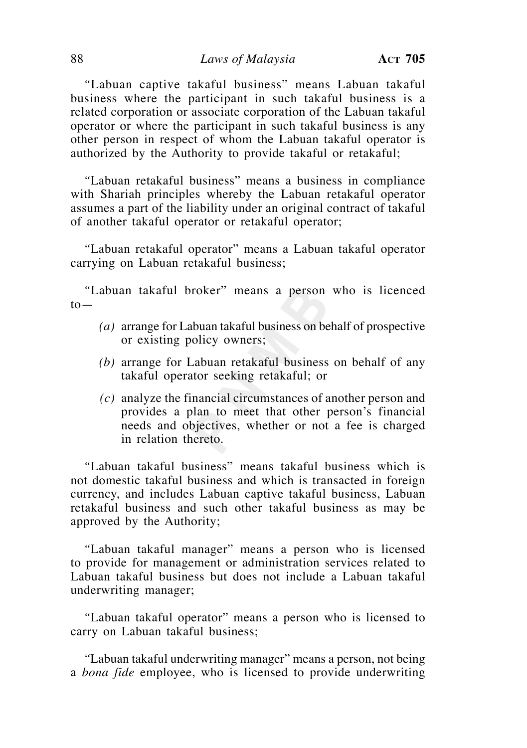#### 88 *Laws of Malaysia* **ACT 705**

 *"*Labuan captive takaful business" means Labuan takaful business where the participant in such takaful business is a related corporation or associate corporation of the Labuan takaful operator or where the participant in such takaful business is any other person in respect of whom the Labuan takaful operator is authorized by the Authority to provide takaful or retakaful;

 *"*Labuan retakaful business" means a business in compliance with Shariah principles whereby the Labuan retakaful operator assumes a part of the liability under an original contract of takaful of another takaful operator or retakaful operator;

 *"*Labuan retakaful operator" means a Labuan takaful operator carrying on Labuan retakaful business;

 *"*Labuan takaful broker" means a person who is licenced  $to-$ 

- *(a)* arrange for Labuan takaful business on behalf of prospective or existing policy owners;
- *(b)* arrange for Labuan retakaful business on behalf of any takaful operator seeking retakaful; or
- *(c)* analyze the financial circumstances of another person and provides a plan to meet that other person's financial needs and objectives, whether or not a fee is charged in relation thereto.

 *"*Labuan takaful business" means takaful business which is not domestic takaful business and which is transacted in foreign currency, and includes Labuan captive takaful business, Labuan retakaful business and such other takaful business as may be approved by the Authority;

 *"*Labuan takaful manager" means a person who is licensed to provide for management or administration services related to Labuan takaful business but does not include a Labuan takaful underwriting manager;

 *"*Labuan takaful operator" means a person who is licensed to carry on Labuan takaful business;

 *"*Labuan takaful underwriting manager" means a person, not being a *bona fide* employee, who is licensed to provide underwriting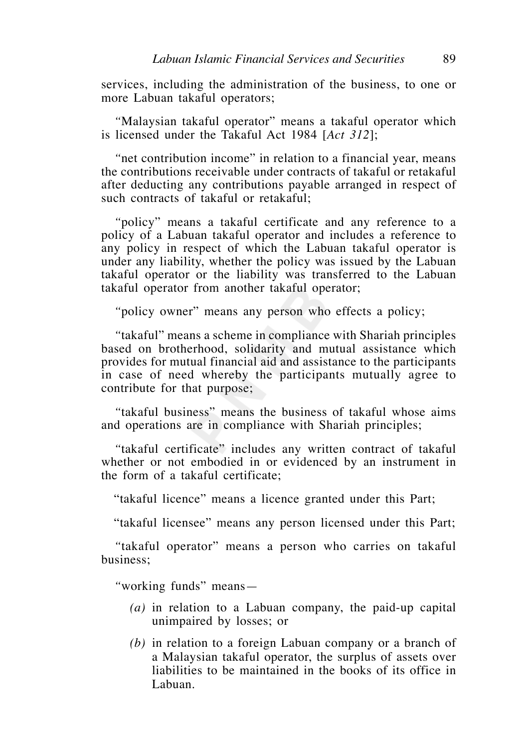services, including the administration of the business, to one or more Labuan takaful operators;

 *"*Malaysian takaful operator" means a takaful operator which is licensed under the Takaful Act 1984 [*Act 312*];

 *"*net contribution income" in relation to a financial year, means the contributions receivable under contracts of takaful or retakaful after deducting any contributions payable arranged in respect of such contracts of takaful or retakaful;

 *"*policy" means a takaful certificate and any reference to a policy of a Labuan takaful operator and includes a reference to any policy in respect of which the Labuan takaful operator is under any liability, whether the policy was issued by the Labuan takaful operator or the liability was transferred to the Labuan takaful operator from another takaful operator;

 *"*policy owner" means any person who effects a policy;

 *"*takaful" means a scheme in compliance with Shariah principles based on brotherhood, solidarity and mutual assistance which provides for mutual financial aid and assistance to the participants in case of need whereby the participants mutually agree to contribute for that purpose;

 *"*takaful business" means the business of takaful whose aims and operations are in compliance with Shariah principles;

 *"*takaful certificate" includes any written contract of takaful whether or not embodied in or evidenced by an instrument in the form of a takaful certificate;

"takaful licence" means a licence granted under this Part;

"takaful licensee" means any person licensed under this Part;

 *"*takaful operator" means a person who carries on takaful business;

 *"*working funds" means—

- *(a)* in relation to a Labuan company, the paid-up capital unimpaired by losses; or
- *(b)* in relation to a foreign Labuan company or a branch of a Malaysian takaful operator, the surplus of assets over liabilities to be maintained in the books of its office in Labuan.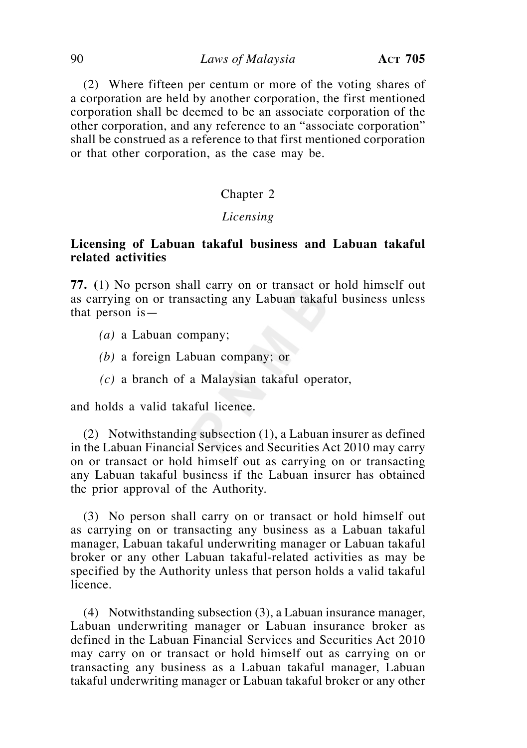(2) Where fifteen per centum or more of the voting shares of a corporation are held by another corporation, the first mentioned corporation shall be deemed to be an associate corporation of the other corporation, and any reference to an "associate corporation" shall be construed as a reference to that first mentioned corporation or that other corporation, as the case may be.

# Chapter 2

#### *Licensing*

#### **Licensing of Labuan takaful business and Labuan takaful related activities**

**77. (**1) No person shall carry on or transact or hold himself out as carrying on or transacting any Labuan takaful business unless that person is—

- *(a)* a Labuan company;
- *(b)* a foreign Labuan company; or
- *(c)* a branch of a Malaysian takaful operator,

and holds a valid takaful licence.

 (2) Notwithstanding subsection (1), a Labuan insurer as defined in the Labuan Financial Services and Securities Act 2010 may carry on or transact or hold himself out as carrying on or transacting any Labuan takaful business if the Labuan insurer has obtained the prior approval of the Authority.

 (3) No person shall carry on or transact or hold himself out as carrying on or transacting any business as a Labuan takaful manager, Labuan takaful underwriting manager or Labuan takaful broker or any other Labuan takaful-related activities as may be specified by the Authority unless that person holds a valid takaful licence.

 (4) Notwithstanding subsection (3), a Labuan insurance manager, Labuan underwriting manager or Labuan insurance broker as defined in the Labuan Financial Services and Securities Act 2010 may carry on or transact or hold himself out as carrying on or transacting any business as a Labuan takaful manager, Labuan takaful underwriting manager or Labuan takaful broker or any other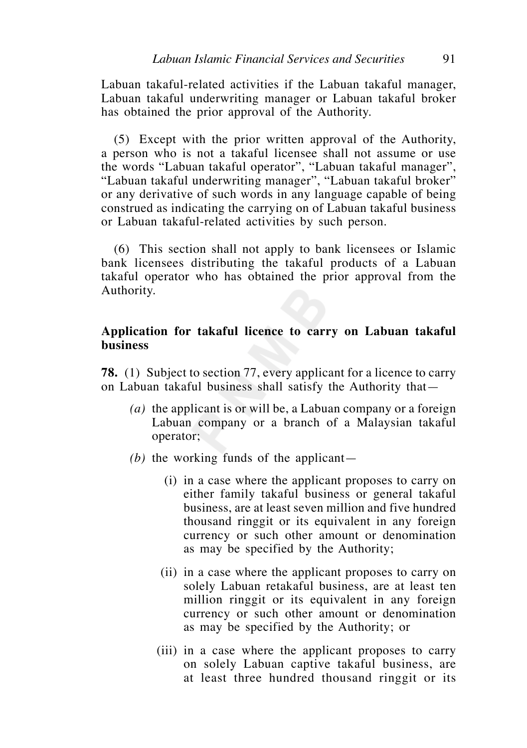Labuan takaful-related activities if the Labuan takaful manager, Labuan takaful underwriting manager or Labuan takaful broker has obtained the prior approval of the Authority.

 (5) Except with the prior written approval of the Authority, a person who is not a takaful licensee shall not assume or use the words "Labuan takaful operator", "Labuan takaful manager", "Labuan takaful underwriting manager", "Labuan takaful broker" or any derivative of such words in any language capable of being construed as indicating the carrying on of Labuan takaful business or Labuan takaful-related activities by such person.

 (6) This section shall not apply to bank licensees or Islamic bank licensees distributing the takaful products of a Labuan takaful operator who has obtained the prior approval from the Authority.

#### **Application for takaful licence to carry on Labuan takaful business**

**78.** (1) Subject to section 77, every applicant for a licence to carry on Labuan takaful business shall satisfy the Authority that—

- *(a)* the applicant is or will be, a Labuan company or a foreign Labuan company or a branch of a Malaysian takaful operator;
- *(b)* the working funds of the applicant—
	- (i) in a case where the applicant proposes to carry on either family takaful business or general takaful business, are at least seven million and five hundred thousand ringgit or its equivalent in any foreign currency or such other amount or denomination as may be specified by the Authority;
	- (ii) in a case where the applicant proposes to carry on solely Labuan retakaful business, are at least ten million ringgit or its equivalent in any foreign currency or such other amount or denomination as may be specified by the Authority; or
	- (iii) in a case where the applicant proposes to carry on solely Labuan captive takaful business, are at least three hundred thousand ringgit or its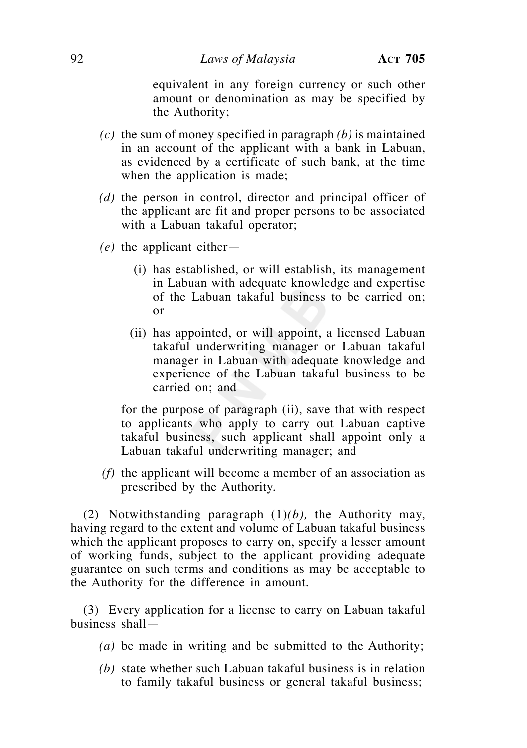equivalent in any foreign currency or such other amount or denomination as may be specified by the Authority;

- *(c)* the sum of money specified in paragraph *(b)* is maintained in an account of the applicant with a bank in Labuan, as evidenced by a certificate of such bank, at the time when the application is made;
- *(d)* the person in control, director and principal officer of the applicant are fit and proper persons to be associated with a Labuan takaful operator;
- *(e)* the applicant either—
	- (i) has established, or will establish, its management in Labuan with adequate knowledge and expertise of the Labuan takaful business to be carried on; or
	- (ii) has appointed, or will appoint, a licensed Labuan takaful underwriting manager or Labuan takaful manager in Labuan with adequate knowledge and experience of the Labuan takaful business to be carried on; and

 for the purpose of paragraph (ii), save that with respect to applicants who apply to carry out Labuan captive takaful business, such applicant shall appoint only a Labuan takaful underwriting manager; and

 *(f)* the applicant will become a member of an association as prescribed by the Authority.

 (2) Notwithstanding paragraph (1)*(b),* the Authority may, having regard to the extent and volume of Labuan takaful business which the applicant proposes to carry on, specify a lesser amount of working funds, subject to the applicant providing adequate guarantee on such terms and conditions as may be acceptable to the Authority for the difference in amount.

 (3) Every application for a license to carry on Labuan takaful business shall—

- *(a)* be made in writing and be submitted to the Authority;
- *(b)* state whether such Labuan takaful business is in relation to family takaful business or general takaful business;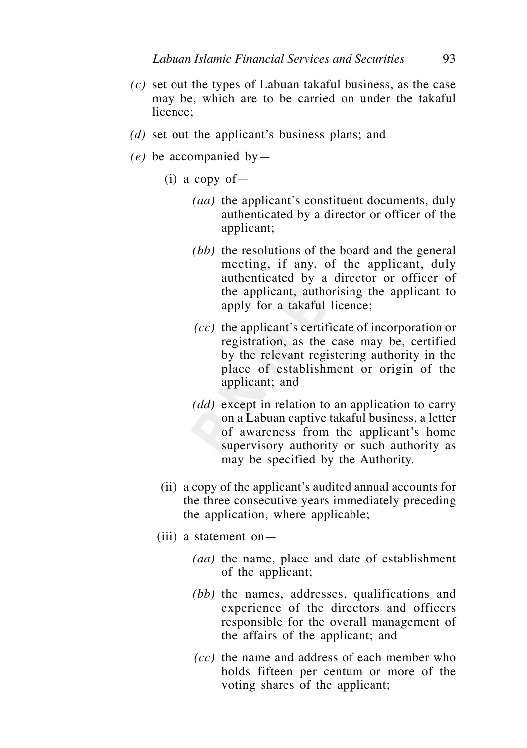- *(c)* set out the types of Labuan takaful business, as the case may be, which are to be carried on under the takaful licence;
- *(d)* set out the applicant's business plans; and
- *(e)* be accompanied by—
	- $(i)$  a copy of
		- *(aa)* the applicant's constituent documents, duly authenticated by a director or officer of the applicant;
		- *(bb)* the resolutions of the board and the general meeting, if any, of the applicant, duly authenticated by a director or officer of the applicant, authorising the applicant to apply for a takaful licence;
		- *(cc)* the applicant's certificate of incorporation or registration, as the case may be, certified by the relevant registering authority in the place of establishment or origin of the applicant; and
		- *(dd)* except in relation to an application to carry on a Labuan captive takaful business, a letter of awareness from the applicant's home supervisory authority or such authority as may be specified by the Authority.
	- (ii) a copy of the applicant's audited annual accounts for the three consecutive years immediately preceding the application, where applicable;
	- (iii) a statement on—
		- *(aa)* the name, place and date of establishment of the applicant;
		- *(bb)* the names, addresses, qualifications and experience of the directors and officers responsible for the overall management of the affairs of the applicant; and
		- *(cc)* the name and address of each member who holds fifteen per centum or more of the voting shares of the applicant;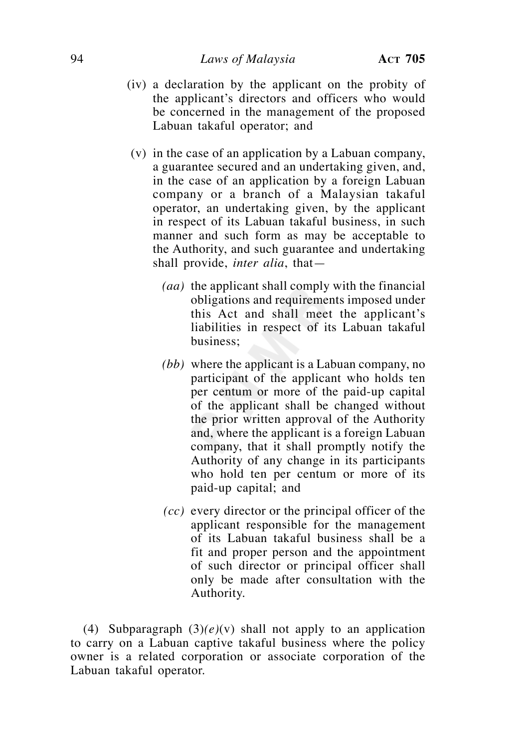- (iv) a declaration by the applicant on the probity of the applicant's directors and officers who would be concerned in the management of the proposed Labuan takaful operator; and
- (v) in the case of an application by a Labuan company, a guarantee secured and an undertaking given, and, in the case of an application by a foreign Labuan company or a branch of a Malaysian takaful operator, an undertaking given, by the applicant in respect of its Labuan takaful business, in such manner and such form as may be acceptable to the Authority, and such guarantee and undertaking shall provide, *inter alia*, that—
	- *(aa)* the applicant shall comply with the financial obligations and requirements imposed under this Act and shall meet the applicant's liabilities in respect of its Labuan takaful business;
	- *(bb)* where the applicant is a Labuan company, no participant of the applicant who holds ten per centum or more of the paid-up capital of the applicant shall be changed without the prior written approval of the Authority and, where the applicant is a foreign Labuan company, that it shall promptly notify the Authority of any change in its participants who hold ten per centum or more of its paid-up capital; and
	- *(cc)* every director or the principal officer of the applicant responsible for the management of its Labuan takaful business shall be a fit and proper person and the appointment of such director or principal officer shall only be made after consultation with the Authority.

 (4) Subparagraph (3)*(e)*(v) shall not apply to an application to carry on a Labuan captive takaful business where the policy owner is a related corporation or associate corporation of the Labuan takaful operator.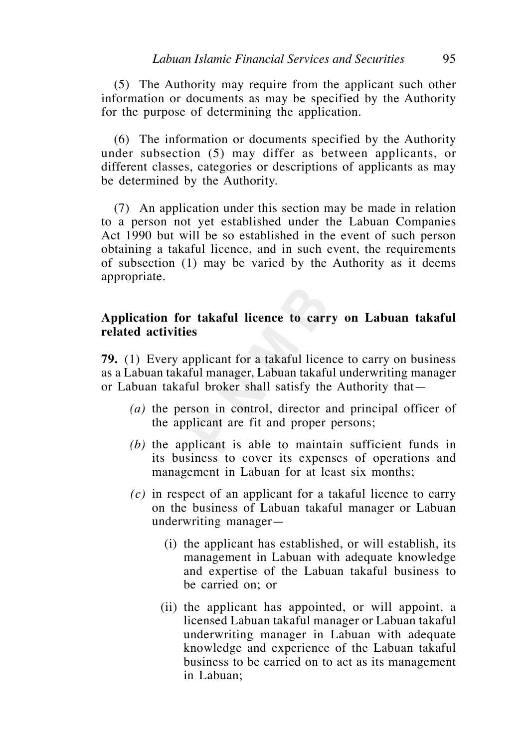(5) The Authority may require from the applicant such other information or documents as may be specified by the Authority for the purpose of determining the application.

 (6) The information or documents specified by the Authority under subsection (5) may differ as between applicants, or different classes, categories or descriptions of applicants as may be determined by the Authority.

 (7) An application under this section may be made in relation to a person not yet established under the Labuan Companies Act 1990 but will be so established in the event of such person obtaining a takaful licence, and in such event, the requirements of subsection (1) may be varied by the Authority as it deems appropriate.

#### **Application for takaful licence to carry on Labuan takaful related activities**

**79.** (1) Every applicant for a takaful licence to carry on business as a Labuan takaful manager, Labuan takaful underwriting manager or Labuan takaful broker shall satisfy the Authority that—

- *(a)* the person in control, director and principal officer of the applicant are fit and proper persons;
- *(b)* the applicant is able to maintain sufficient funds in its business to cover its expenses of operations and management in Labuan for at least six months;
- *(c)* in respect of an applicant for a takaful licence to carry on the business of Labuan takaful manager or Labuan underwriting manager—
	- (i) the applicant has established, or will establish, its management in Labuan with adequate knowledge and expertise of the Labuan takaful business to be carried on; or
	- (ii) the applicant has appointed, or will appoint, a licensed Labuan takaful manager or Labuan takaful underwriting manager in Labuan with adequate knowledge and experience of the Labuan takaful business to be carried on to act as its management in Labuan;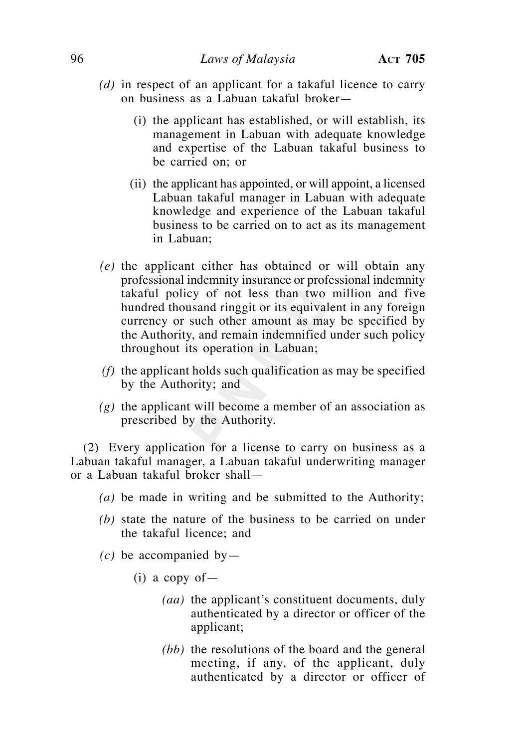- *(d)* in respect of an applicant for a takaful licence to carry on business as a Labuan takaful broker—
	- (i) the applicant has established, or will establish, its management in Labuan with adequate knowledge and expertise of the Labuan takaful business to be carried on; or
	- (ii) the applicant has appointed, or will appoint, a licensed Labuan takaful manager in Labuan with adequate knowledge and experience of the Labuan takaful business to be carried on to act as its management in Labuan;
- *(e)* the applicant either has obtained or will obtain any professional indemnity insurance or professional indemnity takaful policy of not less than two million and five hundred thousand ringgit or its equivalent in any foreign currency or such other amount as may be specified by the Authority, and remain indemnified under such policy throughout its operation in Labuan;
- *(f)* the applicant holds such qualification as may be specified by the Authority; and
- *(g)* the applicant will become a member of an association as prescribed by the Authority.

 (2) Every application for a license to carry on business as a Labuan takaful manager, a Labuan takaful underwriting manager or a Labuan takaful broker shall—

- *(a)* be made in writing and be submitted to the Authority;
- *(b)* state the nature of the business to be carried on under the takaful licence; and
- $(c)$  be accompanied by
	- $(i)$  a copy of  $-$ 
		- *(aa)* the applicant's constituent documents, duly authenticated by a director or officer of the applicant;
		- *(bb)* the resolutions of the board and the general meeting, if any, of the applicant, duly authenticated by a director or officer of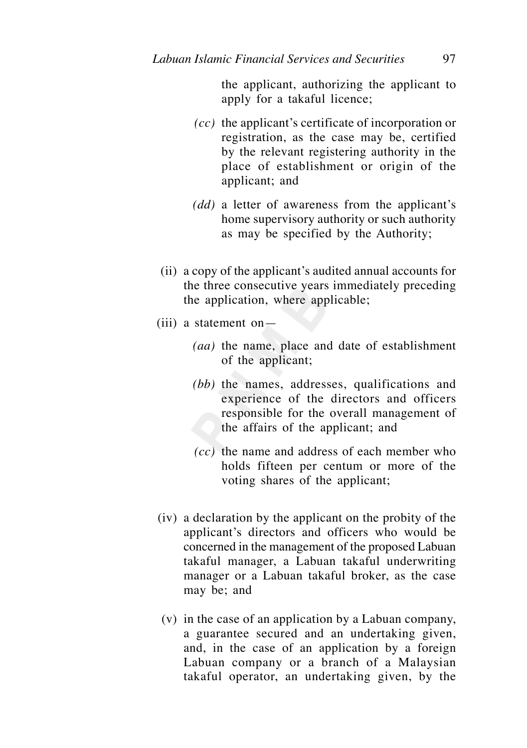the applicant, authorizing the applicant to apply for a takaful licence;

- *(cc)* the applicant's certificate of incorporation or registration, as the case may be, certified by the relevant registering authority in the place of establishment or origin of the applicant; and
- *(dd)* a letter of awareness from the applicant's home supervisory authority or such authority as may be specified by the Authority;
- (ii) a copy of the applicant's audited annual accounts for the three consecutive years immediately preceding the application, where applicable;
- (iii) a statement on—
	- *(aa)* the name, place and date of establishment of the applicant;
	- *(bb)* the names, addresses, qualifications and experience of the directors and officers responsible for the overall management of the affairs of the applicant; and
	- *(cc)* the name and address of each member who holds fifteen per centum or more of the voting shares of the applicant;
- (iv) a declaration by the applicant on the probity of the applicant's directors and officers who would be concerned in the management of the proposed Labuan takaful manager, a Labuan takaful underwriting manager or a Labuan takaful broker, as the case may be; and
- (v) in the case of an application by a Labuan company, a guarantee secured and an undertaking given, and, in the case of an application by a foreign Labuan company or a branch of a Malaysian takaful operator, an undertaking given, by the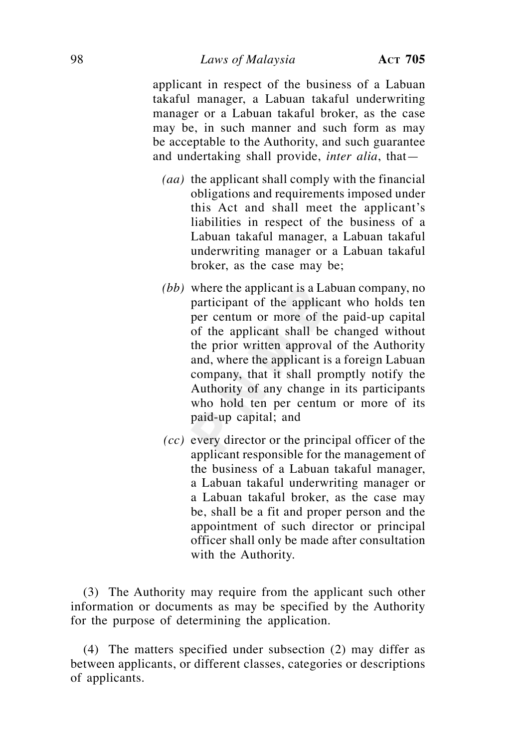applicant in respect of the business of a Labuan takaful manager, a Labuan takaful underwriting manager or a Labuan takaful broker, as the case may be, in such manner and such form as may be acceptable to the Authority, and such guarantee and undertaking shall provide, *inter alia*, that—

- *(aa)* the applicant shall comply with the financial obligations and requirements imposed under this Act and shall meet the applicant's liabilities in respect of the business of a Labuan takaful manager, a Labuan takaful underwriting manager or a Labuan takaful broker, as the case may be;
- *(bb)* where the applicant is a Labuan company, no participant of the applicant who holds ten per centum or more of the paid-up capital of the applicant shall be changed without the prior written approval of the Authority and, where the applicant is a foreign Labuan company, that it shall promptly notify the Authority of any change in its participants who hold ten per centum or more of its paid-up capital; and
- *(cc)* every director or the principal officer of the applicant responsible for the management of the business of a Labuan takaful manager, a Labuan takaful underwriting manager or a Labuan takaful broker, as the case may be, shall be a fit and proper person and the appointment of such director or principal officer shall only be made after consultation with the Authority.

 (3) The Authority may require from the applicant such other information or documents as may be specified by the Authority for the purpose of determining the application.

 (4) The matters specified under subsection (2) may differ as between applicants, or different classes, categories or descriptions of applicants.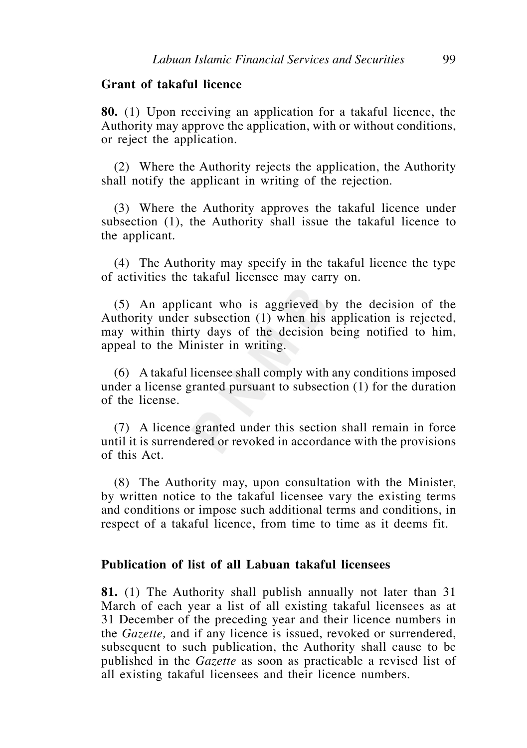#### **Grant of takaful licence**

**80.** (1) Upon receiving an application for a takaful licence, the Authority may approve the application, with or without conditions, or reject the application.

 (2) Where the Authority rejects the application, the Authority shall notify the applicant in writing of the rejection.

 (3) Where the Authority approves the takaful licence under subsection (1), the Authority shall issue the takaful licence to the applicant.

 (4) The Authority may specify in the takaful licence the type of activities the takaful licensee may carry on.

 (5) An applicant who is aggrieved by the decision of the Authority under subsection (1) when his application is rejected, may within thirty days of the decision being notified to him, appeal to the Minister in writing.

 (6) A takaful licensee shall comply with any conditions imposed under a license granted pursuant to subsection (1) for the duration of the license.

 (7) A licence granted under this section shall remain in force until it is surrendered or revoked in accordance with the provisions of this Act.

 (8) The Authority may, upon consultation with the Minister, by written notice to the takaful licensee vary the existing terms and conditions or impose such additional terms and conditions, in respect of a takaful licence, from time to time as it deems fit.

#### **Publication of list of all Labuan takaful licensees**

**81.** (1) The Authority shall publish annually not later than 31 March of each year a list of all existing takaful licensees as at 31 December of the preceding year and their licence numbers in the *Gazette,* and if any licence is issued, revoked or surrendered, subsequent to such publication, the Authority shall cause to be published in the *Gazette* as soon as practicable a revised list of all existing takaful licensees and their licence numbers.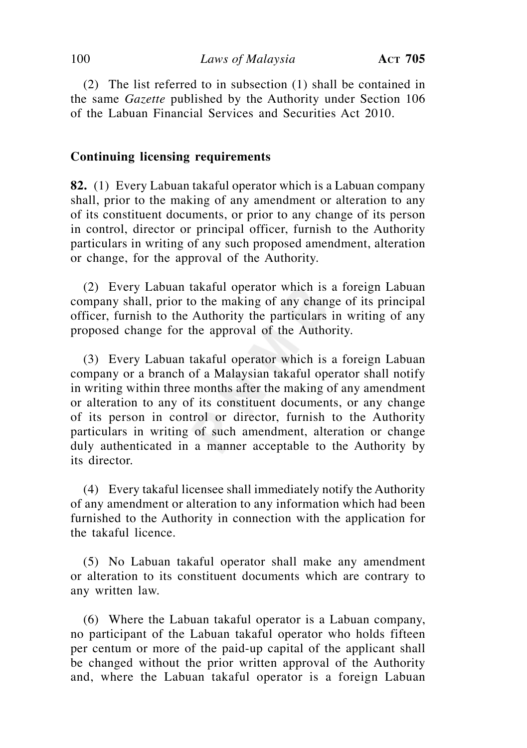(2) The list referred to in subsection (1) shall be contained in the same *Gazette* published by the Authority under Section 106 of the Labuan Financial Services and Securities Act 2010.

#### **Continuing licensing requirements**

**82.** (1) Every Labuan takaful operator which is a Labuan company shall, prior to the making of any amendment or alteration to any of its constituent documents, or prior to any change of its person in control, director or principal officer, furnish to the Authority particulars in writing of any such proposed amendment, alteration or change, for the approval of the Authority.

 (2) Every Labuan takaful operator which is a foreign Labuan company shall, prior to the making of any change of its principal officer, furnish to the Authority the particulars in writing of any proposed change for the approval of the Authority.

 (3) Every Labuan takaful operator which is a foreign Labuan company or a branch of a Malaysian takaful operator shall notify in writing within three months after the making of any amendment or alteration to any of its constituent documents, or any change of its person in control or director, furnish to the Authority particulars in writing of such amendment, alteration or change duly authenticated in a manner acceptable to the Authority by its director.

 (4) Every takaful licensee shall immediately notify the Authority of any amendment or alteration to any information which had been furnished to the Authority in connection with the application for the takaful licence.

 (5) No Labuan takaful operator shall make any amendment or alteration to its constituent documents which are contrary to any written law.

 (6) Where the Labuan takaful operator is a Labuan company, no participant of the Labuan takaful operator who holds fifteen per centum or more of the paid-up capital of the applicant shall be changed without the prior written approval of the Authority and, where the Labuan takaful operator is a foreign Labuan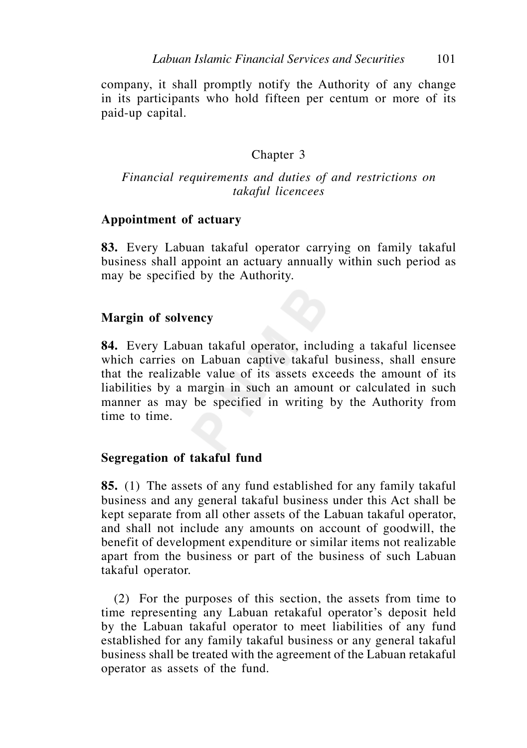company, it shall promptly notify the Authority of any change in its participants who hold fifteen per centum or more of its paid-up capital.

# Chapter 3

### *Financial requirements and duties of and restrictions on takaful licencees*

#### **Appointment of actuary**

**83.** Every Labuan takaful operator carrying on family takaful business shall appoint an actuary annually within such period as may be specified by the Authority.

#### **Margin of solvency**

**84.** Every Labuan takaful operator, including a takaful licensee which carries on Labuan captive takaful business, shall ensure that the realizable value of its assets exceeds the amount of its liabilities by a margin in such an amount or calculated in such manner as may be specified in writing by the Authority from time to time.

#### **Segregation of takaful fund**

**85.** (1) The assets of any fund established for any family takaful business and any general takaful business under this Act shall be kept separate from all other assets of the Labuan takaful operator, and shall not include any amounts on account of goodwill, the benefit of development expenditure or similar items not realizable apart from the business or part of the business of such Labuan takaful operator.

 (2) For the purposes of this section, the assets from time to time representing any Labuan retakaful operator's deposit held by the Labuan takaful operator to meet liabilities of any fund established for any family takaful business or any general takaful business shall be treated with the agreement of the Labuan retakaful operator as assets of the fund.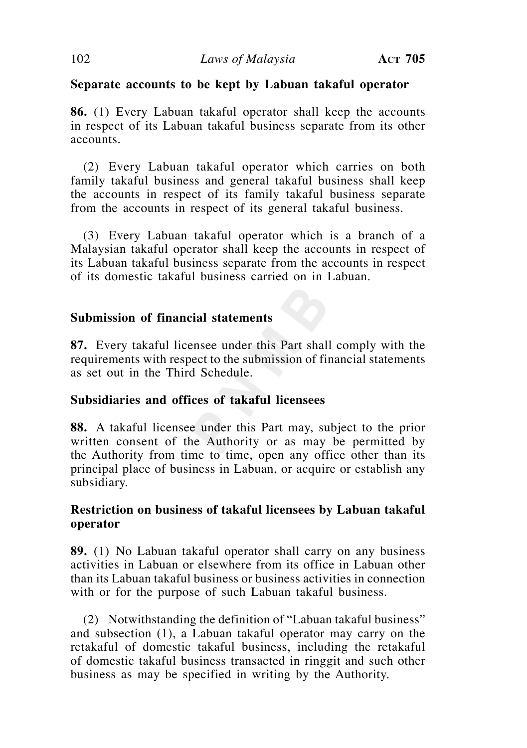# **Separate accounts to be kept by Labuan takaful operator**

**86.** (1) Every Labuan takaful operator shall keep the accounts in respect of its Labuan takaful business separate from its other accounts.

 (2) Every Labuan takaful operator which carries on both family takaful business and general takaful business shall keep the accounts in respect of its family takaful business separate from the accounts in respect of its general takaful business.

 (3) Every Labuan takaful operator which is a branch of a Malaysian takaful operator shall keep the accounts in respect of its Labuan takaful business separate from the accounts in respect of its domestic takaful business carried on in Labuan.

# **Submission of financial statements**

**87.** Every takaful licensee under this Part shall comply with the requirements with respect to the submission of financial statements as set out in the Third Schedule.

### **Subsidiaries and offices of takaful licensees**

**88.** A takaful licensee under this Part may, subject to the prior written consent of the Authority or as may be permitted by the Authority from time to time, open any office other than its principal place of business in Labuan, or acquire or establish any subsidiary.

# **Restriction on business of takaful licensees by Labuan takaful operator**

**89.** (1) No Labuan takaful operator shall carry on any business activities in Labuan or elsewhere from its office in Labuan other than its Labuan takaful business or business activities in connection with or for the purpose of such Labuan takaful business.

 (2) Notwithstanding the definition of "Labuan takaful business" and subsection (1), a Labuan takaful operator may carry on the retakaful of domestic takaful business, including the retakaful of domestic takaful business transacted in ringgit and such other business as may be specified in writing by the Authority.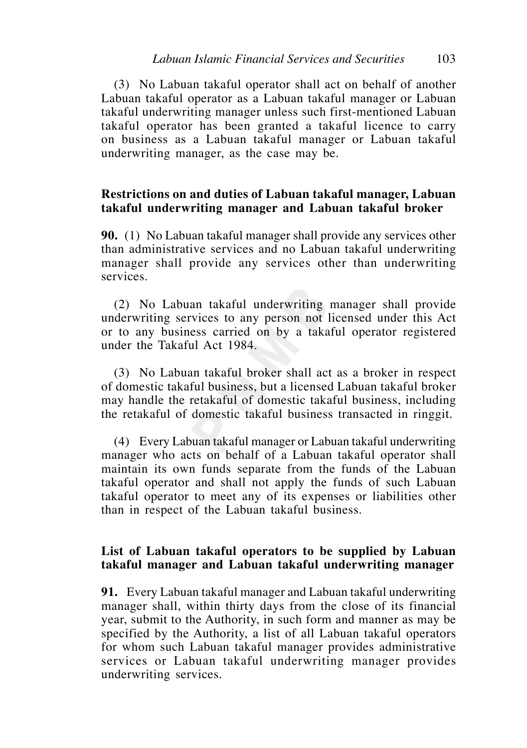(3) No Labuan takaful operator shall act on behalf of another Labuan takaful operator as a Labuan takaful manager or Labuan takaful underwriting manager unless such first-mentioned Labuan takaful operator has been granted a takaful licence to carry on business as a Labuan takaful manager or Labuan takaful underwriting manager, as the case may be.

#### **Restrictions on and duties of Labuan takaful manager, Labuan takaful underwriting manager and Labuan takaful broker**

**90.** (1) No Labuan takaful manager shall provide any services other than administrative services and no Labuan takaful underwriting manager shall provide any services other than underwriting services.

 (2) No Labuan takaful underwriting manager shall provide underwriting services to any person not licensed under this Act or to any business carried on by a takaful operator registered under the Takaful Act 1984.

 (3) No Labuan takaful broker shall act as a broker in respect of domestic takaful business, but a licensed Labuan takaful broker may handle the retakaful of domestic takaful business, including the retakaful of domestic takaful business transacted in ringgit.

 (4) Every Labuan takaful manager or Labuan takaful underwriting manager who acts on behalf of a Labuan takaful operator shall maintain its own funds separate from the funds of the Labuan takaful operator and shall not apply the funds of such Labuan takaful operator to meet any of its expenses or liabilities other than in respect of the Labuan takaful business.

### **List of Labuan takaful operators to be supplied by Labuan takaful manager and Labuan takaful underwriting manager**

**91.** Every Labuan takaful manager and Labuan takaful underwriting manager shall, within thirty days from the close of its financial year, submit to the Authority, in such form and manner as may be specified by the Authority, a list of all Labuan takaful operators for whom such Labuan takaful manager provides administrative services or Labuan takaful underwriting manager provides underwriting services.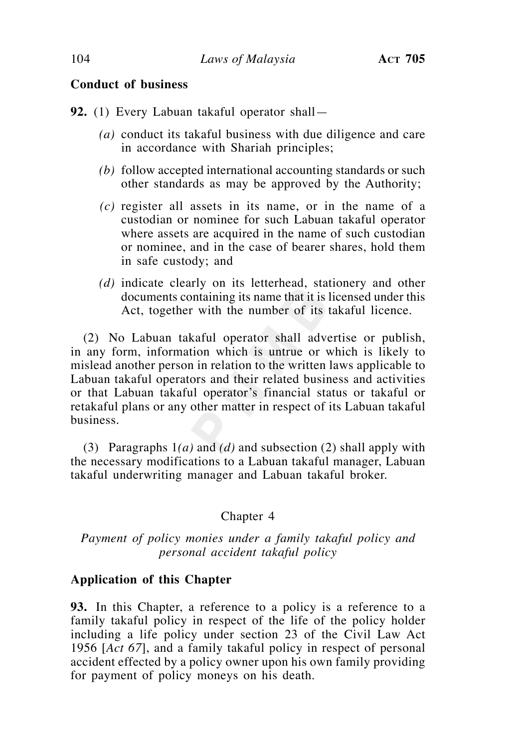### **Conduct of business**

**92.** (1) Every Labuan takaful operator shall—

- *(a)* conduct its takaful business with due diligence and care in accordance with Shariah principles;
- *(b)* follow accepted international accounting standards or such other standards as may be approved by the Authority;
- *(c)* register all assets in its name, or in the name of a custodian or nominee for such Labuan takaful operator where assets are acquired in the name of such custodian or nominee, and in the case of bearer shares, hold them in safe custody; and
- *(d)* indicate clearly on its letterhead, stationery and other documents containing its name that it is licensed under this Act, together with the number of its takaful licence.

 (2) No Labuan takaful operator shall advertise or publish, in any form, information which is untrue or which is likely to mislead another person in relation to the written laws applicable to Labuan takaful operators and their related business and activities or that Labuan takaful operator's financial status or takaful or retakaful plans or any other matter in respect of its Labuan takaful business.

 (3) Paragraphs 1*(a)* and *(d)* and subsection (2) shall apply with the necessary modifications to a Labuan takaful manager, Labuan takaful underwriting manager and Labuan takaful broker.

### Chapter 4

# *Payment of policy monies under a family takaful policy and personal accident takaful policy*

### **Application of this Chapter**

**93.** In this Chapter, a reference to a policy is a reference to a family takaful policy in respect of the life of the policy holder including a life policy under section 23 of the Civil Law Act 1956 [*Act 67*], and a family takaful policy in respect of personal accident effected by a policy owner upon his own family providing for payment of policy moneys on his death.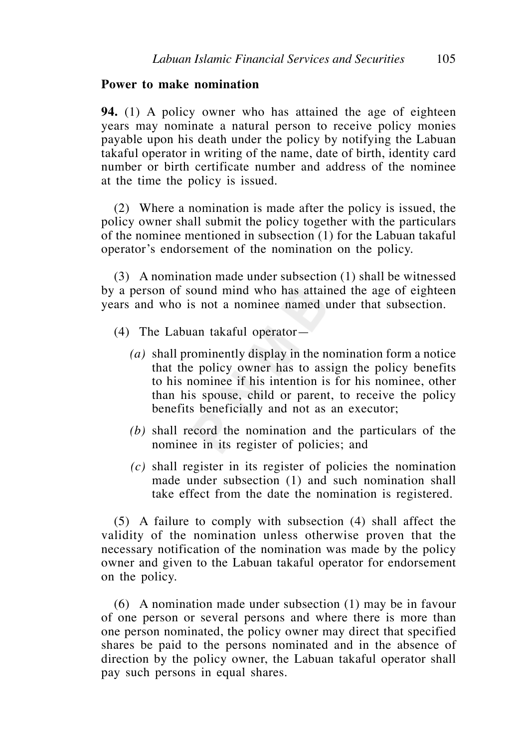#### **Power to make nomination**

**94.** (1) A policy owner who has attained the age of eighteen years may nominate a natural person to receive policy monies payable upon his death under the policy by notifying the Labuan takaful operator in writing of the name, date of birth, identity card number or birth certificate number and address of the nominee at the time the policy is issued.

 (2) Where a nomination is made after the policy is issued, the policy owner shall submit the policy together with the particulars of the nominee mentioned in subsection (1) for the Labuan takaful operator's endorsement of the nomination on the policy.

 (3) A nomination made under subsection (1) shall be witnessed by a person of sound mind who has attained the age of eighteen years and who is not a nominee named under that subsection.

- (4) The Labuan takaful operator—
	- *(a)* shall prominently display in the nomination form a notice that the policy owner has to assign the policy benefits to his nominee if his intention is for his nominee, other than his spouse, child or parent, to receive the policy benefits beneficially and not as an executor;
	- *(b)* shall record the nomination and the particulars of the nominee in its register of policies; and
	- *(c)* shall register in its register of policies the nomination made under subsection (1) and such nomination shall take effect from the date the nomination is registered.

 (5) A failure to comply with subsection (4) shall affect the validity of the nomination unless otherwise proven that the necessary notification of the nomination was made by the policy owner and given to the Labuan takaful operator for endorsement on the policy.

 (6) A nomination made under subsection (1) may be in favour of one person or several persons and where there is more than one person nominated, the policy owner may direct that specified shares be paid to the persons nominated and in the absence of direction by the policy owner, the Labuan takaful operator shall pay such persons in equal shares.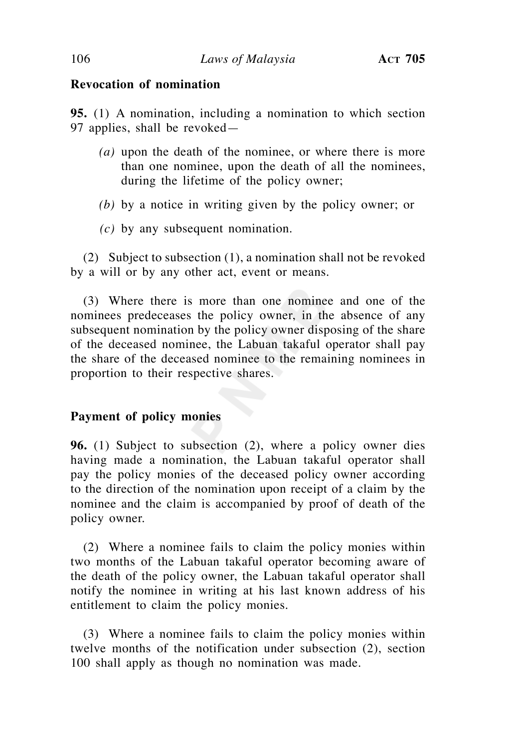### **Revocation of nomination**

**95.** (1) A nomination, including a nomination to which section 97 applies, shall be revoked—

- *(a)* upon the death of the nominee, or where there is more than one nominee, upon the death of all the nominees, during the lifetime of the policy owner;
- *(b)* by a notice in writing given by the policy owner; or
- *(c)* by any subsequent nomination.

 (2) Subject to subsection (1), a nomination shall not be revoked by a will or by any other act, event or means.

 (3) Where there is more than one nominee and one of the nominees predeceases the policy owner, in the absence of any subsequent nomination by the policy owner disposing of the share of the deceased nominee, the Labuan takaful operator shall pay the share of the deceased nominee to the remaining nominees in proportion to their respective shares.

### **Payment of policy monies**

**96.** (1) Subject to subsection (2), where a policy owner dies having made a nomination, the Labuan takaful operator shall pay the policy monies of the deceased policy owner according to the direction of the nomination upon receipt of a claim by the nominee and the claim is accompanied by proof of death of the policy owner.

 (2) Where a nominee fails to claim the policy monies within two months of the Labuan takaful operator becoming aware of the death of the policy owner, the Labuan takaful operator shall notify the nominee in writing at his last known address of his entitlement to claim the policy monies.

 (3) Where a nominee fails to claim the policy monies within twelve months of the notification under subsection (2), section 100 shall apply as though no nomination was made.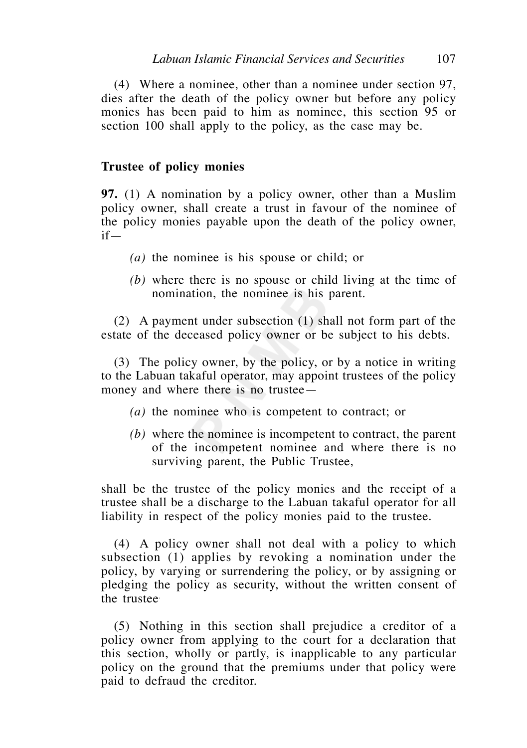(4) Where a nominee, other than a nominee under section 97, dies after the death of the policy owner but before any policy monies has been paid to him as nominee, this section 95 or section 100 shall apply to the policy, as the case may be.

#### **Trustee of policy monies**

**97.** (1) A nomination by a policy owner, other than a Muslim policy owner, shall create a trust in favour of the nominee of the policy monies payable upon the death of the policy owner, if—

- *(a)* the nominee is his spouse or child; or
- *(b)* where there is no spouse or child living at the time of nomination, the nominee is his parent.

 (2) A payment under subsection (1) shall not form part of the estate of the deceased policy owner or be subject to his debts.

 (3) The policy owner, by the policy, or by a notice in writing to the Labuan takaful operator, may appoint trustees of the policy money and where there is no trustee—

- *(a)* the nominee who is competent to contract; or
- *(b)* where the nominee is incompetent to contract, the parent of the incompetent nominee and where there is no surviving parent, the Public Trustee,

shall be the trustee of the policy monies and the receipt of a trustee shall be a discharge to the Labuan takaful operator for all liability in respect of the policy monies paid to the trustee.

 (4) A policy owner shall not deal with a policy to which subsection (1) applies by revoking a nomination under the policy, by varying or surrendering the policy, or by assigning or pledging the policy as security, without the written consent of the trustee.

 (5) Nothing in this section shall prejudice a creditor of a policy owner from applying to the court for a declaration that this section, wholly or partly, is inapplicable to any particular policy on the ground that the premiums under that policy were paid to defraud the creditor.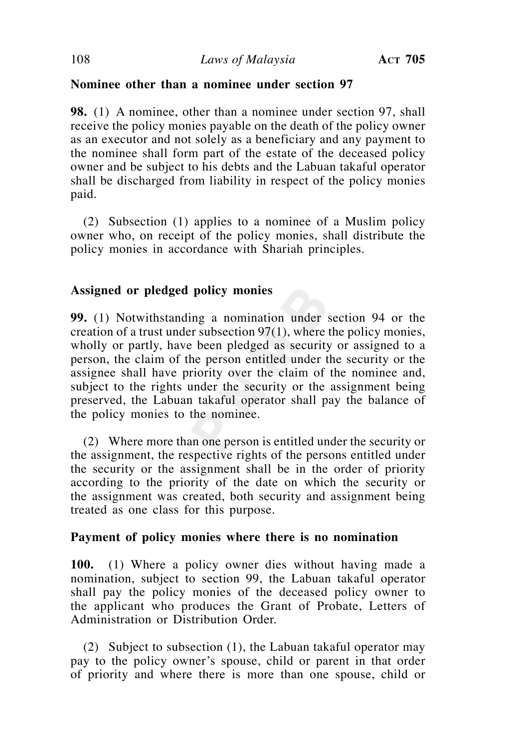# **Nominee other than a nominee under section 97**

**98.** (1) A nominee, other than a nominee under section 97, shall receive the policy monies payable on the death of the policy owner as an executor and not solely as a beneficiary and any payment to the nominee shall form part of the estate of the deceased policy owner and be subject to his debts and the Labuan takaful operator shall be discharged from liability in respect of the policy monies paid.

 (2) Subsection (1) applies to a nominee of a Muslim policy owner who, on receipt of the policy monies, shall distribute the policy monies in accordance with Shariah principles.

# **Assigned or pledged policy monies**

**99.** (1) Notwithstanding a nomination under section 94 or the creation of a trust under subsection 97(1), where the policy monies, wholly or partly, have been pledged as security or assigned to a person, the claim of the person entitled under the security or the assignee shall have priority over the claim of the nominee and, subject to the rights under the security or the assignment being preserved, the Labuan takaful operator shall pay the balance of the policy monies to the nominee.

 (2) Where more than one person is entitled under the security or the assignment, the respective rights of the persons entitled under the security or the assignment shall be in the order of priority according to the priority of the date on which the security or the assignment was created, both security and assignment being treated as one class for this purpose.

### **Payment of policy monies where there is no nomination**

**100.** (1) Where a policy owner dies without having made a nomination, subject to section 99, the Labuan takaful operator shall pay the policy monies of the deceased policy owner to the applicant who produces the Grant of Probate, Letters of Administration or Distribution Order.

 (2) Subject to subsection (1), the Labuan takaful operator may pay to the policy owner's spouse, child or parent in that order of priority and where there is more than one spouse, child or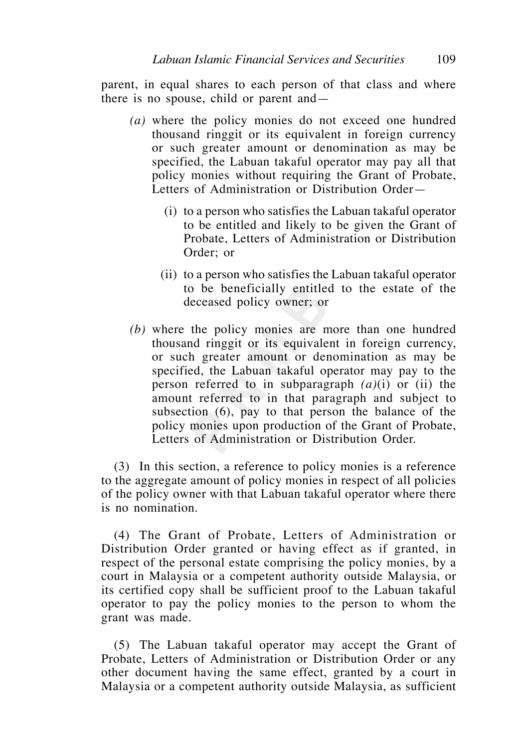parent, in equal shares to each person of that class and where there is no spouse, child or parent and—

- *(a)* where the policy monies do not exceed one hundred thousand ringgit or its equivalent in foreign currency or such greater amount or denomination as may be specified, the Labuan takaful operator may pay all that policy monies without requiring the Grant of Probate, Letters of Administration or Distribution Order—
	- (i) to a person who satisfies the Labuan takaful operator to be entitled and likely to be given the Grant of Probate, Letters of Administration or Distribution Order; or
	- (ii) to a person who satisfies the Labuan takaful operator to be beneficially entitled to the estate of the deceased policy owner; or
- *(b)* where the policy monies are more than one hundred thousand ringgit or its equivalent in foreign currency, or such greater amount or denomination as may be specified, the Labuan takaful operator may pay to the person referred to in subparagraph *(a)*(i) or (ii) the amount referred to in that paragraph and subject to subsection (6), pay to that person the balance of the policy monies upon production of the Grant of Probate, Letters of Administration or Distribution Order.

 (3) In this section, a reference to policy monies is a reference to the aggregate amount of policy monies in respect of all policies of the policy owner with that Labuan takaful operator where there is no nomination.

 (4) The Grant of Probate, Letters of Administration or Distribution Order granted or having effect as if granted, in respect of the personal estate comprising the policy monies, by a court in Malaysia or a competent authority outside Malaysia, or its certified copy shall be sufficient proof to the Labuan takaful operator to pay the policy monies to the person to whom the grant was made.

 (5) The Labuan takaful operator may accept the Grant of Probate, Letters of Administration or Distribution Order or any other document having the same effect, granted by a court in Malaysia or a competent authority outside Malaysia, as sufficient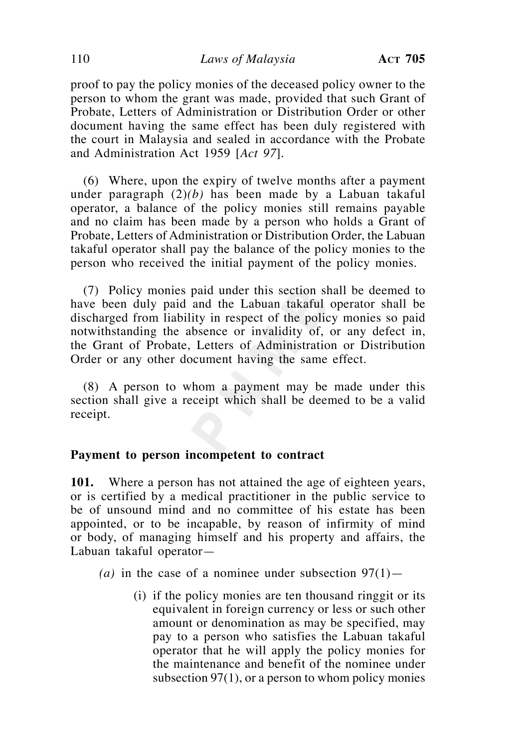proof to pay the policy monies of the deceased policy owner to the person to whom the grant was made, provided that such Grant of Probate, Letters of Administration or Distribution Order or other document having the same effect has been duly registered with the court in Malaysia and sealed in accordance with the Probate and Administration Act 1959 [*Act 97*].

 (6) Where, upon the expiry of twelve months after a payment under paragraph (2)*(b)* has been made by a Labuan takaful operator, a balance of the policy monies still remains payable and no claim has been made by a person who holds a Grant of Probate, Letters of Administration or Distribution Order, the Labuan takaful operator shall pay the balance of the policy monies to the person who received the initial payment of the policy monies.

 (7) Policy monies paid under this section shall be deemed to have been duly paid and the Labuan takaful operator shall be discharged from liability in respect of the policy monies so paid notwithstanding the absence or invalidity of, or any defect in, the Grant of Probate, Letters of Administration or Distribution Order or any other document having the same effect.

 (8) A person to whom a payment may be made under this section shall give a receipt which shall be deemed to be a valid receipt.

#### **Payment to person incompetent to contract**

**101.** Where a person has not attained the age of eighteen years, or is certified by a medical practitioner in the public service to be of unsound mind and no committee of his estate has been appointed, or to be incapable, by reason of infirmity of mind or body, of managing himself and his property and affairs, the Labuan takaful operator—

(a) in the case of a nominee under subsection  $97(1)$ —

(i) if the policy monies are ten thousand ringgit or its equivalent in foreign currency or less or such other amount or denomination as may be specified, may pay to a person who satisfies the Labuan takaful operator that he will apply the policy monies for the maintenance and benefit of the nominee under subsection  $97(1)$ , or a person to whom policy monies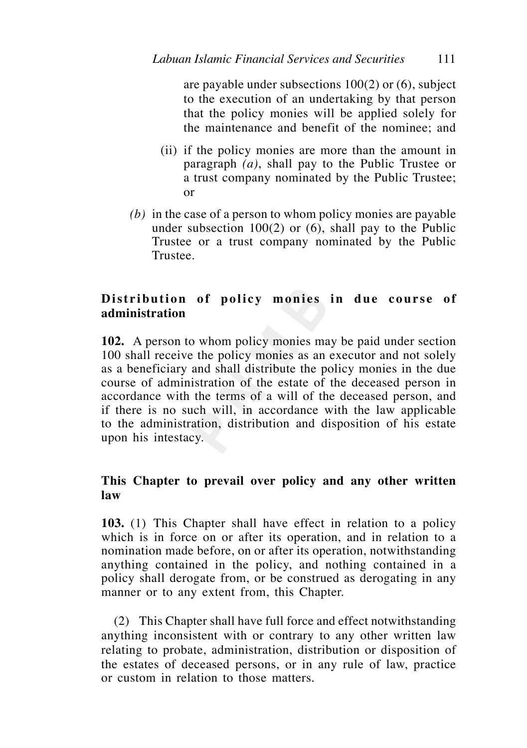are payable under subsections 100(2) or (6), subject to the execution of an undertaking by that person that the policy monies will be applied solely for the maintenance and benefit of the nominee; and

- (ii) if the policy monies are more than the amount in paragraph *(a)*, shall pay to the Public Trustee or a trust company nominated by the Public Trustee; or
- *(b)* in the case of a person to whom policy monies are payable under subsection  $100(2)$  or  $(6)$ , shall pay to the Public Trustee or a trust company nominated by the Public Trustee.

# Distribution of policy monies in due course of **administration**

**102.** A person to whom policy monies may be paid under section 100 shall receive the policy monies as an executor and not solely as a beneficiary and shall distribute the policy monies in the due course of administration of the estate of the deceased person in accordance with the terms of a will of the deceased person, and if there is no such will, in accordance with the law applicable to the administration, distribution and disposition of his estate upon his intestacy.

# **This Chapter to prevail over policy and any other written law**

**103.** (1) This Chapter shall have effect in relation to a policy which is in force on or after its operation, and in relation to a nomination made before, on or after its operation, notwithstanding anything contained in the policy, and nothing contained in a policy shall derogate from, or be construed as derogating in any manner or to any extent from, this Chapter.

 (2) This Chapter shall have full force and effect notwithstanding anything inconsistent with or contrary to any other written law relating to probate, administration, distribution or disposition of the estates of deceased persons, or in any rule of law, practice or custom in relation to those matters.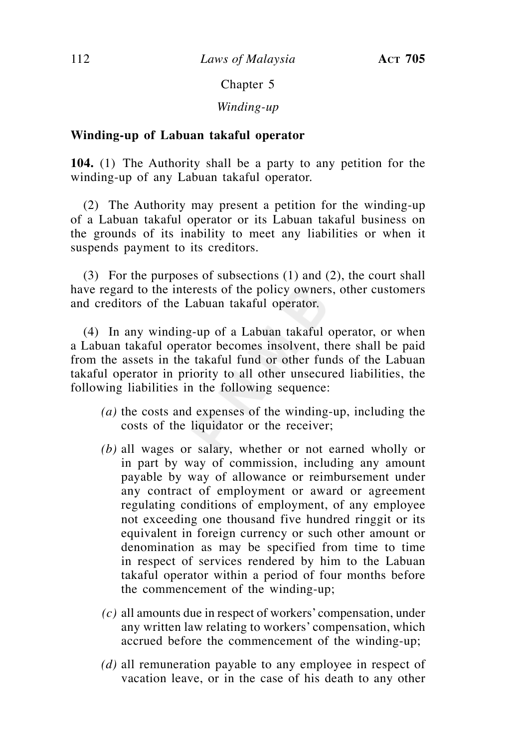### Chapter 5

## *Winding-up*

## **Winding-up of Labuan takaful operator**

**104.** (1) The Authority shall be a party to any petition for the winding-up of any Labuan takaful operator.

 (2) The Authority may present a petition for the winding-up of a Labuan takaful operator or its Labuan takaful business on the grounds of its inability to meet any liabilities or when it suspends payment to its creditors.

 (3) For the purposes of subsections (1) and (2), the court shall have regard to the interests of the policy owners, other customers and creditors of the Labuan takaful operator.

 (4) In any winding-up of a Labuan takaful operator, or when a Labuan takaful operator becomes insolvent, there shall be paid from the assets in the takaful fund or other funds of the Labuan takaful operator in priority to all other unsecured liabilities, the following liabilities in the following sequence:

- *(a)* the costs and expenses of the winding-up, including the costs of the liquidator or the receiver;
- *(b)* all wages or salary, whether or not earned wholly or in part by way of commission, including any amount payable by way of allowance or reimbursement under any contract of employment or award or agreement regulating conditions of employment, of any employee not exceeding one thousand five hundred ringgit or its equivalent in foreign currency or such other amount or denomination as may be specified from time to time in respect of services rendered by him to the Labuan takaful operator within a period of four months before the commencement of the winding-up;
- *(c)* all amounts due in respect of workers' compensation, under any written law relating to workers' compensation, which accrued before the commencement of the winding-up;
- *(d)* all remuneration payable to any employee in respect of vacation leave, or in the case of his death to any other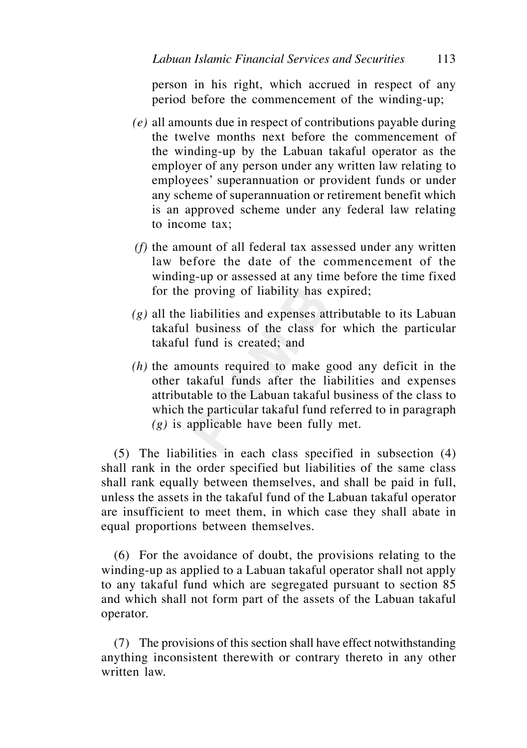person in his right, which accrued in respect of any period before the commencement of the winding-up;

- *(e)* all amounts due in respect of contributions payable during the twelve months next before the commencement of the winding-up by the Labuan takaful operator as the employer of any person under any written law relating to employees' superannuation or provident funds or under any scheme of superannuation or retirement benefit which is an approved scheme under any federal law relating to income tax;
- *(f)* the amount of all federal tax assessed under any written law before the date of the commencement of the winding-up or assessed at any time before the time fixed for the proving of liability has expired;
- *(g)* all the liabilities and expenses attributable to its Labuan takaful business of the class for which the particular takaful fund is created; and
- *(h)* the amounts required to make good any deficit in the other takaful funds after the liabilities and expenses attributable to the Labuan takaful business of the class to which the particular takaful fund referred to in paragraph *(g)* is applicable have been fully met.

 (5) The liabilities in each class specified in subsection (4) shall rank in the order specified but liabilities of the same class shall rank equally between themselves, and shall be paid in full, unless the assets in the takaful fund of the Labuan takaful operator are insufficient to meet them, in which case they shall abate in equal proportions between themselves.

 (6) For the avoidance of doubt, the provisions relating to the winding-up as applied to a Labuan takaful operator shall not apply to any takaful fund which are segregated pursuant to section 85 and which shall not form part of the assets of the Labuan takaful operator.

 (7) The provisions of this section shall have effect notwithstanding anything inconsistent therewith or contrary thereto in any other written law.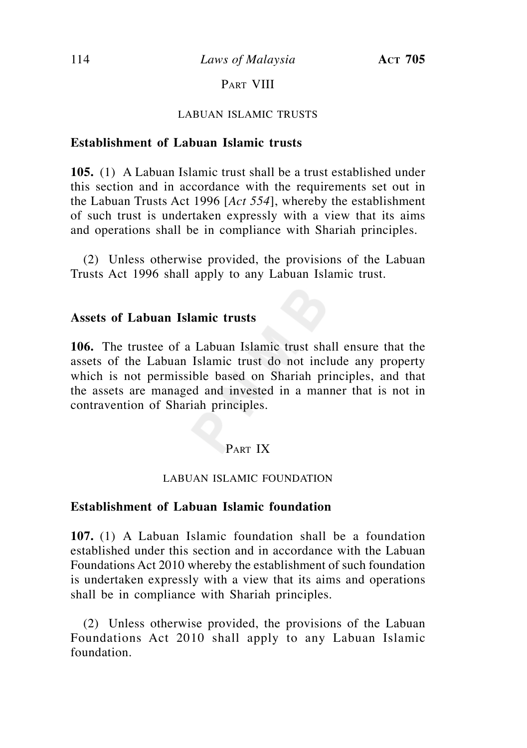# PART VIII

#### LABUAN ISLAMIC TRUSTS

### **Establishment of Labuan Islamic trusts**

**105.** (1) A Labuan Islamic trust shall be a trust established under this section and in accordance with the requirements set out in the Labuan Trusts Act 1996 [*Act 554*], whereby the establishment of such trust is undertaken expressly with a view that its aims and operations shall be in compliance with Shariah principles.

 (2) Unless otherwise provided, the provisions of the Labuan Trusts Act 1996 shall apply to any Labuan Islamic trust.

### **Assets of Labuan Islamic trusts**

**106.** The trustee of a Labuan Islamic trust shall ensure that the assets of the Labuan Islamic trust do not include any property which is not permissible based on Shariah principles, and that the assets are managed and invested in a manner that is not in contravention of Shariah principles.

# PART IX

#### LABUAN ISLAMIC FOUNDATION

## **Establishment of Labuan Islamic foundation**

**107.** (1) A Labuan Islamic foundation shall be a foundation established under this section and in accordance with the Labuan Foundations Act 2010 whereby the establishment of such foundation is undertaken expressly with a view that its aims and operations shall be in compliance with Shariah principles.

 (2) Unless otherwise provided, the provisions of the Labuan Foundations Act 2010 shall apply to any Labuan Islamic foundation.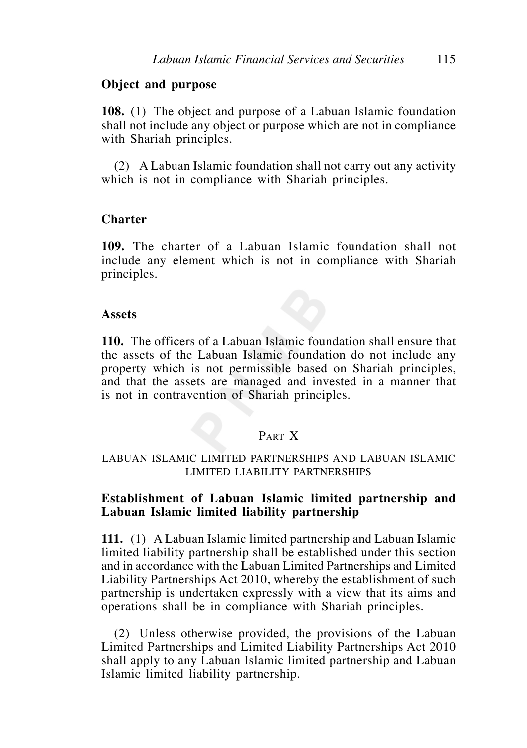### **Object and purpose**

**108.** (1) The object and purpose of a Labuan Islamic foundation shall not include any object or purpose which are not in compliance with Shariah principles.

 (2) A Labuan Islamic foundation shall not carry out any activity which is not in compliance with Shariah principles.

### **Charter**

**109.** The charter of a Labuan Islamic foundation shall not include any element which is not in compliance with Shariah principles.

#### **Assets**

**110.** The officers of a Labuan Islamic foundation shall ensure that the assets of the Labuan Islamic foundation do not include any property which is not permissible based on Shariah principles, and that the assets are managed and invested in a manner that is not in contravention of Shariah principles.

## PART X

### LABUAN ISLAMIC LIMITED PARTNERSHIPS AND LABUAN ISLAMIC LIMITED LIABILITY PARTNERSHIPS

## **Establishment of Labuan Islamic limited partnership and Labuan Islamic limited liability partnership**

**111.** (1) A Labuan Islamic limited partnership and Labuan Islamic limited liability partnership shall be established under this section and in accordance with the Labuan Limited Partnerships and Limited Liability Partnerships Act 2010, whereby the establishment of such partnership is undertaken expressly with a view that its aims and operations shall be in compliance with Shariah principles.

 (2) Unless otherwise provided, the provisions of the Labuan Limited Partnerships and Limited Liability Partnerships Act 2010 shall apply to any Labuan Islamic limited partnership and Labuan Islamic limited liability partnership.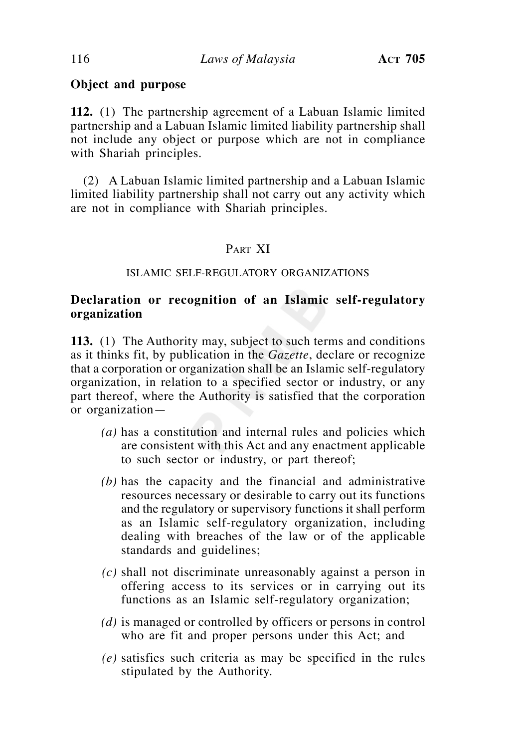# **Object and purpose**

**112.** (1) The partnership agreement of a Labuan Islamic limited partnership and a Labuan Islamic limited liability partnership shall not include any object or purpose which are not in compliance with Shariah principles.

 (2) A Labuan Islamic limited partnership and a Labuan Islamic limited liability partnership shall not carry out any activity which are not in compliance with Shariah principles.

## PART XI

### ISLAMIC SELF-REGULATORY ORGANIZATIONS

# **Declaration or recognition of an Islamic self-regulatory organization**

**113.** (1) The Authority may, subject to such terms and conditions as it thinks fit, by publication in the *Gazette*, declare or recognize that a corporation or organization shall be an Islamic self-regulatory organization, in relation to a specified sector or industry, or any part thereof, where the Authority is satisfied that the corporation or organization—

- *(a)* has a constitution and internal rules and policies which are consistent with this Act and any enactment applicable to such sector or industry, or part thereof;
- *(b)* has the capacity and the financial and administrative resources necessary or desirable to carry out its functions and the regulatory or supervisory functions it shall perform as an Islamic self-regulatory organization, including dealing with breaches of the law or of the applicable standards and guidelines;
- *(c)* shall not discriminate unreasonably against a person in offering access to its services or in carrying out its functions as an Islamic self-regulatory organization;
- *(d)* is managed or controlled by officers or persons in control who are fit and proper persons under this Act; and
- *(e)* satisfies such criteria as may be specified in the rules stipulated by the Authority.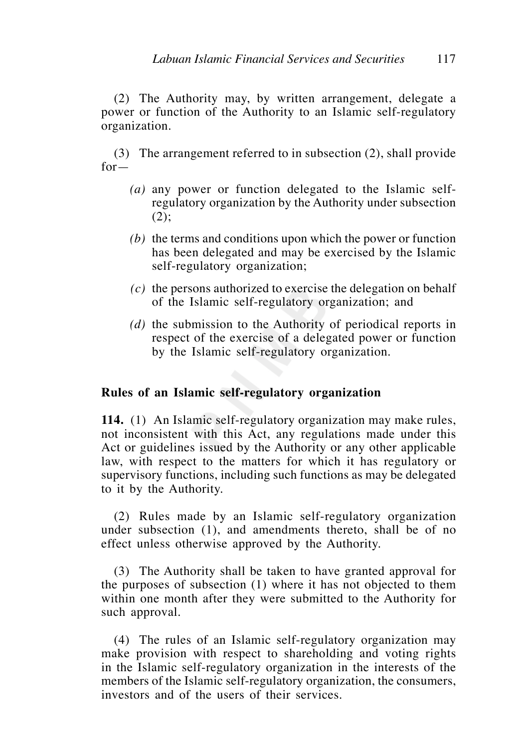(2) The Authority may, by written arrangement, delegate a power or function of the Authority to an Islamic self-regulatory organization.

 (3) The arrangement referred to in subsection (2), shall provide  $for -$ 

- *(a)* any power or function delegated to the Islamic selfregulatory organization by the Authority under subsection  $(2);$
- *(b)* the terms and conditions upon which the power or function has been delegated and may be exercised by the Islamic self-regulatory organization;
- *(c)* the persons authorized to exercise the delegation on behalf of the Islamic self-regulatory organization; and
- *(d)* the submission to the Authority of periodical reports in respect of the exercise of a delegated power or function by the Islamic self-regulatory organization.

## **Rules of an Islamic self-regulatory organization**

**114.** (1) An Islamic self-regulatory organization may make rules, not inconsistent with this Act, any regulations made under this Act or guidelines issued by the Authority or any other applicable law, with respect to the matters for which it has regulatory or supervisory functions, including such functions as may be delegated to it by the Authority.

 (2) Rules made by an Islamic self-regulatory organization under subsection (1), and amendments thereto, shall be of no effect unless otherwise approved by the Authority.

 (3) The Authority shall be taken to have granted approval for the purposes of subsection (1) where it has not objected to them within one month after they were submitted to the Authority for such approval.

 (4) The rules of an Islamic self-regulatory organization may make provision with respect to shareholding and voting rights in the Islamic self-regulatory organization in the interests of the members of the Islamic self-regulatory organization, the consumers, investors and of the users of their services.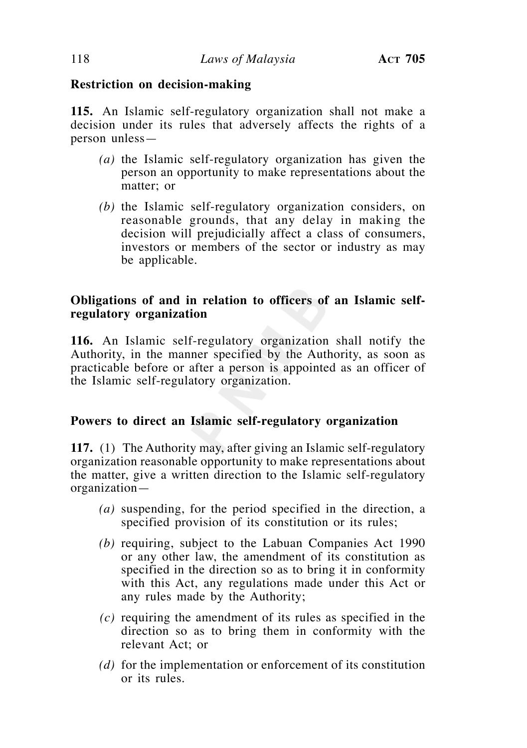# **Restriction on decision-making**

**115.** An Islamic self-regulatory organization shall not make a decision under its rules that adversely affects the rights of a person unless—

- *(a)* the Islamic self-regulatory organization has given the person an opportunity to make representations about the matter; or
- *(b)* the Islamic self-regulatory organization considers, on reasonable grounds, that any delay in making the decision will prejudicially affect a class of consumers, investors or members of the sector or industry as may be applicable.

# **Obligations of and in relation to officers of an Islamic selfregulatory organization**

**116.** An Islamic self-regulatory organization shall notify the Authority, in the manner specified by the Authority, as soon as practicable before or after a person is appointed as an officer of the Islamic self-regulatory organization.

# **Powers to direct an Islamic self-regulatory organization**

**117.** (1) The Authority may, after giving an Islamic self-regulatory organization reasonable opportunity to make representations about the matter, give a written direction to the Islamic self-regulatory organization—

- *(a)* suspending, for the period specified in the direction, a specified provision of its constitution or its rules;
- *(b)* requiring, subject to the Labuan Companies Act 1990 or any other law, the amendment of its constitution as specified in the direction so as to bring it in conformity with this Act, any regulations made under this Act or any rules made by the Authority;
- *(c)* requiring the amendment of its rules as specified in the direction so as to bring them in conformity with the relevant Act; or
- *(d)* for the implementation or enforcement of its constitution or its rules.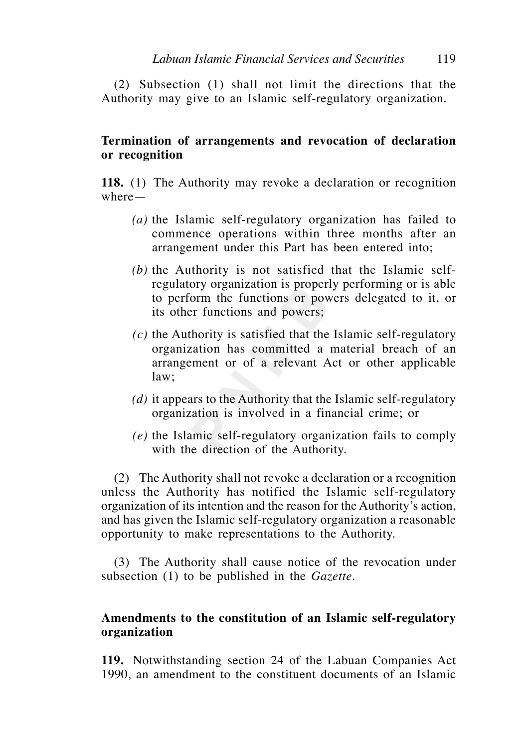(2) Subsection (1) shall not limit the directions that the Authority may give to an Islamic self-regulatory organization.

# **Termination of arrangements and revocation of declaration or recognition**

**118.** (1) The Authority may revoke a declaration or recognition where—

- *(a)* the Islamic self-regulatory organization has failed to commence operations within three months after an arrangement under this Part has been entered into;
- *(b)* the Authority is not satisfied that the Islamic selfregulatory organization is properly performing or is able to perform the functions or powers delegated to it, or its other functions and powers;
- *(c)* the Authority is satisfied that the Islamic self-regulatory organization has committed a material breach of an arrangement or of a relevant Act or other applicable law;
- *(d)* it appears to the Authority that the Islamic self-regulatory organization is involved in a financial crime; or
- *(e)* the Islamic self-regulatory organization fails to comply with the direction of the Authority.

 (2) The Authority shall not revoke a declaration or a recognition unless the Authority has notified the Islamic self-regulatory organization of its intention and the reason for the Authority's action, and has given the Islamic self-regulatory organization a reasonable opportunity to make representations to the Authority.

 (3) The Authority shall cause notice of the revocation under subsection (1) to be published in the *Gazette.*

# **Amendments to the constitution of an Islamic self-regulatory organization**

**119.** Notwithstanding section 24 of the Labuan Companies Act 1990, an amendment to the constituent documents of an Islamic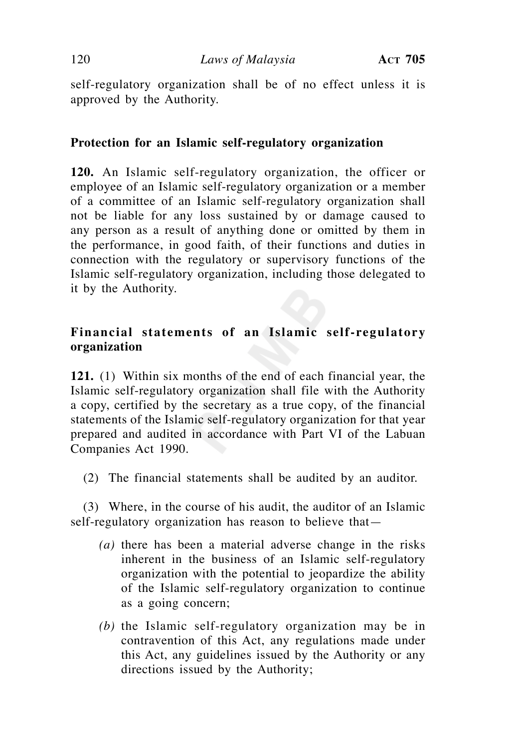self-regulatory organization shall be of no effect unless it is approved by the Authority.

## **Protection for an Islamic self-regulatory organization**

**120.** An Islamic self-regulatory organization, the officer or employee of an Islamic self-regulatory organization or a member of a committee of an Islamic self-regulatory organization shall not be liable for any loss sustained by or damage caused to any person as a result of anything done or omitted by them in the performance, in good faith, of their functions and duties in connection with the regulatory or supervisory functions of the Islamic self-regulatory organization, including those delegated to it by the Authority.

# **Financial statements of an Islamic self-regulatory organization**

**121.** (1) Within six months of the end of each financial year, the Islamic self-regulatory organization shall file with the Authority a copy, certified by the secretary as a true copy, of the financial statements of the Islamic self-regulatory organization for that year prepared and audited in accordance with Part VI of the Labuan Companies Act 1990.

(2) The financial statements shall be audited by an auditor.

 (3) Where, in the course of his audit, the auditor of an Islamic self-regulatory organization has reason to believe that—

- *(a)* there has been a material adverse change in the risks inherent in the business of an Islamic self-regulatory organization with the potential to jeopardize the ability of the Islamic self-regulatory organization to continue as a going concern;
- *(b)* the Islamic self-regulatory organization may be in contravention of this Act, any regulations made under this Act, any guidelines issued by the Authority or any directions issued by the Authority;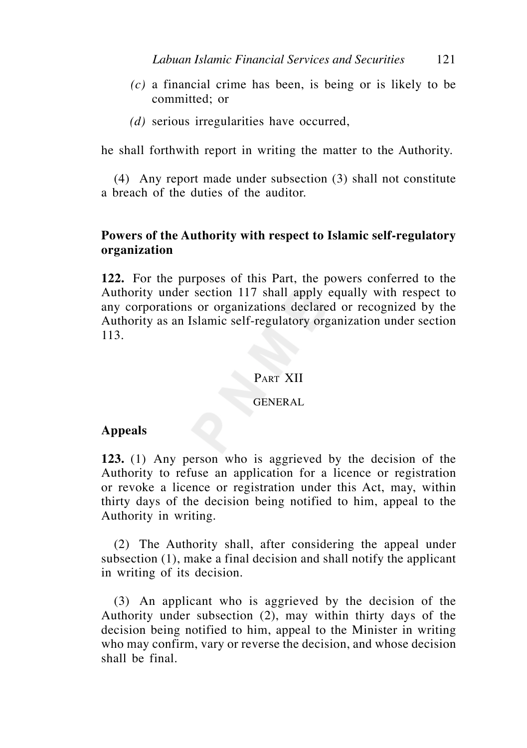- *(c)* a financial crime has been, is being or is likely to be committed; or
- *(d)* serious irregularities have occurred,

he shall forthwith report in writing the matter to the Authority.

 (4) Any report made under subsection (3) shall not constitute a breach of the duties of the auditor.

## **Powers of the Authority with respect to Islamic self-regulatory organization**

**122.** For the purposes of this Part, the powers conferred to the Authority under section 117 shall apply equally with respect to any corporations or organizations declared or recognized by the Authority as an Islamic self-regulatory organization under section 113.

### PART XII

#### GENERAL

### **Appeals**

**123.** (1) Any person who is aggrieved by the decision of the Authority to refuse an application for a licence or registration or revoke a licence or registration under this Act, may, within thirty days of the decision being notified to him, appeal to the Authority in writing.

 (2) The Authority shall, after considering the appeal under subsection (1), make a final decision and shall notify the applicant in writing of its decision.

 (3) An applicant who is aggrieved by the decision of the Authority under subsection (2), may within thirty days of the decision being notified to him, appeal to the Minister in writing who may confirm, vary or reverse the decision, and whose decision shall be final.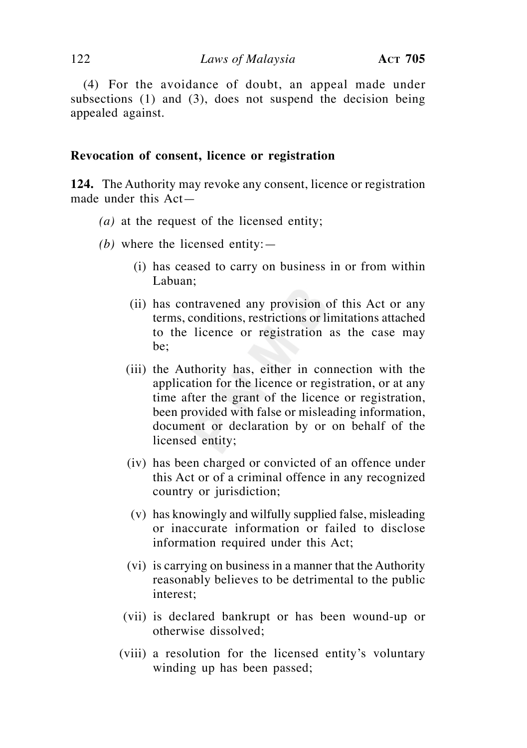(4) For the avoidance of doubt, an appeal made under subsections (1) and (3), does not suspend the decision being appealed against.

#### **Revocation of consent, licence or registration**

**124.** The Authority may revoke any consent, licence or registration made under this Act—

- *(a)* at the request of the licensed entity;
- *(b)* where the licensed entity:—
	- (i) has ceased to carry on business in or from within Labuan;
	- (ii) has contravened any provision of this Act or any terms, conditions, restrictions or limitations attached to the licence or registration as the case may be;
	- (iii) the Authority has, either in connection with the application for the licence or registration, or at any time after the grant of the licence or registration, been provided with false or misleading information, document or declaration by or on behalf of the licensed entity;
	- (iv) has been charged or convicted of an offence under this Act or of a criminal offence in any recognized country or jurisdiction;
	- (v) has knowingly and wilfully supplied false, misleading or inaccurate information or failed to disclose information required under this Act;
	- (vi) is carrying on business in a manner that the Authority reasonably believes to be detrimental to the public interest;
	- (vii) is declared bankrupt or has been wound-up or otherwise dissolved;
	- (viii) a resolution for the licensed entity's voluntary winding up has been passed;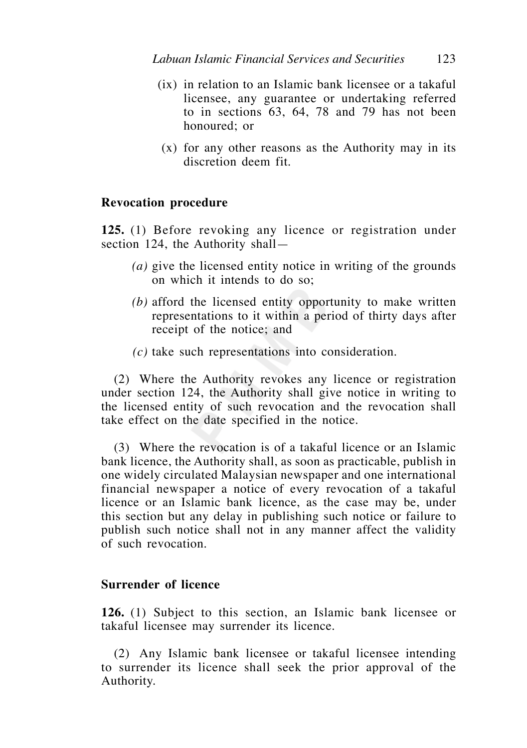- (ix) in relation to an Islamic bank licensee or a takaful licensee, any guarantee or undertaking referred to in sections 63, 64, 78 and 79 has not been honoured; or
- (x) for any other reasons as the Authority may in its discretion deem fit.

## **Revocation procedure**

**125.** (1) Before revoking any licence or registration under section 124, the Authority shall—

- *(a)* give the licensed entity notice in writing of the grounds on which it intends to do so;
- *(b)* afford the licensed entity opportunity to make written representations to it within a period of thirty days after receipt of the notice; and
- *(c)* take such representations into consideration.

 (2) Where the Authority revokes any licence or registration under section 124, the Authority shall give notice in writing to the licensed entity of such revocation and the revocation shall take effect on the date specified in the notice.

 (3) Where the revocation is of a takaful licence or an Islamic bank licence, the Authority shall, as soon as practicable, publish in one widely circulated Malaysian newspaper and one international financial newspaper a notice of every revocation of a takaful licence or an Islamic bank licence, as the case may be, under this section but any delay in publishing such notice or failure to publish such notice shall not in any manner affect the validity of such revocation.

## **Surrender of licence**

**126.** (1) Subject to this section, an Islamic bank licensee or takaful licensee may surrender its licence.

 (2) Any Islamic bank licensee or takaful licensee intending to surrender its licence shall seek the prior approval of the Authority.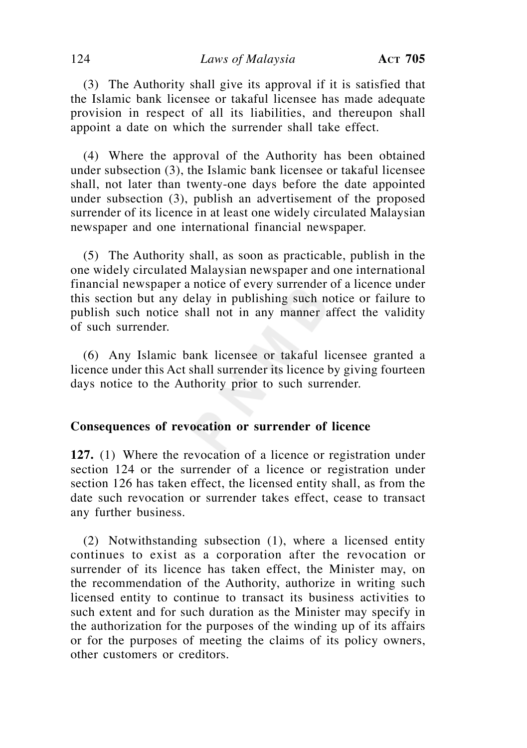### 124 *Laws of Malaysia* **ACT 705**

 (3) The Authority shall give its approval if it is satisfied that the Islamic bank licensee or takaful licensee has made adequate provision in respect of all its liabilities, and thereupon shall appoint a date on which the surrender shall take effect.

 (4) Where the approval of the Authority has been obtained under subsection (3), the Islamic bank licensee or takaful licensee shall, not later than twenty-one days before the date appointed under subsection (3), publish an advertisement of the proposed surrender of its licence in at least one widely circulated Malaysian newspaper and one international financial newspaper.

 (5) The Authority shall, as soon as practicable, publish in the one widely circulated Malaysian newspaper and one international financial newspaper a notice of every surrender of a licence under this section but any delay in publishing such notice or failure to publish such notice shall not in any manner affect the validity of such surrender.

 (6) Any Islamic bank licensee or takaful licensee granted a licence under this Act shall surrender its licence by giving fourteen days notice to the Authority prior to such surrender.

### **Consequences of revocation or surrender of licence**

**127.** (1) Where the revocation of a licence or registration under section 124 or the surrender of a licence or registration under section 126 has taken effect, the licensed entity shall, as from the date such revocation or surrender takes effect, cease to transact any further business.

 (2) Notwithstanding subsection (1), where a licensed entity continues to exist as a corporation after the revocation or surrender of its licence has taken effect, the Minister may, on the recommendation of the Authority, authorize in writing such licensed entity to continue to transact its business activities to such extent and for such duration as the Minister may specify in the authorization for the purposes of the winding up of its affairs or for the purposes of meeting the claims of its policy owners, other customers or creditors.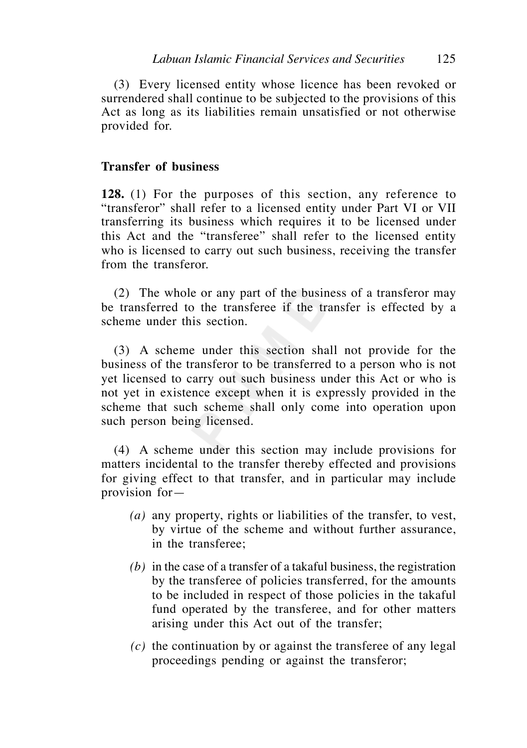(3) Every licensed entity whose licence has been revoked or surrendered shall continue to be subjected to the provisions of this Act as long as its liabilities remain unsatisfied or not otherwise provided for.

## **Transfer of business**

**128.** (1) For the purposes of this section, any reference to "transferor" shall refer to a licensed entity under Part VI or VII transferring its business which requires it to be licensed under this Act and the "transferee" shall refer to the licensed entity who is licensed to carry out such business, receiving the transfer from the transferor.

 (2) The whole or any part of the business of a transferor may be transferred to the transferee if the transfer is effected by a scheme under this section.

 (3) A scheme under this section shall not provide for the business of the transferor to be transferred to a person who is not yet licensed to carry out such business under this Act or who is not yet in existence except when it is expressly provided in the scheme that such scheme shall only come into operation upon such person being licensed.

 (4) A scheme under this section may include provisions for matters incidental to the transfer thereby effected and provisions for giving effect to that transfer, and in particular may include provision for—

- *(a)* any property, rights or liabilities of the transfer, to vest, by virtue of the scheme and without further assurance, in the transferee;
- *(b)* in the case of a transfer of a takaful business, the registration by the transferee of policies transferred, for the amounts to be included in respect of those policies in the takaful fund operated by the transferee, and for other matters arising under this Act out of the transfer;
- *(c)* the continuation by or against the transferee of any legal proceedings pending or against the transferor;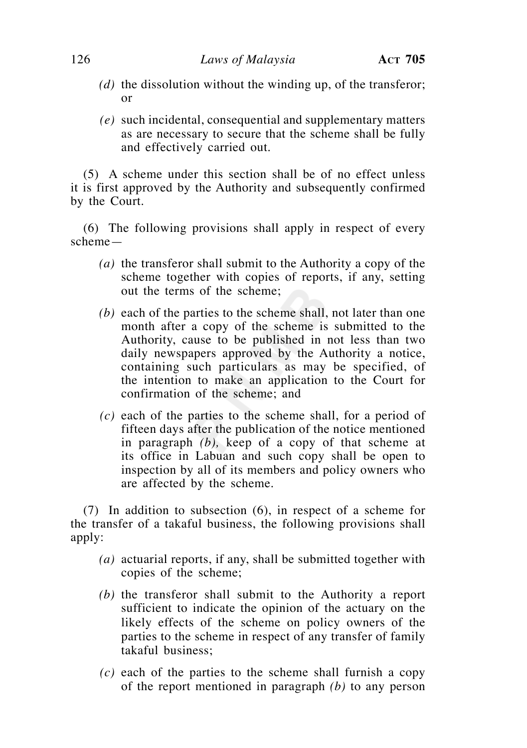- *(d)* the dissolution without the winding up, of the transferor; or
- *(e)* such incidental, consequential and supplementary matters as are necessary to secure that the scheme shall be fully and effectively carried out.

 (5) A scheme under this section shall be of no effect unless it is first approved by the Authority and subsequently confirmed by the Court.

 (6) The following provisions shall apply in respect of every scheme—

- *(a)* the transferor shall submit to the Authority a copy of the scheme together with copies of reports, if any, setting out the terms of the scheme;
- *(b)* each of the parties to the scheme shall, not later than one month after a copy of the scheme is submitted to the Authority, cause to be published in not less than two daily newspapers approved by the Authority a notice, containing such particulars as may be specified, of the intention to make an application to the Court for confirmation of the scheme; and
- *(c)* each of the parties to the scheme shall, for a period of fifteen days after the publication of the notice mentioned in paragraph *(b),* keep of a copy of that scheme at its office in Labuan and such copy shall be open to inspection by all of its members and policy owners who are affected by the scheme.

 (7) In addition to subsection (6), in respect of a scheme for the transfer of a takaful business, the following provisions shall apply:

- *(a)* actuarial reports, if any, shall be submitted together with copies of the scheme;
- *(b)* the transferor shall submit to the Authority a report sufficient to indicate the opinion of the actuary on the likely effects of the scheme on policy owners of the parties to the scheme in respect of any transfer of family takaful business;
- *(c)* each of the parties to the scheme shall furnish a copy of the report mentioned in paragraph *(b)* to any person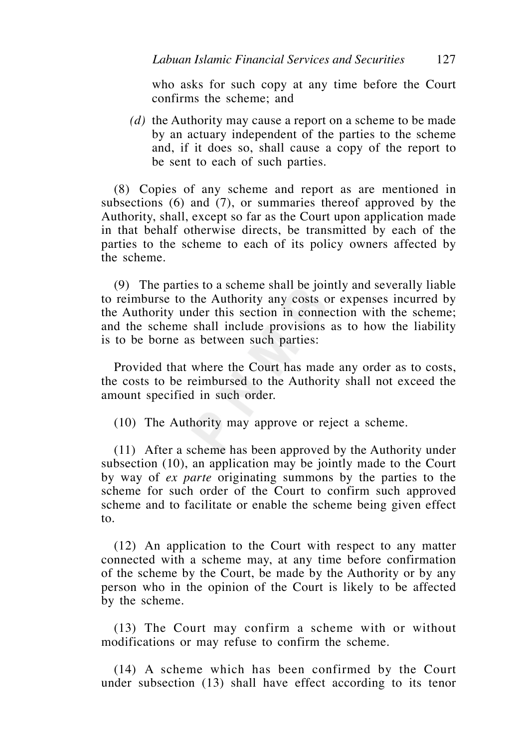who asks for such copy at any time before the Court confirms the scheme; and

 *(d)* the Authority may cause a report on a scheme to be made by an actuary independent of the parties to the scheme and, if it does so, shall cause a copy of the report to be sent to each of such parties.

 (8) Copies of any scheme and report as are mentioned in subsections (6) and (7), or summaries thereof approved by the Authority, shall, except so far as the Court upon application made in that behalf otherwise directs, be transmitted by each of the parties to the scheme to each of its policy owners affected by the scheme.

 (9) The parties to a scheme shall be jointly and severally liable to reimburse to the Authority any costs or expenses incurred by the Authority under this section in connection with the scheme; and the scheme shall include provisions as to how the liability is to be borne as between such parties:

 Provided that where the Court has made any order as to costs, the costs to be reimbursed to the Authority shall not exceed the amount specified in such order.

(10) The Authority may approve or reject a scheme.

 (11) After a scheme has been approved by the Authority under subsection (10), an application may be jointly made to the Court by way of *ex parte* originating summons by the parties to the scheme for such order of the Court to confirm such approved scheme and to facilitate or enable the scheme being given effect to.

 (12) An application to the Court with respect to any matter connected with a scheme may, at any time before confirmation of the scheme by the Court, be made by the Authority or by any person who in the opinion of the Court is likely to be affected by the scheme.

 (13) The Court may confirm a scheme with or without modifications or may refuse to confirm the scheme.

 (14) A scheme which has been confirmed by the Court under subsection (13) shall have effect according to its tenor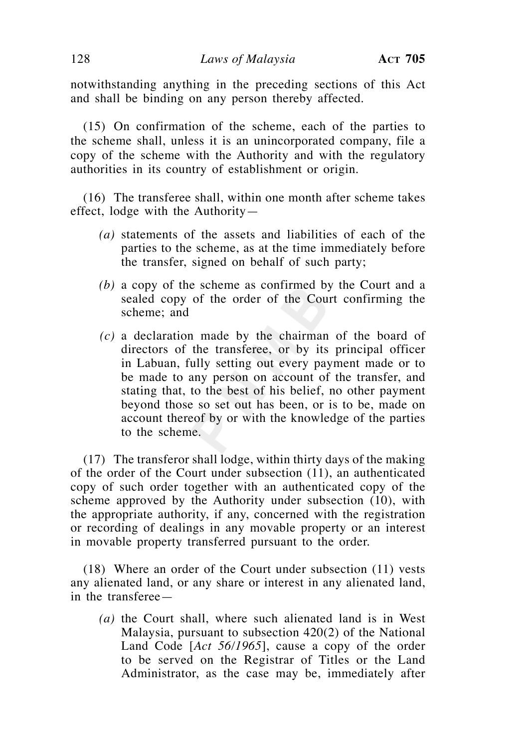notwithstanding anything in the preceding sections of this Act and shall be binding on any person thereby affected.

 (15) On confirmation of the scheme, each of the parties to the scheme shall, unless it is an unincorporated company, file a copy of the scheme with the Authority and with the regulatory authorities in its country of establishment or origin.

 (16) The transferee shall, within one month after scheme takes effect, lodge with the Authority—

- *(a)* statements of the assets and liabilities of each of the parties to the scheme, as at the time immediately before the transfer, signed on behalf of such party;
- *(b)* a copy of the scheme as confirmed by the Court and a sealed copy of the order of the Court confirming the scheme; and
- *(c)* a declaration made by the chairman of the board of directors of the transferee, or by its principal officer in Labuan, fully setting out every payment made or to be made to any person on account of the transfer, and stating that, to the best of his belief, no other payment beyond those so set out has been, or is to be, made on account thereof by or with the knowledge of the parties to the scheme.

 (17) The transferor shall lodge, within thirty days of the making of the order of the Court under subsection (11), an authenticated copy of such order together with an authenticated copy of the scheme approved by the Authority under subsection (10), with the appropriate authority, if any, concerned with the registration or recording of dealings in any movable property or an interest in movable property transferred pursuant to the order.

 (18) Where an order of the Court under subsection (11) vests any alienated land, or any share or interest in any alienated land, in the transferee—

 *(a)* the Court shall, where such alienated land is in West Malaysia, pursuant to subsection 420(2) of the National Land Code [*Act 56/1965*], cause a copy of the order to be served on the Registrar of Titles or the Land Administrator, as the case may be, immediately after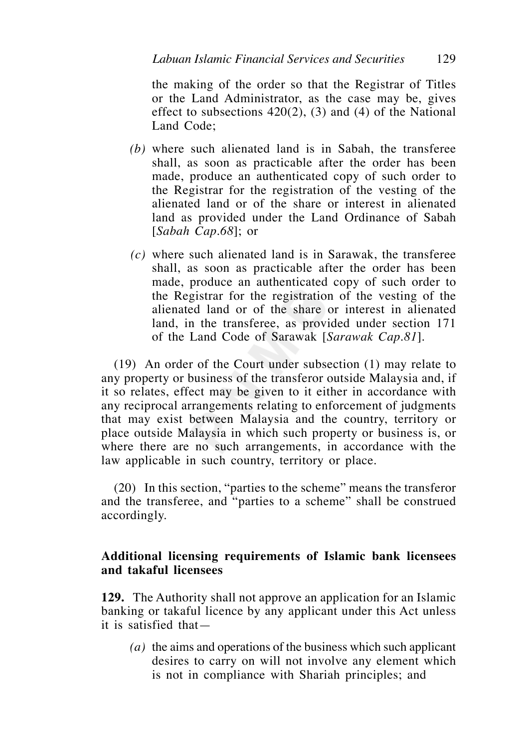the making of the order so that the Registrar of Titles or the Land Administrator, as the case may be, gives effect to subsections  $420(2)$ , (3) and (4) of the National Land Code;

- *(b)* where such alienated land is in Sabah, the transferee shall, as soon as practicable after the order has been made, produce an authenticated copy of such order to the Registrar for the registration of the vesting of the alienated land or of the share or interest in alienated land as provided under the Land Ordinance of Sabah [*Sabah Cap.68*]; or
- *(c)* where such alienated land is in Sarawak, the transferee shall, as soon as practicable after the order has been made, produce an authenticated copy of such order to the Registrar for the registration of the vesting of the alienated land or of the share or interest in alienated land, in the transferee, as provided under section 171 of the Land Code of Sarawak [*Sarawak Cap.81*].

 (19) An order of the Court under subsection (1) may relate to any property or business of the transferor outside Malaysia and, if it so relates, effect may be given to it either in accordance with any reciprocal arrangements relating to enforcement of judgments that may exist between Malaysia and the country, territory or place outside Malaysia in which such property or business is, or where there are no such arrangements, in accordance with the law applicable in such country, territory or place.

 (20) In this section, "parties to the scheme" means the transferor and the transferee, and "parties to a scheme" shall be construed accordingly.

## **Additional licensing requirements of Islamic bank licensees and takaful licensees**

**129.** The Authority shall not approve an application for an Islamic banking or takaful licence by any applicant under this Act unless it is satisfied that—

 *(a)* the aims and operations of the business which such applicant desires to carry on will not involve any element which is not in compliance with Shariah principles; and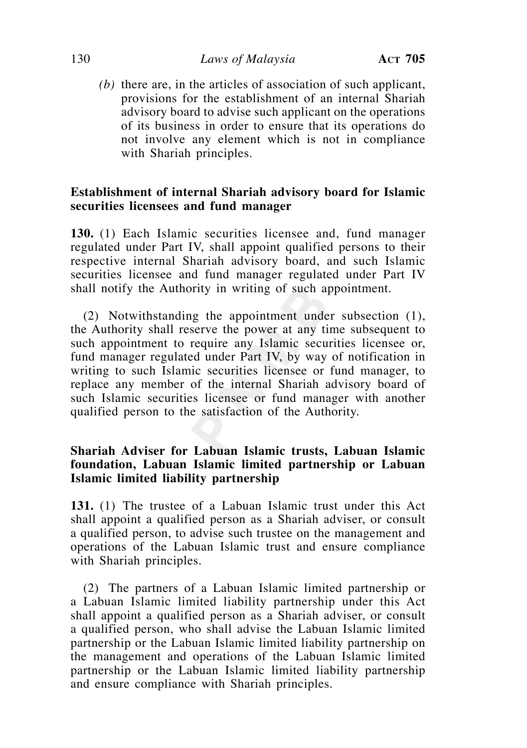### 130 *Laws of Malaysia* **ACT 705**

 *(b)* there are, in the articles of association of such applicant, provisions for the establishment of an internal Shariah advisory board to advise such applicant on the operations of its business in order to ensure that its operations do not involve any element which is not in compliance with Shariah principles.

# **Establishment of internal Shariah advisory board for Islamic securities licensees and fund manager**

**130.** (1) Each Islamic securities licensee and, fund manager regulated under Part IV, shall appoint qualified persons to their respective internal Shariah advisory board, and such Islamic securities licensee and fund manager regulated under Part IV shall notify the Authority in writing of such appointment.

 (2) Notwithstanding the appointment under subsection (1), the Authority shall reserve the power at any time subsequent to such appointment to require any Islamic securities licensee or, fund manager regulated under Part IV, by way of notification in writing to such Islamic securities licensee or fund manager, to replace any member of the internal Shariah advisory board of such Islamic securities licensee or fund manager with another qualified person to the satisfaction of the Authority.

# **Shariah Adviser for Labuan Islamic trusts, Labuan Islamic foundation, Labuan Islamic limited partnership or Labuan Islamic limited liability partnership**

**131.** (1) The trustee of a Labuan Islamic trust under this Act shall appoint a qualified person as a Shariah adviser, or consult a qualified person, to advise such trustee on the management and operations of the Labuan Islamic trust and ensure compliance with Shariah principles.

 (2) The partners of a Labuan Islamic limited partnership or a Labuan Islamic limited liability partnership under this Act shall appoint a qualified person as a Shariah adviser, or consult a qualified person, who shall advise the Labuan Islamic limited partnership or the Labuan Islamic limited liability partnership on the management and operations of the Labuan Islamic limited partnership or the Labuan Islamic limited liability partnership and ensure compliance with Shariah principles.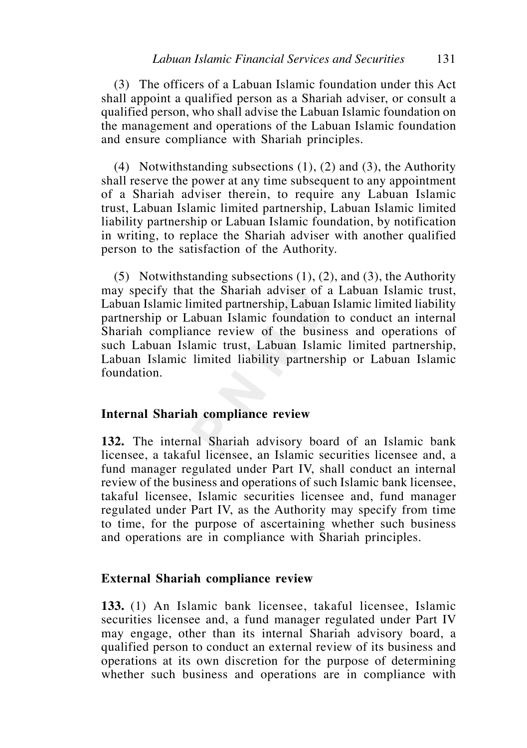(3) The officers of a Labuan Islamic foundation under this Act shall appoint a qualified person as a Shariah adviser, or consult a qualified person, who shall advise the Labuan Islamic foundation on the management and operations of the Labuan Islamic foundation and ensure compliance with Shariah principles.

(4) Notwithstanding subsections  $(1)$ ,  $(2)$  and  $(3)$ , the Authority shall reserve the power at any time subsequent to any appointment of a Shariah adviser therein, to require any Labuan Islamic trust, Labuan Islamic limited partnership, Labuan Islamic limited liability partnership or Labuan Islamic foundation, by notification in writing, to replace the Shariah adviser with another qualified person to the satisfaction of the Authority.

(5) Notwithstanding subsections  $(1)$ ,  $(2)$ , and  $(3)$ , the Authority may specify that the Shariah adviser of a Labuan Islamic trust, Labuan Islamic limited partnership, Labuan Islamic limited liability partnership or Labuan Islamic foundation to conduct an internal Shariah compliance review of the business and operations of such Labuan Islamic trust, Labuan Islamic limited partnership, Labuan Islamic limited liability partnership or Labuan Islamic foundation.

#### **Internal Shariah compliance review**

**132.** The internal Shariah advisory board of an Islamic bank licensee, a takaful licensee, an Islamic securities licensee and, a fund manager regulated under Part IV, shall conduct an internal review of the business and operations of such Islamic bank licensee, takaful licensee, Islamic securities licensee and, fund manager regulated under Part IV, as the Authority may specify from time to time, for the purpose of ascertaining whether such business and operations are in compliance with Shariah principles.

#### **External Shariah compliance review**

**133.** (1) An Islamic bank licensee, takaful licensee, Islamic securities licensee and, a fund manager regulated under Part IV may engage, other than its internal Shariah advisory board, a qualified person to conduct an external review of its business and operations at its own discretion for the purpose of determining whether such business and operations are in compliance with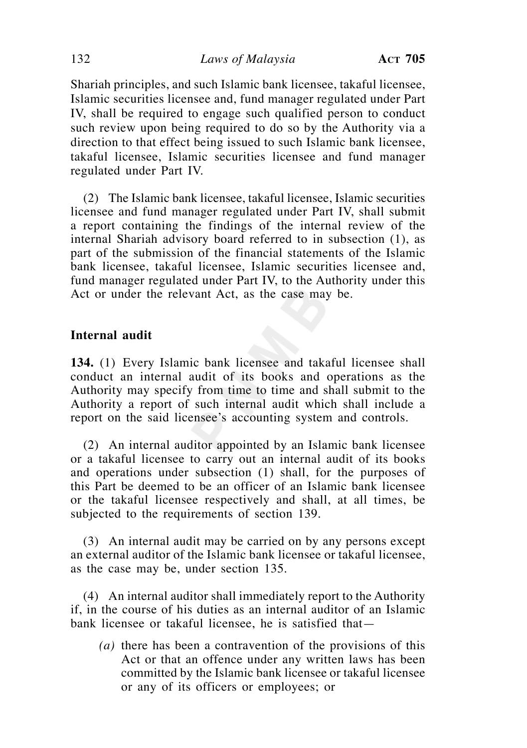Shariah principles, and such Islamic bank licensee, takaful licensee, Islamic securities licensee and, fund manager regulated under Part IV, shall be required to engage such qualified person to conduct such review upon being required to do so by the Authority via a direction to that effect being issued to such Islamic bank licensee, takaful licensee, Islamic securities licensee and fund manager regulated under Part IV.

 (2) The Islamic bank licensee, takaful licensee, Islamic securities licensee and fund manager regulated under Part IV, shall submit a report containing the findings of the internal review of the internal Shariah advisory board referred to in subsection (1), as part of the submission of the financial statements of the Islamic bank licensee, takaful licensee, Islamic securities licensee and, fund manager regulated under Part IV, to the Authority under this Act or under the relevant Act, as the case may be.

## **Internal audit**

**134.** (1) Every Islamic bank licensee and takaful licensee shall conduct an internal audit of its books and operations as the Authority may specify from time to time and shall submit to the Authority a report of such internal audit which shall include a report on the said licensee's accounting system and controls.

 (2) An internal auditor appointed by an Islamic bank licensee or a takaful licensee to carry out an internal audit of its books and operations under subsection (1) shall, for the purposes of this Part be deemed to be an officer of an Islamic bank licensee or the takaful licensee respectively and shall, at all times, be subjected to the requirements of section 139.

 (3) An internal audit may be carried on by any persons except an external auditor of the Islamic bank licensee or takaful licensee, as the case may be, under section 135.

 (4) An internal auditor shall immediately report to the Authority if, in the course of his duties as an internal auditor of an Islamic bank licensee or takaful licensee, he is satisfied that—

*(a)* there has been a contravention of the provisions of this Act or that an offence under any written laws has been committed by the Islamic bank licensee or takaful licensee or any of its officers or employees; or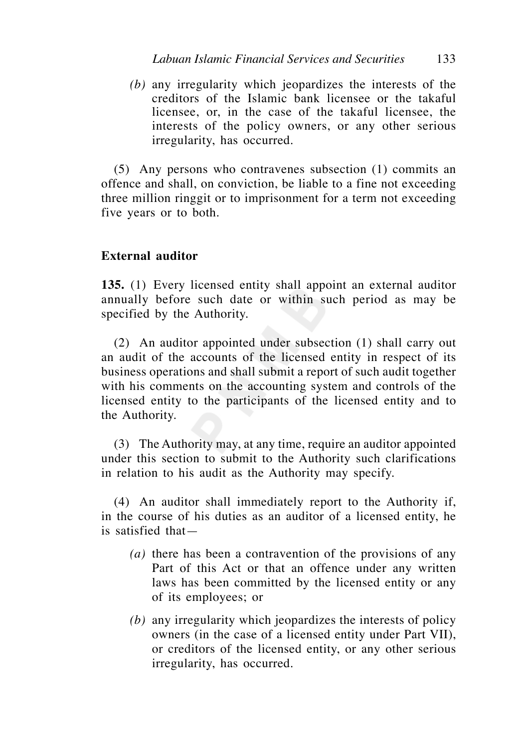*(b)* any irregularity which jeopardizes the interests of the creditors of the Islamic bank licensee or the takaful licensee, or, in the case of the takaful licensee, the interests of the policy owners, or any other serious irregularity, has occurred.

 (5) Any persons who contravenes subsection (1) commits an offence and shall, on conviction, be liable to a fine not exceeding three million ringgit or to imprisonment for a term not exceeding five years or to both.

## **External auditor**

**135.** (1) Every licensed entity shall appoint an external auditor annually before such date or within such period as may be specified by the Authority.

 (2) An auditor appointed under subsection (1) shall carry out an audit of the accounts of the licensed entity in respect of its business operations and shall submit a report of such audit together with his comments on the accounting system and controls of the licensed entity to the participants of the licensed entity and to the Authority.

 (3) The Authority may, at any time, require an auditor appointed under this section to submit to the Authority such clarifications in relation to his audit as the Authority may specify.

 (4) An auditor shall immediately report to the Authority if, in the course of his duties as an auditor of a licensed entity, he is satisfied that—

- *(a)* there has been a contravention of the provisions of any Part of this Act or that an offence under any written laws has been committed by the licensed entity or any of its employees; or
- *(b)* any irregularity which jeopardizes the interests of policy owners (in the case of a licensed entity under Part VII), or creditors of the licensed entity, or any other serious irregularity, has occurred.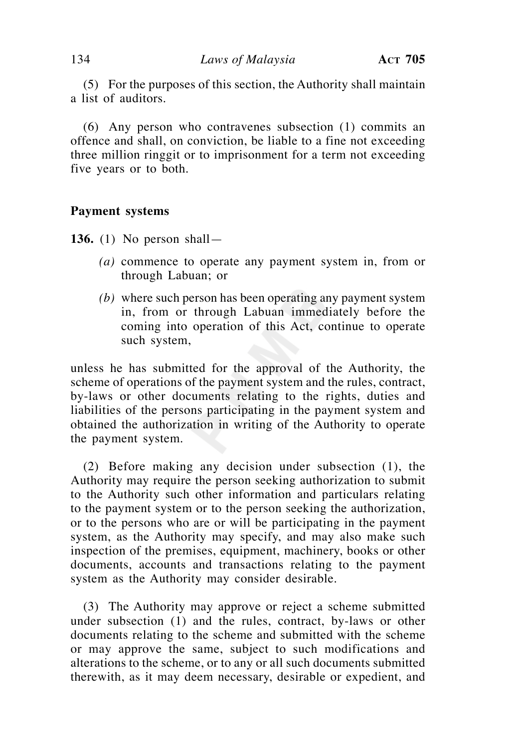(5) For the purposes of this section, the Authority shall maintain a list of auditors.

 (6) Any person who contravenes subsection (1) commits an offence and shall, on conviction, be liable to a fine not exceeding three million ringgit or to imprisonment for a term not exceeding five years or to both.

### **Payment systems**

**136.** (1) No person shall—

- *(a)* commence to operate any payment system in, from or through Labuan; or
- *(b)* where such person has been operating any payment system in, from or through Labuan immediately before the coming into operation of this Act, continue to operate such system,

unless he has submitted for the approval of the Authority, the scheme of operations of the payment system and the rules, contract, by-laws or other documents relating to the rights, duties and liabilities of the persons participating in the payment system and obtained the authorization in writing of the Authority to operate the payment system.

 (2) Before making any decision under subsection (1), the Authority may require the person seeking authorization to submit to the Authority such other information and particulars relating to the payment system or to the person seeking the authorization, or to the persons who are or will be participating in the payment system, as the Authority may specify, and may also make such inspection of the premises, equipment, machinery, books or other documents, accounts and transactions relating to the payment system as the Authority may consider desirable.

 (3) The Authority may approve or reject a scheme submitted under subsection (1) and the rules, contract, by-laws or other documents relating to the scheme and submitted with the scheme or may approve the same, subject to such modifications and alterations to the scheme, or to any or all such documents submitted therewith, as it may deem necessary, desirable or expedient, and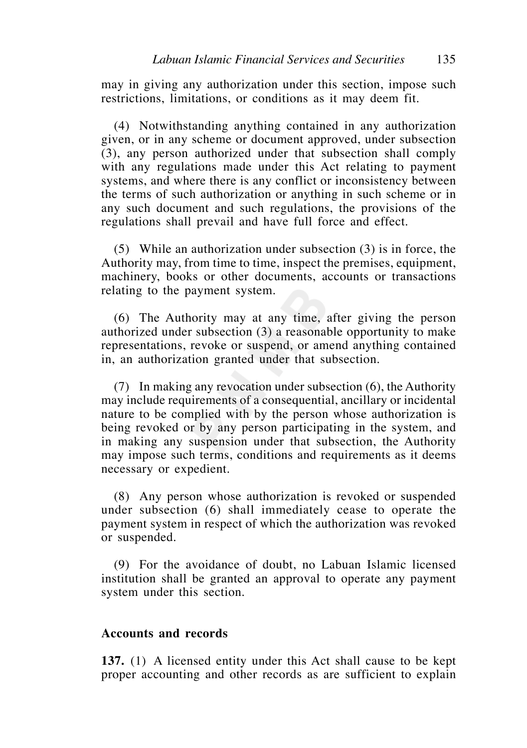may in giving any authorization under this section, impose such restrictions, limitations, or conditions as it may deem fit.

 (4) Notwithstanding anything contained in any authorization given, or in any scheme or document approved, under subsection (3), any person authorized under that subsection shall comply with any regulations made under this Act relating to payment systems, and where there is any conflict or inconsistency between the terms of such authorization or anything in such scheme or in any such document and such regulations, the provisions of the regulations shall prevail and have full force and effect.

 (5) While an authorization under subsection (3) is in force, the Authority may, from time to time, inspect the premises, equipment, machinery, books or other documents, accounts or transactions relating to the payment system.

 (6) The Authority may at any time, after giving the person authorized under subsection (3) a reasonable opportunity to make representations, revoke or suspend, or amend anything contained in, an authorization granted under that subsection.

 (7) In making any revocation under subsection (6), the Authority may include requirements of a consequential, ancillary or incidental nature to be complied with by the person whose authorization is being revoked or by any person participating in the system, and in making any suspension under that subsection, the Authority may impose such terms, conditions and requirements as it deems necessary or expedient.

 (8) Any person whose authorization is revoked or suspended under subsection (6) shall immediately cease to operate the payment system in respect of which the authorization was revoked or suspended.

 (9) For the avoidance of doubt, no Labuan Islamic licensed institution shall be granted an approval to operate any payment system under this section.

### **Accounts and records**

**137.** (1) A licensed entity under this Act shall cause to be kept proper accounting and other records as are sufficient to explain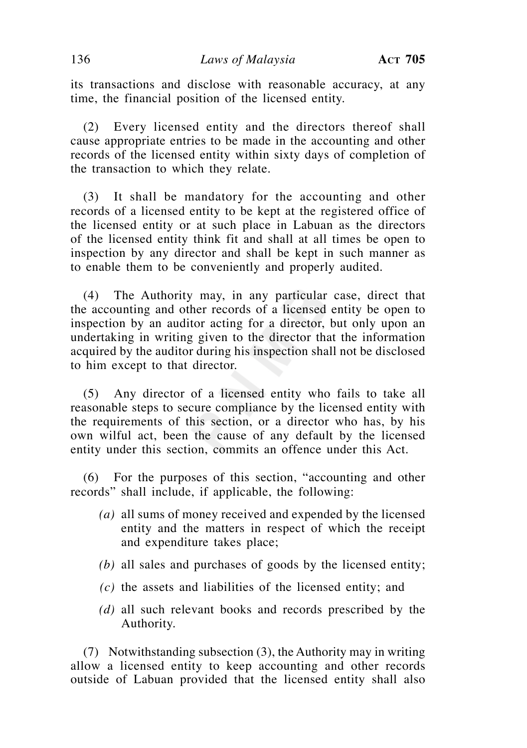its transactions and disclose with reasonable accuracy, at any time, the financial position of the licensed entity.

(2) Every licensed entity and the directors thereof shall cause appropriate entries to be made in the accounting and other records of the licensed entity within sixty days of completion of the transaction to which they relate.

(3) It shall be mandatory for the accounting and other records of a licensed entity to be kept at the registered office of the licensed entity or at such place in Labuan as the directors of the licensed entity think fit and shall at all times be open to inspection by any director and shall be kept in such manner as to enable them to be conveniently and properly audited.

 (4) The Authority may, in any particular case, direct that the accounting and other records of a licensed entity be open to inspection by an auditor acting for a director, but only upon an undertaking in writing given to the director that the information acquired by the auditor during his inspection shall not be disclosed to him except to that director.

(5) Any director of a licensed entity who fails to take all reasonable steps to secure compliance by the licensed entity with the requirements of this section, or a director who has, by his own wilful act, been the cause of any default by the licensed entity under this section, commits an offence under this Act.

 (6) For the purposes of this section, "accounting and other records" shall include, if applicable, the following:

- *(a)* all sums of money received and expended by the licensed entity and the matters in respect of which the receipt and expenditure takes place;
- *(b)* all sales and purchases of goods by the licensed entity;
- *(c)* the assets and liabilities of the licensed entity; and
- *(d)* all such relevant books and records prescribed by the Authority.

 (7) Notwithstanding subsection (3), the Authority may in writing allow a licensed entity to keep accounting and other records outside of Labuan provided that the licensed entity shall also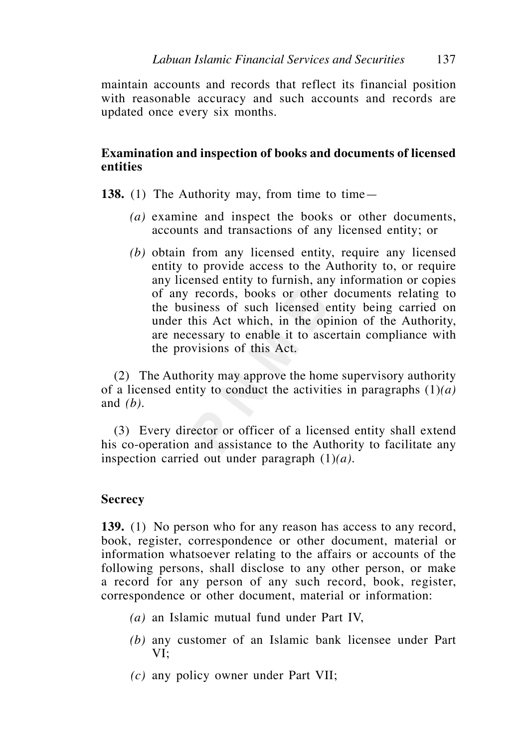maintain accounts and records that reflect its financial position with reasonable accuracy and such accounts and records are updated once every six months.

# **Examination and inspection of books and documents of licensed entities**

- **138.** (1) The Authority may, from time to time—
	- *(a)* examine and inspect the books or other documents, accounts and transactions of any licensed entity; or
	- *(b)* obtain from any licensed entity, require any licensed entity to provide access to the Authority to, or require any licensed entity to furnish, any information or copies of any records, books or other documents relating to the business of such licensed entity being carried on under this Act which, in the opinion of the Authority, are necessary to enable it to ascertain compliance with the provisions of this Act.

 (2) The Authority may approve the home supervisory authority of a licensed entity to conduct the activities in paragraphs (1)*(a)* and *(b)*.

 (3) Every director or officer of a licensed entity shall extend his co-operation and assistance to the Authority to facilitate any inspection carried out under paragraph (1)*(a)*.

## **Secrecy**

**139.** (1) No person who for any reason has access to any record, book, register, correspondence or other document, material or information whatsoever relating to the affairs or accounts of the following persons, shall disclose to any other person, or make a record for any person of any such record, book, register, correspondence or other document, material or information:

- *(a)* an Islamic mutual fund under Part IV,
- *(b)* any customer of an Islamic bank licensee under Part VI;
- *(c)* any policy owner under Part VII;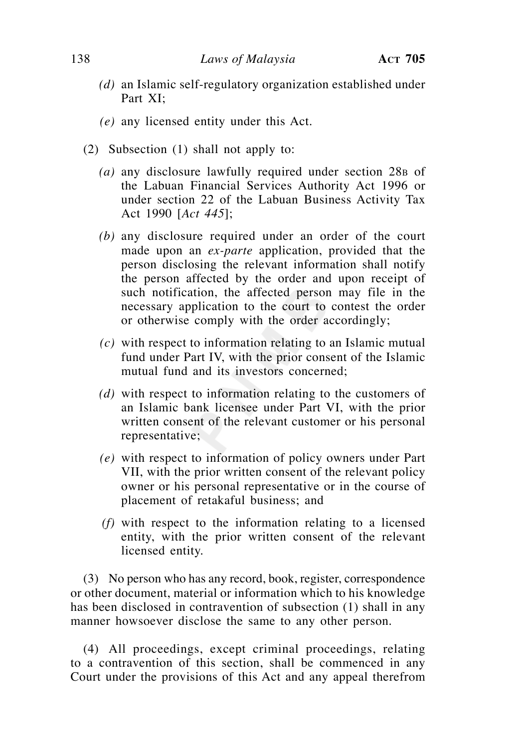- *(d)* an Islamic self-regulatory organization established under Part XI;
- *(e)* any licensed entity under this Act.
- (2) Subsection (1) shall not apply to:
	- *(a)* any disclosure lawfully required under section 28B of the Labuan Financial Services Authority Act 1996 or under section 22 of the Labuan Business Activity Tax Act 1990 [*Act 445*];
	- *(b)* any disclosure required under an order of the court made upon an *ex-parte* application, provided that the person disclosing the relevant information shall notify the person affected by the order and upon receipt of such notification, the affected person may file in the necessary application to the court to contest the order or otherwise comply with the order accordingly;
	- *(c)* with respect to information relating to an Islamic mutual fund under Part IV, with the prior consent of the Islamic mutual fund and its investors concerned;
	- *(d)* with respect to information relating to the customers of an Islamic bank licensee under Part VI, with the prior written consent of the relevant customer or his personal representative;
	- *(e)* with respect to information of policy owners under Part VII, with the prior written consent of the relevant policy owner or his personal representative or in the course of placement of retakaful business; and
	- *(f)* with respect to the information relating to a licensed entity, with the prior written consent of the relevant licensed entity.

 (3) No person who has any record, book, register, correspondence or other document, material or information which to his knowledge has been disclosed in contravention of subsection (1) shall in any manner howsoever disclose the same to any other person.

 (4) All proceedings, except criminal proceedings, relating to a contravention of this section, shall be commenced in any Court under the provisions of this Act and any appeal therefrom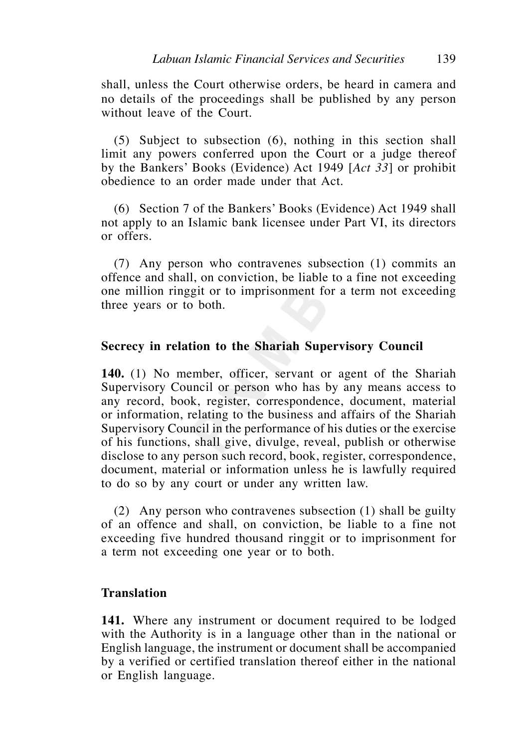shall, unless the Court otherwise orders, be heard in camera and no details of the proceedings shall be published by any person without leave of the Court.

 (5) Subject to subsection (6), nothing in this section shall limit any powers conferred upon the Court or a judge thereof by the Bankers' Books (Evidence) Act 1949 [*Act 33*] or prohibit obedience to an order made under that Act.

 (6) Section 7 of the Bankers' Books (Evidence) Act 1949 shall not apply to an Islamic bank licensee under Part VI, its directors or offers.

 (7) Any person who contravenes subsection (1) commits an offence and shall, on conviction, be liable to a fine not exceeding one million ringgit or to imprisonment for a term not exceeding three years or to both.

### **Secrecy in relation to the Shariah Supervisory Council**

**140.** (1) No member, officer, servant or agent of the Shariah Supervisory Council or person who has by any means access to any record, book, register, correspondence, document, material or information, relating to the business and affairs of the Shariah Supervisory Council in the performance of his duties or the exercise of his functions, shall give, divulge, reveal, publish or otherwise disclose to any person such record, book, register, correspondence, document, material or information unless he is lawfully required to do so by any court or under any written law.

 (2) Any person who contravenes subsection (1) shall be guilty of an offence and shall, on conviction, be liable to a fine not exceeding five hundred thousand ringgit or to imprisonment for a term not exceeding one year or to both.

## **Translation**

**141.** Where any instrument or document required to be lodged with the Authority is in a language other than in the national or English language, the instrument or document shall be accompanied by a verified or certified translation thereof either in the national or English language.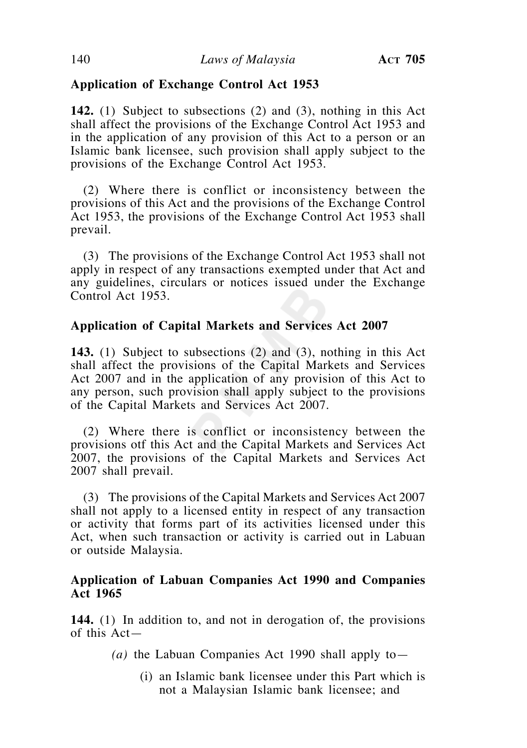# **Application of Exchange Control Act 1953**

**142.** (1) Subject to subsections (2) and (3), nothing in this Act shall affect the provisions of the Exchange Control Act 1953 and in the application of any provision of this Act to a person or an Islamic bank licensee, such provision shall apply subject to the provisions of the Exchange Control Act 1953.

 (2) Where there is conflict or inconsistency between the provisions of this Act and the provisions of the Exchange Control Act 1953, the provisions of the Exchange Control Act 1953 shall prevail.

 (3) The provisions of the Exchange Control Act 1953 shall not apply in respect of any transactions exempted under that Act and any guidelines, circulars or notices issued under the Exchange Control Act 1953.

## **Application of Capital Markets and Services Act 2007**

**143.** (1) Subject to subsections (2) and (3), nothing in this Act shall affect the provisions of the Capital Markets and Services Act 2007 and in the application of any provision of this Act to any person, such provision shall apply subject to the provisions of the Capital Markets and Services Act 2007.

 (2) Where there is conflict or inconsistency between the provisions otf this Act and the Capital Markets and Services Act 2007, the provisions of the Capital Markets and Services Act 2007 shall prevail.

 (3) The provisions of the Capital Markets and Services Act 2007 shall not apply to a licensed entity in respect of any transaction or activity that forms part of its activities licensed under this Act, when such transaction or activity is carried out in Labuan or outside Malaysia.

## **Application of Labuan Companies Act 1990 and Companies Act 1965**

**144.** (1) In addition to, and not in derogation of, the provisions of this Act—

- *(a)* the Labuan Companies Act 1990 shall apply to—
	- (i) an Islamic bank licensee under this Part which is not a Malaysian Islamic bank licensee; and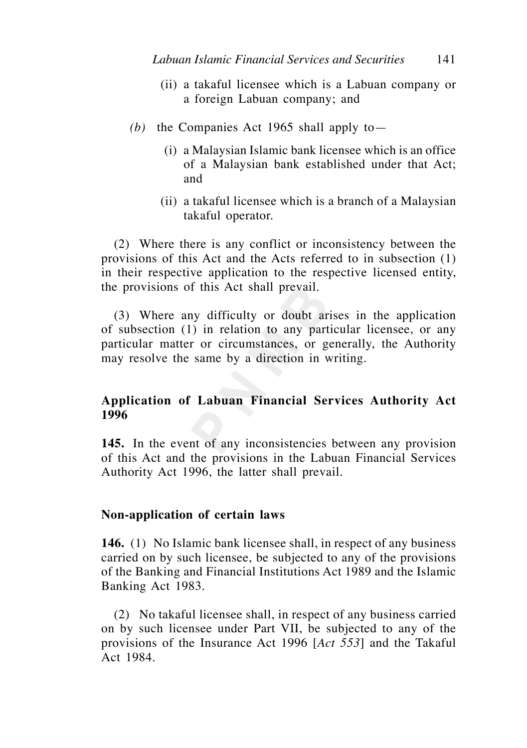- (ii) a takaful licensee which is a Labuan company or a foreign Labuan company; and
- *(b)* the Companies Act 1965 shall apply to—
	- (i) a Malaysian Islamic bank licensee which is an office of a Malaysian bank established under that Act; and
	- (ii) a takaful licensee which is a branch of a Malaysian takaful operator.

 (2) Where there is any conflict or inconsistency between the provisions of this Act and the Acts referred to in subsection (1) in their respective application to the respective licensed entity, the provisions of this Act shall prevail.

 (3) Where any difficulty or doubt arises in the application of subsection (1) in relation to any particular licensee, or any particular matter or circumstances, or generally, the Authority may resolve the same by a direction in writing.

# **Application of Labuan Financial Services Authority Act 1996**

**145.** In the event of any inconsistencies between any provision of this Act and the provisions in the Labuan Financial Services Authority Act 1996, the latter shall prevail.

### **Non-application of certain laws**

**146.** (1) No Islamic bank licensee shall, in respect of any business carried on by such licensee, be subjected to any of the provisions of the Banking and Financial Institutions Act 1989 and the Islamic Banking Act 1983.

 (2) No takaful licensee shall, in respect of any business carried on by such licensee under Part VII, be subjected to any of the provisions of the Insurance Act 1996 [*Act 553*] and the Takaful Act 1984.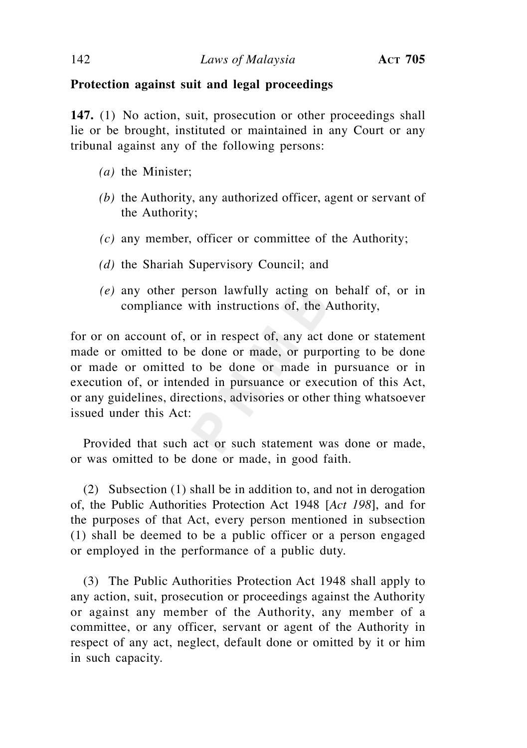## **Protection against suit and legal proceedings**

**147.** (1) No action, suit, prosecution or other proceedings shall lie or be brought, instituted or maintained in any Court or any tribunal against any of the following persons:

- *(a)* the Minister;
- *(b)* the Authority, any authorized officer, agent or servant of the Authority;
- *(c)* any member, officer or committee of the Authority;
- *(d)* the Shariah Supervisory Council; and
- *(e)* any other person lawfully acting on behalf of, or in compliance with instructions of, the Authority,

for or on account of, or in respect of, any act done or statement made or omitted to be done or made, or purporting to be done or made or omitted to be done or made in pursuance or in execution of, or intended in pursuance or execution of this Act, or any guidelines, directions, advisories or other thing whatsoever issued under this Act:

 Provided that such act or such statement was done or made, or was omitted to be done or made, in good faith.

 (2) Subsection (1) shall be in addition to, and not in derogation of, the Public Authorities Protection Act 1948 [*Act 198*], and for the purposes of that Act, every person mentioned in subsection (1) shall be deemed to be a public officer or a person engaged or employed in the performance of a public duty.

 (3) The Public Authorities Protection Act 1948 shall apply to any action, suit, prosecution or proceedings against the Authority or against any member of the Authority, any member of a committee, or any officer, servant or agent of the Authority in respect of any act, neglect, default done or omitted by it or him in such capacity.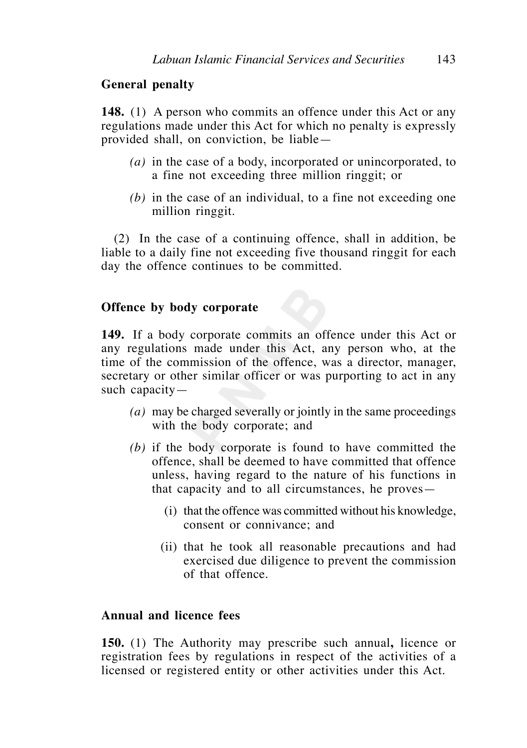## **General penalty**

**148.** (1) A person who commits an offence under this Act or any regulations made under this Act for which no penalty is expressly provided shall, on conviction, be liable—

- *(a)* in the case of a body, incorporated or unincorporated, to a fine not exceeding three million ringgit; or
- *(b)* in the case of an individual, to a fine not exceeding one million ringgit.

 (2) In the case of a continuing offence, shall in addition, be liable to a daily fine not exceeding five thousand ringgit for each day the offence continues to be committed.

# **Offence by body corporate**

**149.** If a body corporate commits an offence under this Act or any regulations made under this Act, any person who, at the time of the commission of the offence, was a director, manager, secretary or other similar officer or was purporting to act in any such capacity—

- *(a)* may be charged severally or jointly in the same proceedings with the body corporate; and
- *(b)* if the body corporate is found to have committed the offence, shall be deemed to have committed that offence unless, having regard to the nature of his functions in that capacity and to all circumstances, he proves—
	- (i) that the offence was committed without his knowledge, consent or connivance; and
	- (ii) that he took all reasonable precautions and had exercised due diligence to prevent the commission of that offence.

# **Annual and licence fees**

**150.** (1) The Authority may prescribe such annual**,** licence or registration fees by regulations in respect of the activities of a licensed or registered entity or other activities under this Act.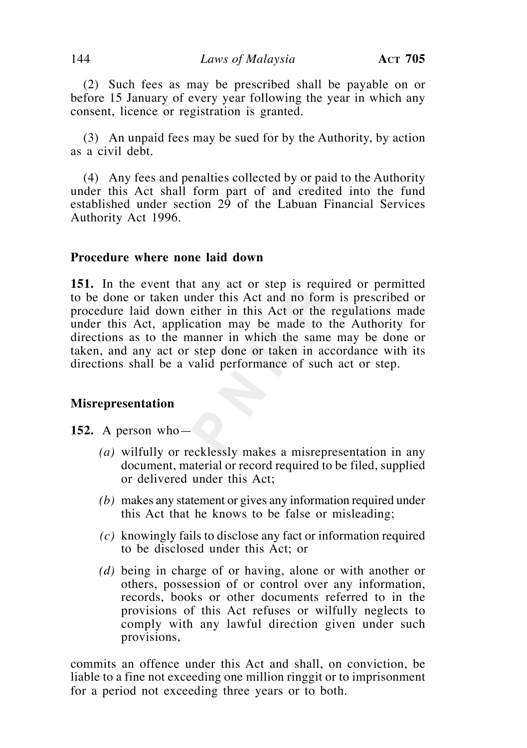(2) Such fees as may be prescribed shall be payable on or before 15 January of every year following the year in which any consent, licence or registration is granted.

 (3) An unpaid fees may be sued for by the Authority, by action as a civil debt.

 (4) Any fees and penalties collected by or paid to the Authority under this Act shall form part of and credited into the fund established under section  $2\overline{9}$  of the Labuan Financial Services Authority Act 1996.

### **Procedure where none laid down**

**151.** In the event that any act or step is required or permitted to be done or taken under this Act and no form is prescribed or procedure laid down either in this Act or the regulations made under this Act, application may be made to the Authority for directions as to the manner in which the same may be done or taken, and any act or step done or taken in accordance with its directions shall be a valid performance of such act or step.

### **Misrepresentation**

**152.** A person who—

- *(a)* wilfully or recklessly makes a misrepresentation in any document, material or record required to be filed, supplied or delivered under this Act;
- *(b)* makes any statement or gives any information required under this Act that he knows to be false or misleading;
- *(c)* knowingly fails to disclose any fact or information required to be disclosed under this Act; or
- *(d)* being in charge of or having, alone or with another or others, possession of or control over any information, records, books or other documents referred to in the provisions of this Act refuses or wilfully neglects to comply with any lawful direction given under such provisions,

commits an offence under this Act and shall, on conviction, be liable to a fine not exceeding one million ringgit or to imprisonment for a period not exceeding three years or to both.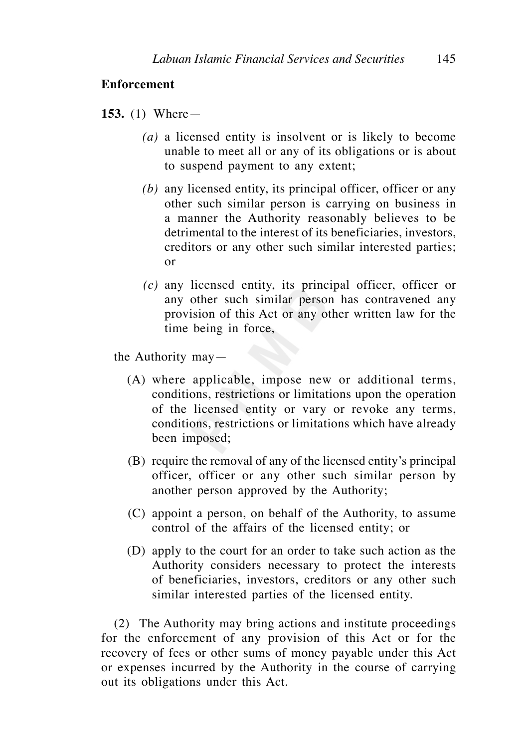### **Enforcement**

**153.** (1) Where—

- *(a)* a licensed entity is insolvent or is likely to become unable to meet all or any of its obligations or is about to suspend payment to any extent;
- *(b)* any licensed entity, its principal officer, officer or any other such similar person is carrying on business in a manner the Authority reasonably believes to be detrimental to the interest of its beneficiaries, investors, creditors or any other such similar interested parties; or
- *(c)* any licensed entity, its principal officer, officer or any other such similar person has contravened any provision of this Act or any other written law for the time being in force,

the Authority may—

- (A) where applicable, impose new or additional terms, conditions, restrictions or limitations upon the operation of the licensed entity or vary or revoke any terms, conditions, restrictions or limitations which have already been imposed;
- (B) require the removal of any of the licensed entity's principal officer, officer or any other such similar person by another person approved by the Authority;
- (C) appoint a person, on behalf of the Authority, to assume control of the affairs of the licensed entity; or
- (D) apply to the court for an order to take such action as the Authority considers necessary to protect the interests of beneficiaries, investors, creditors or any other such similar interested parties of the licensed entity.

 (2) The Authority may bring actions and institute proceedings for the enforcement of any provision of this Act or for the recovery of fees or other sums of money payable under this Act or expenses incurred by the Authority in the course of carrying out its obligations under this Act.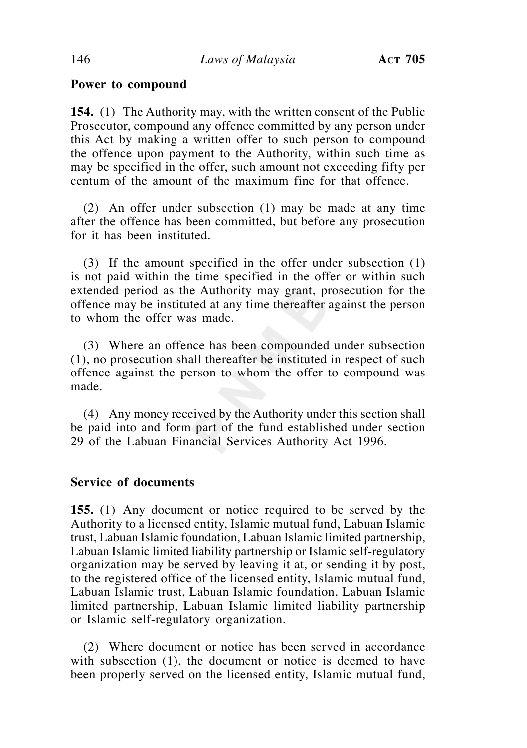## **Power to compound**

**154.** (1) The Authority may, with the written consent of the Public Prosecutor, compound any offence committed by any person under this Act by making a written offer to such person to compound the offence upon payment to the Authority, within such time as may be specified in the offer, such amount not exceeding fifty per centum of the amount of the maximum fine for that offence.

 (2) An offer under subsection (1) may be made at any time after the offence has been committed, but before any prosecution for it has been instituted.

 (3) If the amount specified in the offer under subsection (1) is not paid within the time specified in the offer or within such extended period as the Authority may grant, prosecution for the offence may be instituted at any time thereafter against the person to whom the offer was made.

 (3) Where an offence has been compounded under subsection (1), no prosecution shall thereafter be instituted in respect of such offence against the person to whom the offer to compound was made.

 (4) Any money received by the Authority under this section shall be paid into and form part of the fund established under section 29 of the Labuan Financial Services Authority Act 1996.

# **Service of documents**

**155.** (1) Any document or notice required to be served by the Authority to a licensed entity, Islamic mutual fund, Labuan Islamic trust, Labuan Islamic foundation, Labuan Islamic limited partnership, Labuan Islamic limited liability partnership or Islamic self-regulatory organization may be served by leaving it at, or sending it by post, to the registered office of the licensed entity, Islamic mutual fund, Labuan Islamic trust, Labuan Islamic foundation, Labuan Islamic limited partnership, Labuan Islamic limited liability partnership or Islamic self-regulatory organization.

 (2) Where document or notice has been served in accordance with subsection (1), the document or notice is deemed to have been properly served on the licensed entity, Islamic mutual fund,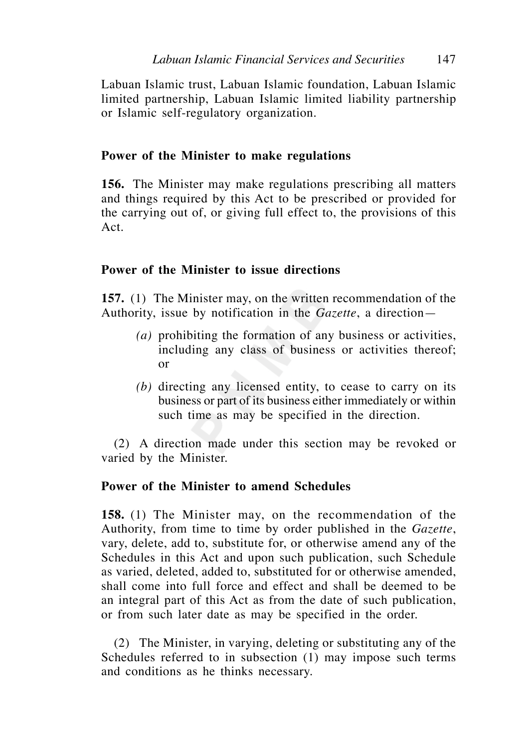Labuan Islamic trust, Labuan Islamic foundation, Labuan Islamic limited partnership, Labuan Islamic limited liability partnership or Islamic self-regulatory organization.

# **Power of the Minister to make regulations**

**156.** The Minister may make regulations prescribing all matters and things required by this Act to be prescribed or provided for the carrying out of, or giving full effect to, the provisions of this Act.

# **Power of the Minister to issue directions**

**157.** (1) The Minister may, on the written recommendation of the Authority, issue by notification in the *Gazette*, a direction—

- *(a)* prohibiting the formation of any business or activities, including any class of business or activities thereof; or
- *(b)* directing any licensed entity, to cease to carry on its business or part of its business either immediately or within such time as may be specified in the direction.

 (2) A direction made under this section may be revoked or varied by the Minister.

## **Power of the Minister to amend Schedules**

**158.** (1) The Minister may, on the recommendation of the Authority, from time to time by order published in the *Gazette*, vary, delete, add to, substitute for, or otherwise amend any of the Schedules in this Act and upon such publication, such Schedule as varied, deleted, added to, substituted for or otherwise amended shall come into full force and effect and shall be deemed to be an integral part of this Act as from the date of such publication, or from such later date as may be specified in the order.

 (2) The Minister, in varying, deleting or substituting any of the Schedules referred to in subsection (1) may impose such terms and conditions as he thinks necessary.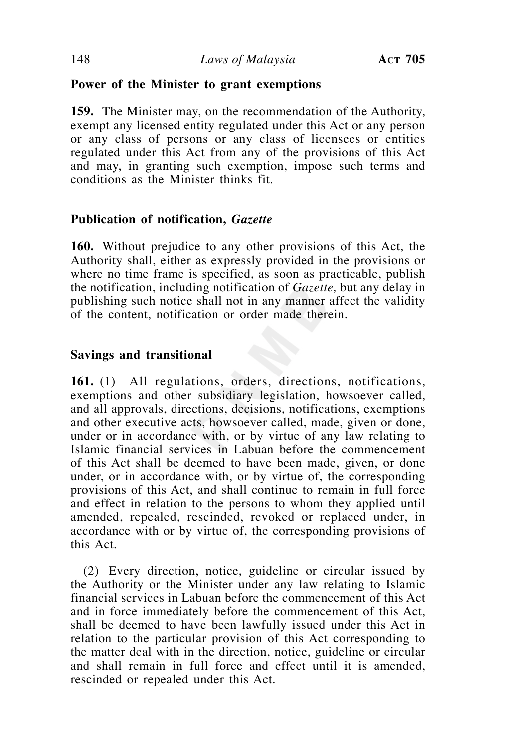## **Power of the Minister to grant exemptions**

**159.** The Minister may, on the recommendation of the Authority, exempt any licensed entity regulated under this Act or any person or any class of persons or any class of licensees or entities regulated under this Act from any of the provisions of this Act and may, in granting such exemption, impose such terms and conditions as the Minister thinks fit.

# **Publication of notification,** *Gazette*

**160.** Without prejudice to any other provisions of this Act, the Authority shall, either as expressly provided in the provisions or where no time frame is specified, as soon as practicable, publish the notification, including notification of *Gazette,* but any delay in publishing such notice shall not in any manner affect the validity of the content, notification or order made therein.

# **Savings and transitional**

**161.** (1) All regulations, orders, directions, notifications, exemptions and other subsidiary legislation, howsoever called, and all approvals, directions, decisions, notifications, exemptions and other executive acts, howsoever called, made, given or done, under or in accordance with, or by virtue of any law relating to Islamic financial services in Labuan before the commencement of this Act shall be deemed to have been made, given, or done under, or in accordance with, or by virtue of, the corresponding provisions of this Act, and shall continue to remain in full force and effect in relation to the persons to whom they applied until amended, repealed, rescinded, revoked or replaced under, in accordance with or by virtue of, the corresponding provisions of this Act.

 (2) Every direction, notice, guideline or circular issued by the Authority or the Minister under any law relating to Islamic financial services in Labuan before the commencement of this Act and in force immediately before the commencement of this Act, shall be deemed to have been lawfully issued under this Act in relation to the particular provision of this Act corresponding to the matter deal with in the direction, notice, guideline or circular and shall remain in full force and effect until it is amended, rescinded or repealed under this Act.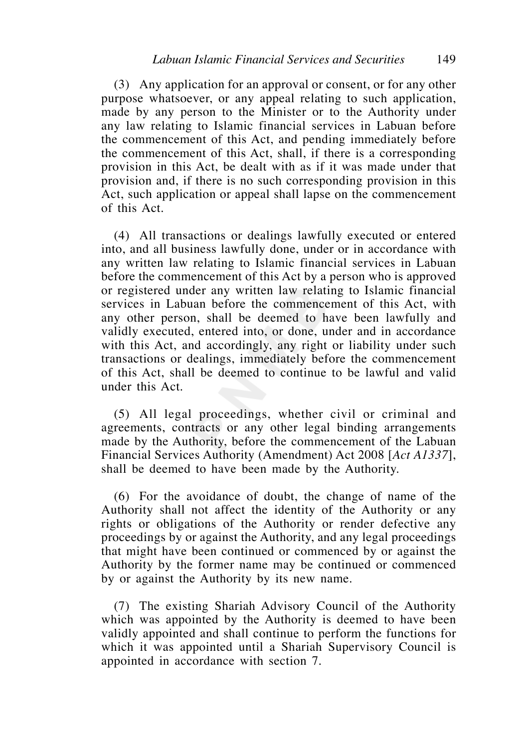(3) Any application for an approval or consent, or for any other purpose whatsoever, or any appeal relating to such application, made by any person to the Minister or to the Authority under any law relating to Islamic financial services in Labuan before the commencement of this Act, and pending immediately before the commencement of this Act, shall, if there is a corresponding provision in this Act, be dealt with as if it was made under that provision and, if there is no such corresponding provision in this Act, such application or appeal shall lapse on the commencement of this Act.

 (4) All transactions or dealings lawfully executed or entered into, and all business lawfully done, under or in accordance with any written law relating to Islamic financial services in Labuan before the commencement of this Act by a person who is approved or registered under any written law relating to Islamic financial services in Labuan before the commencement of this Act, with any other person, shall be deemed to have been lawfully and validly executed, entered into, or done, under and in accordance with this Act, and accordingly, any right or liability under such transactions or dealings, immediately before the commencement of this Act, shall be deemed to continue to be lawful and valid under this Act.

 (5) All legal proceedings, whether civil or criminal and agreements, contracts or any other legal binding arrangements made by the Authority, before the commencement of the Labuan Financial Services Authority (Amendment) Act 2008 [*Act A1337*], shall be deemed to have been made by the Authority.

 (6) For the avoidance of doubt, the change of name of the Authority shall not affect the identity of the Authority or any rights or obligations of the Authority or render defective any proceedings by or against the Authority, and any legal proceedings that might have been continued or commenced by or against the Authority by the former name may be continued or commenced by or against the Authority by its new name.

 (7) The existing Shariah Advisory Council of the Authority which was appointed by the Authority is deemed to have been validly appointed and shall continue to perform the functions for which it was appointed until a Shariah Supervisory Council is appointed in accordance with section 7.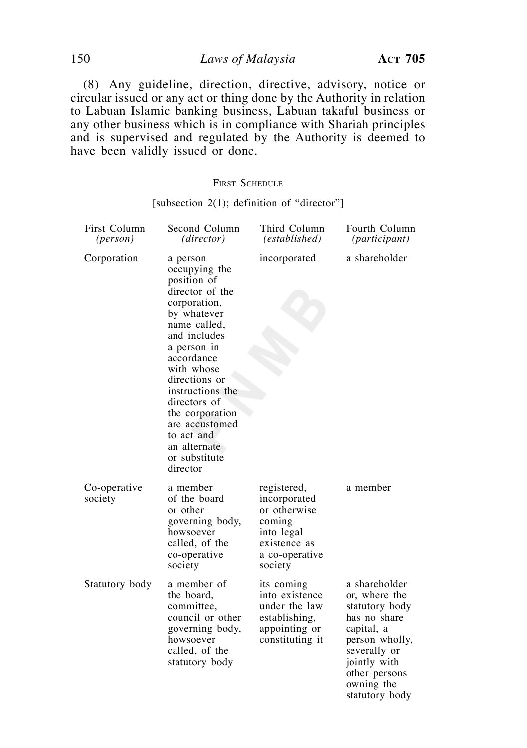150 *Laws of Malaysia* **ACT 705**

 (8) Any guideline, direction, directive, advisory, notice or circular issued or any act or thing done by the Authority in relation to Labuan Islamic banking business, Labuan takaful business or any other business which is in compliance with Shariah principles and is supervised and regulated by the Authority is deemed to have been validly issued or done.

#### FIRST SCHEDULE

#### [subsection 2(1); definition of "director"]

| First Column<br>( <i>person</i> ) | Second Column<br>(director)                                                                                                                                                                                                                                                                                                | Third Column<br>(established)                                                                                    | Fourth Column<br>(participant)                                                                                                                                                    |
|-----------------------------------|----------------------------------------------------------------------------------------------------------------------------------------------------------------------------------------------------------------------------------------------------------------------------------------------------------------------------|------------------------------------------------------------------------------------------------------------------|-----------------------------------------------------------------------------------------------------------------------------------------------------------------------------------|
| Corporation                       | a person<br>occupying the<br>position of<br>director of the<br>corporation,<br>by whatever<br>name called,<br>and includes<br>a person in<br>accordance<br>with whose<br>directions or<br>instructions the<br>directors of<br>the corporation<br>are accustomed<br>to act and<br>an alternate<br>or substitute<br>director | incorporated                                                                                                     | a shareholder                                                                                                                                                                     |
| Co-operative<br>society           | a member<br>of the board<br>or other<br>governing body,<br>howsoever<br>called, of the<br>co-operative<br>society                                                                                                                                                                                                          | registered,<br>incorporated<br>or otherwise<br>coming<br>into legal<br>existence as<br>a co-operative<br>society | a member                                                                                                                                                                          |
| Statutory body                    | a member of<br>the board,<br>committee,<br>council or other<br>governing body,<br>howsoever<br>called, of the<br>statutory body                                                                                                                                                                                            | its coming<br>into existence<br>under the law<br>establishing,<br>appointing or<br>constituting it               | a shareholder<br>or, where the<br>statutory body<br>has no share<br>capital, a<br>person wholly,<br>severally or<br>jointly with<br>other persons<br>owning the<br>statutory body |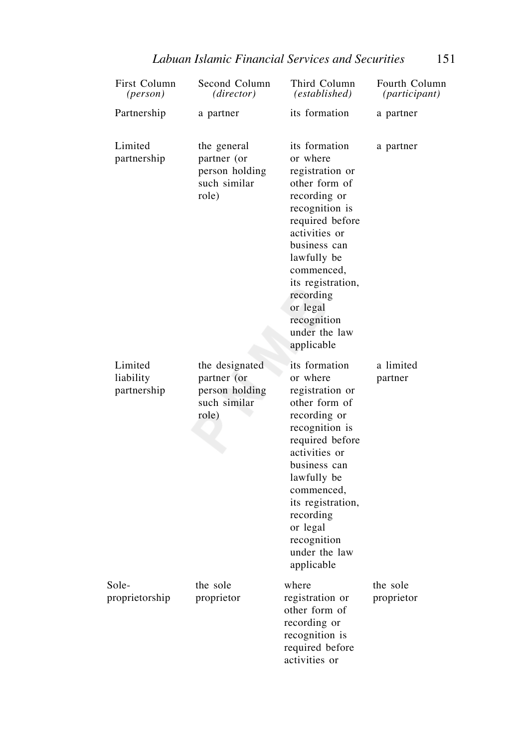| First Column<br>(person)            | Second Column<br>( <i>director</i> )                                     | Third Column<br>(established)                                                                                                                                                                                                                                                | Fourth Column<br><i>(participant)</i> |
|-------------------------------------|--------------------------------------------------------------------------|------------------------------------------------------------------------------------------------------------------------------------------------------------------------------------------------------------------------------------------------------------------------------|---------------------------------------|
| Partnership                         | a partner                                                                | its formation                                                                                                                                                                                                                                                                | a partner                             |
| Limited<br>partnership              | the general<br>partner (or<br>person holding<br>such similar<br>role)    | its formation<br>or where<br>registration or<br>other form of<br>recording or<br>recognition is<br>required before<br>activities or<br>business can<br>lawfully be<br>commenced,<br>its registration,<br>recording<br>or legal<br>recognition<br>under the law<br>applicable | a partner                             |
| Limited<br>liability<br>partnership | the designated<br>partner (or<br>person holding<br>such similar<br>role) | its formation<br>or where<br>registration or<br>other form of<br>recording or<br>recognition is<br>required before<br>activities or<br>business can<br>lawfully be<br>commenced,<br>its registration,<br>recording<br>or legal<br>recognition<br>under the law<br>applicable | a limited<br>partner                  |
| Sole-<br>proprietorship             | the sole<br>proprietor                                                   | where<br>registration or<br>other form of<br>recording or<br>recognition is<br>required before<br>activities or                                                                                                                                                              | the sole<br>proprietor                |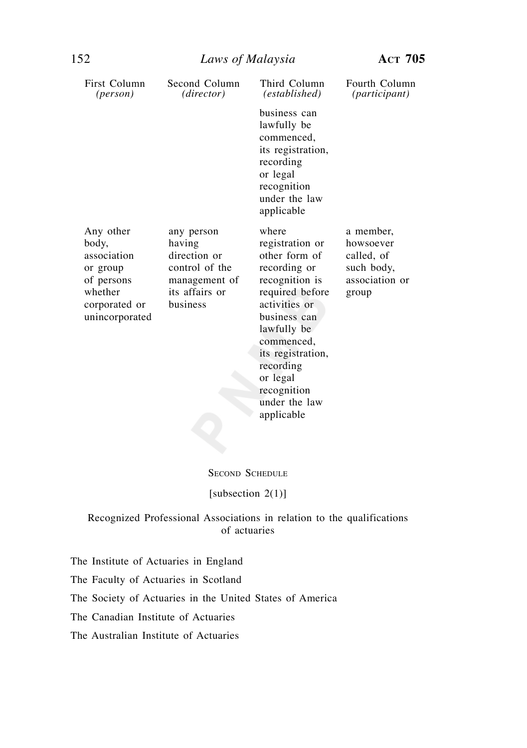| First Column<br>( <i>person</i> )                                                                         | Second Column<br>(director)                                                                           | Third Column<br>(established)                                                                                                                                                                                                              | Fourth Column<br><i>(participant)</i>                                         |
|-----------------------------------------------------------------------------------------------------------|-------------------------------------------------------------------------------------------------------|--------------------------------------------------------------------------------------------------------------------------------------------------------------------------------------------------------------------------------------------|-------------------------------------------------------------------------------|
|                                                                                                           |                                                                                                       | business can<br>lawfully be<br>commenced,<br>its registration,<br>recording<br>or legal<br>recognition<br>under the law<br>applicable                                                                                                      |                                                                               |
| Any other<br>body,<br>association<br>or group<br>of persons<br>whether<br>corporated or<br>unincorporated | any person<br>having<br>direction or<br>control of the<br>management of<br>its affairs or<br>business | where<br>registration or<br>other form of<br>recording or<br>recognition is<br>required before<br>activities or<br>business can<br>lawfully be<br>commenced,<br>its registration,<br>recording<br>or legal<br>recognition<br>under the law | a member,<br>howsoever<br>called, of<br>such body,<br>association or<br>group |

SECOND SCHEDULE

applicable

#### [subsection 2(1)]

### Recognized Professional Associations in relation to the qualifications of actuaries

The Institute of Actuaries in England

The Faculty of Actuaries in Scotland

The Society of Actuaries in the United States of America

The Canadian Institute of Actuaries

The Australian Institute of Actuaries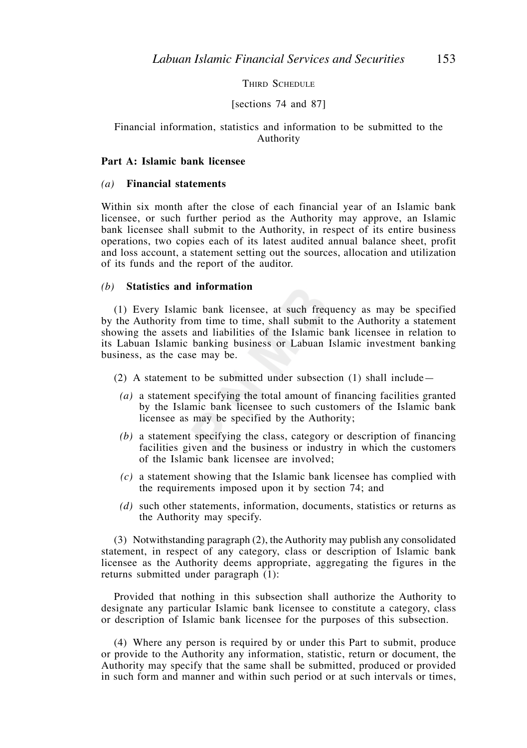THIRD SCHEDULE

#### [sections 74 and 87]

#### Financial information, statistics and information to be submitted to the Authority

#### **Part A: Islamic bank licensee**

#### *(a)* **Financial statements**

Within six month after the close of each financial year of an Islamic bank licensee, or such further period as the Authority may approve, an Islamic bank licensee shall submit to the Authority, in respect of its entire business operations, two copies each of its latest audited annual balance sheet, profit and loss account, a statement setting out the sources, allocation and utilization of its funds and the report of the auditor.

### *(b)* **Statistics and information**

 (1) Every Islamic bank licensee, at such frequency as may be specified by the Authority from time to time, shall submit to the Authority a statement showing the assets and liabilities of the Islamic bank licensee in relation to its Labuan Islamic banking business or Labuan Islamic investment banking business, as the case may be.

(2) A statement to be submitted under subsection (1) shall include—

- *(a)* a statement specifying the total amount of financing facilities granted by the Islamic bank licensee to such customers of the Islamic bank licensee as may be specified by the Authority;
- *(b)* a statement specifying the class, category or description of financing facilities given and the business or industry in which the customers of the Islamic bank licensee are involved;
- *(c)* a statement showing that the Islamic bank licensee has complied with the requirements imposed upon it by section 74; and
- *(d)* such other statements, information, documents, statistics or returns as the Authority may specify.

 (3) Notwithstanding paragraph (2), the Authority may publish any consolidated statement, in respect of any category, class or description of Islamic bank licensee as the Authority deems appropriate, aggregating the figures in the returns submitted under paragraph (1):

 Provided that nothing in this subsection shall authorize the Authority to designate any particular Islamic bank licensee to constitute a category, class or description of Islamic bank licensee for the purposes of this subsection.

 (4) Where any person is required by or under this Part to submit, produce or provide to the Authority any information, statistic, return or document, the Authority may specify that the same shall be submitted, produced or provided in such form and manner and within such period or at such intervals or times,